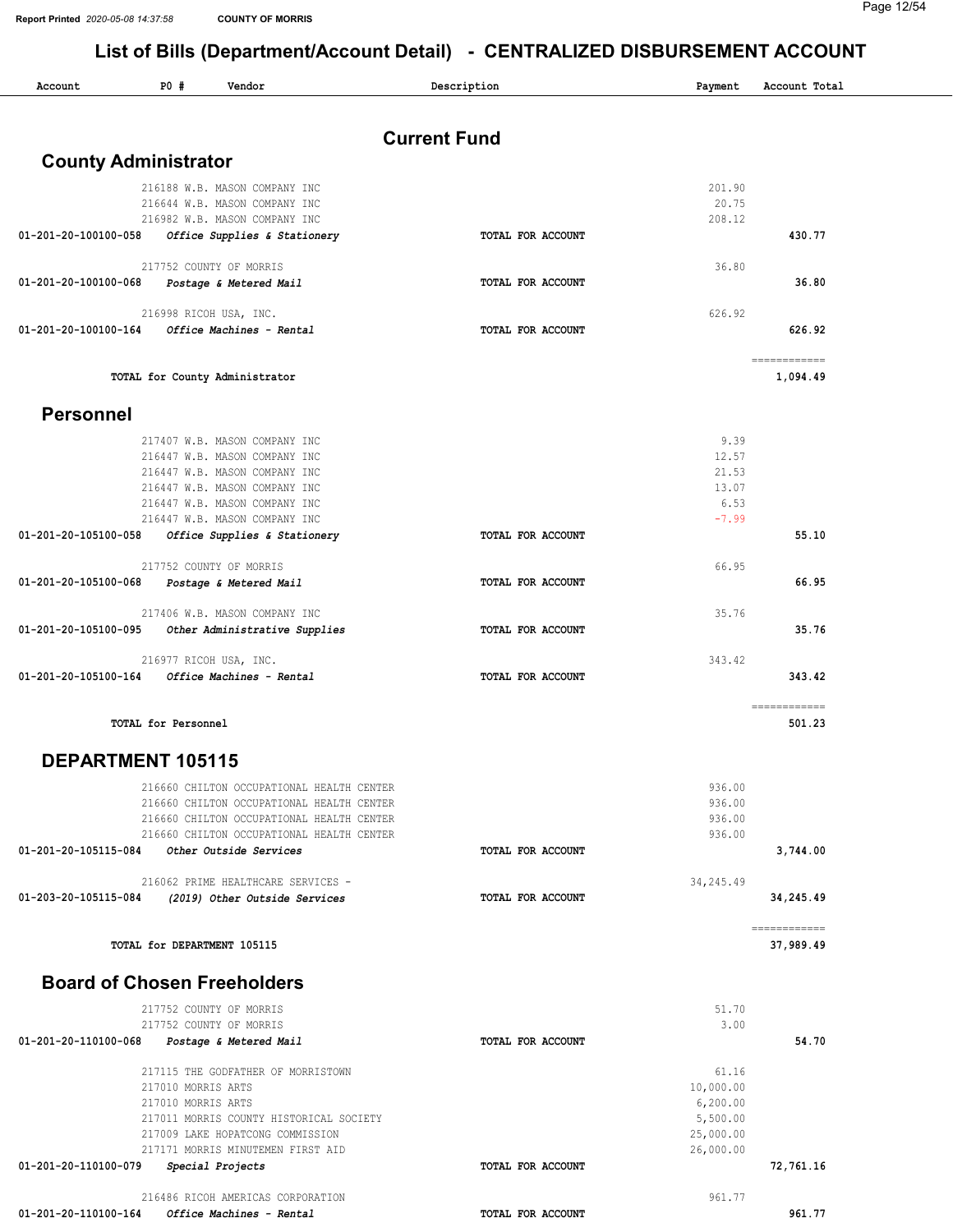| P0#<br>Account<br>Vendor                                                                    | Description       | Payment                | Account Total            |
|---------------------------------------------------------------------------------------------|-------------------|------------------------|--------------------------|
|                                                                                             |                   |                        |                          |
| <b>Current Fund</b>                                                                         |                   |                        |                          |
| <b>County Administrator</b>                                                                 |                   |                        |                          |
| 216188 W.B. MASON COMPANY INC                                                               |                   | 201.90                 |                          |
| 216644 W.B. MASON COMPANY INC<br>216982 W.B. MASON COMPANY INC                              |                   | 20.75<br>208.12        |                          |
| Office Supplies & Stationery<br>01-201-20-100100-058                                        | TOTAL FOR ACCOUNT |                        | 430.77                   |
|                                                                                             |                   |                        |                          |
| 217752 COUNTY OF MORRIS                                                                     |                   | 36.80                  |                          |
| 01-201-20-100100-068<br>Postage & Metered Mail                                              | TOTAL FOR ACCOUNT |                        | 36.80                    |
| 216998 RICOH USA, INC.                                                                      |                   | 626.92                 |                          |
| Office Machines - Rental<br>01-201-20-100100-164                                            | TOTAL FOR ACCOUNT |                        | 626.92                   |
|                                                                                             |                   |                        |                          |
| TOTAL for County Administrator                                                              |                   |                        | ------------<br>1,094.49 |
| <b>Personnel</b>                                                                            |                   |                        |                          |
|                                                                                             |                   |                        |                          |
| 217407 W.B. MASON COMPANY INC                                                               |                   | 9.39                   |                          |
| 216447 W.B. MASON COMPANY INC<br>216447 W.B. MASON COMPANY INC                              |                   | 12.57<br>21.53         |                          |
| 216447 W.B. MASON COMPANY INC                                                               |                   | 13.07                  |                          |
| 216447 W.B. MASON COMPANY INC                                                               |                   | 6.53                   |                          |
| 216447 W.B. MASON COMPANY INC                                                               |                   | $-7.99$                |                          |
| 01-201-20-105100-058<br>Office Supplies & Stationery                                        | TOTAL FOR ACCOUNT |                        | 55.10                    |
| 217752 COUNTY OF MORRIS                                                                     |                   | 66.95                  |                          |
| 01-201-20-105100-068<br>Postage & Metered Mail                                              | TOTAL FOR ACCOUNT |                        | 66.95                    |
|                                                                                             |                   |                        |                          |
| 217406 W.B. MASON COMPANY INC<br>01-201-20-105100-095                                       | TOTAL FOR ACCOUNT | 35.76                  | 35.76                    |
| Other Administrative Supplies                                                               |                   |                        |                          |
| 216977 RICOH USA, INC.                                                                      |                   | 343.42                 |                          |
| 01-201-20-105100-164<br>Office Machines - Rental                                            | TOTAL FOR ACCOUNT |                        | 343.42                   |
| TOTAL for Personnel                                                                         |                   |                        | ============<br>501.23   |
| DEPARTMENT 105115                                                                           |                   |                        |                          |
|                                                                                             |                   |                        |                          |
| 216660 CHILTON OCCUPATIONAL HEALTH CENTER                                                   |                   | 936.00                 |                          |
| 216660 CHILTON OCCUPATIONAL HEALTH CENTER<br>216660 CHILTON OCCUPATIONAL HEALTH CENTER      |                   | 936.00<br>936.00       |                          |
| 216660 CHILTON OCCUPATIONAL HEALTH CENTER                                                   |                   | 936.00                 |                          |
| 01-201-20-105115-084<br>Other Outside Services                                              | TOTAL FOR ACCOUNT |                        | 3,744.00                 |
|                                                                                             |                   |                        |                          |
| 216062 PRIME HEALTHCARE SERVICES -<br>01-203-20-105115-084<br>(2019) Other Outside Services | TOTAL FOR ACCOUNT | 34,245.49              | 34,245.49                |
|                                                                                             |                   |                        |                          |
|                                                                                             |                   |                        | ------------             |
| TOTAL for DEPARTMENT 105115                                                                 |                   |                        | 37,989.49                |
| <b>Board of Chosen Freeholders</b>                                                          |                   |                        |                          |
| 217752 COUNTY OF MORRIS                                                                     |                   | 51.70                  |                          |
| 217752 COUNTY OF MORRIS                                                                     |                   | 3.00                   |                          |
| 01-201-20-110100-068<br>Postage & Metered Mail                                              | TOTAL FOR ACCOUNT |                        | 54.70                    |
| 217115 THE GODFATHER OF MORRISTOWN                                                          |                   | 61.16                  |                          |
| 217010 MORRIS ARTS                                                                          |                   | 10,000.00              |                          |
| 217010 MORRIS ARTS                                                                          |                   | 6, 200.00              |                          |
| 217011 MORRIS COUNTY HISTORICAL SOCIETY                                                     |                   | 5,500.00               |                          |
| 217009 LAKE HOPATCONG COMMISSION<br>217171 MORRIS MINUTEMEN FIRST AID                       |                   | 25,000.00<br>26,000.00 |                          |
| 01-201-20-110100-079<br>Special Projects                                                    | TOTAL FOR ACCOUNT |                        | 72,761.16                |
|                                                                                             |                   |                        |                          |
| 216486 RICOH AMERICAS CORPORATION                                                           |                   | 961.77                 |                          |
| Office Machines - Rental<br>01-201-20-110100-164                                            | TOTAL FOR ACCOUNT |                        | 961.77                   |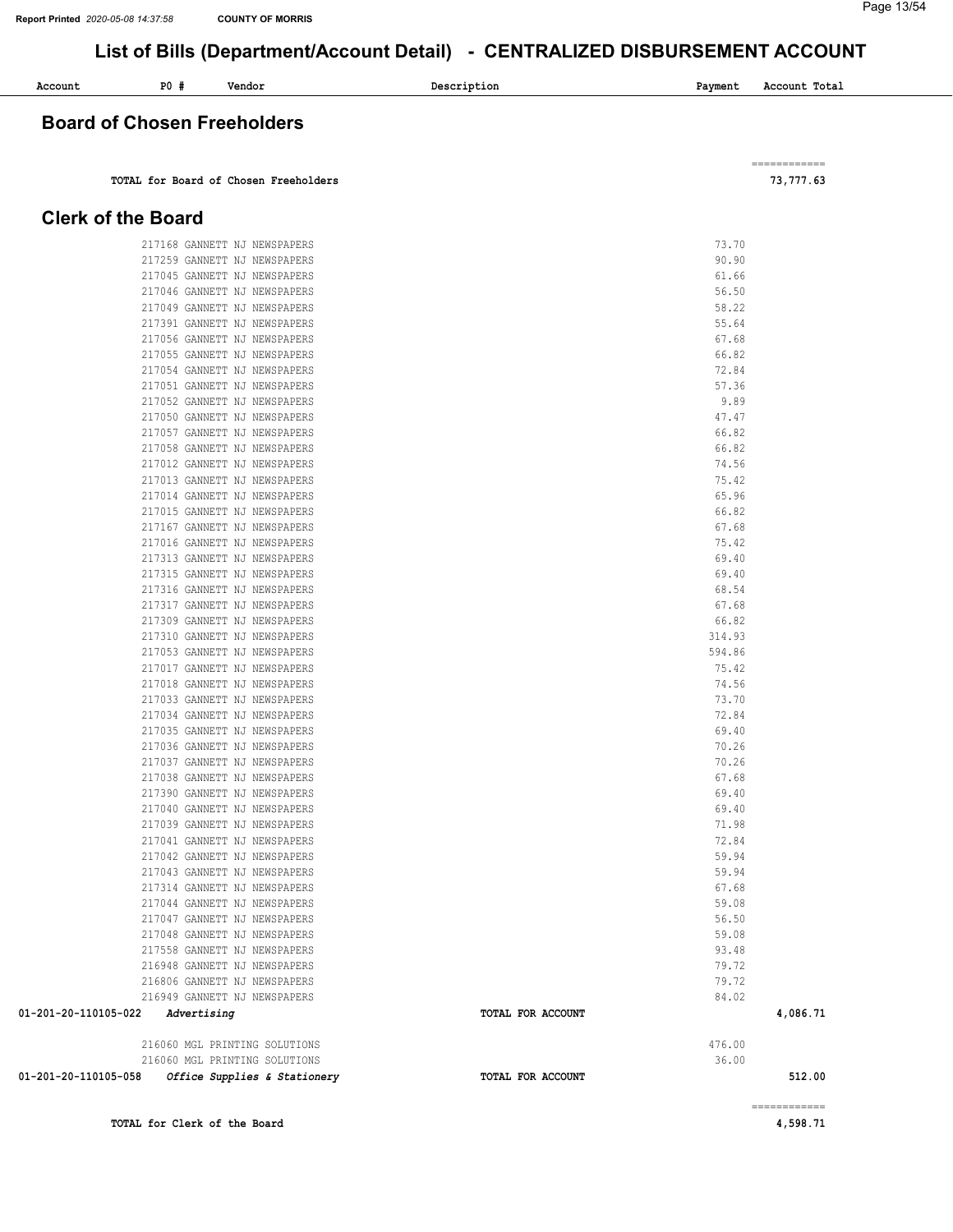Page 13/54

============

## List of Bills (Department/Account Detail) - CENTRALIZED DISBURSEMENT ACCOUNT

| Account     | P0 | Vendor<br>. | Description | Payment | Account Total |
|-------------|----|-------------|-------------|---------|---------------|
| $\sim$<br>. |    | _____       |             |         |               |

#### Board of Chosen Freeholders

TOTAL for Board of Chosen Freeholders 73,777.63

#### Clerk of the Board

| TOTAL for Clerk of the Board                                                       |                   |                | 4,598.71     |
|------------------------------------------------------------------------------------|-------------------|----------------|--------------|
|                                                                                    |                   |                | ============ |
| 216060 MGL PRINTING SOLUTIONS<br>01-201-20-110105-058 Office Supplies & Stationery | TOTAL FOR ACCOUNT | 36.00          | 512.00       |
| 216060 MGL PRINTING SOLUTIONS                                                      |                   | 476.00         |              |
| Advertising<br>01-201-20-110105-022                                                | TOTAL FOR ACCOUNT |                | 4,086.71     |
| 216949 GANNETT NJ NEWSPAPERS                                                       |                   | 84.02          |              |
| 216806 GANNETT NJ NEWSPAPERS                                                       |                   | 79.72          |              |
| 216948 GANNETT NJ NEWSPAPERS                                                       |                   | 79.72          |              |
| 217558 GANNETT NJ NEWSPAPERS                                                       |                   | 93.48          |              |
| 217048 GANNETT NJ NEWSPAPERS                                                       |                   | 59.08          |              |
| 217044 GANNETT NJ NEWSPAPERS<br>217047 GANNETT NJ NEWSPAPERS                       |                   | 59.08<br>56.50 |              |
| 217314 GANNETT NJ NEWSPAPERS                                                       |                   | 67.68          |              |
| 217043 GANNETT NJ NEWSPAPERS                                                       |                   | 59.94          |              |
| 217042 GANNETT NJ NEWSPAPERS                                                       |                   | 59.94          |              |
| 217041 GANNETT NJ NEWSPAPERS                                                       |                   | 72.84          |              |
| 217039 GANNETT NJ NEWSPAPERS                                                       |                   | 71.98          |              |
| 217040 GANNETT NJ NEWSPAPERS                                                       |                   | 69.40          |              |
| 217390 GANNETT NJ NEWSPAPERS                                                       |                   | 69.40          |              |
| 217038 GANNETT NJ NEWSPAPERS                                                       |                   | 67.68          |              |
| 217037 GANNETT NJ NEWSPAPERS                                                       |                   | 70.26          |              |
| 217036 GANNETT NJ NEWSPAPERS                                                       |                   | 70.26          |              |
| 217035 GANNETT NJ NEWSPAPERS                                                       |                   | 69.40          |              |
| 217034 GANNETT NJ NEWSPAPERS                                                       |                   | 72.84          |              |
| 217018 GANNETT NJ NEWSPAPERS<br>217033 GANNETT NJ NEWSPAPERS                       |                   | 74.56<br>73.70 |              |
| 217017 GANNETT NJ NEWSPAPERS                                                       |                   | 75.42          |              |
| 217053 GANNETT NJ NEWSPAPERS                                                       |                   | 594.86         |              |
| 217310 GANNETT NJ NEWSPAPERS                                                       |                   | 314.93         |              |
| 217309 GANNETT NJ NEWSPAPERS                                                       |                   | 66.82          |              |
| 217317 GANNETT NJ NEWSPAPERS                                                       |                   | 67.68          |              |
| 217316 GANNETT NJ NEWSPAPERS                                                       |                   | 68.54          |              |
| 217315 GANNETT NJ NEWSPAPERS                                                       |                   | 69.40          |              |
| 217313 GANNETT NJ NEWSPAPERS                                                       |                   | 69.40          |              |
| 217016 GANNETT NJ NEWSPAPERS                                                       |                   | 75.42          |              |
| 217167 GANNETT NJ NEWSPAPERS                                                       |                   | 67.68          |              |
| 217015 GANNETT NJ NEWSPAPERS                                                       |                   | 66.82          |              |
| 217014 GANNETT NJ NEWSPAPERS                                                       |                   | 65.96          |              |
| 217013 GANNETT NJ NEWSPAPERS                                                       |                   | 75.42          |              |
| 217012 GANNETT NJ NEWSPAPERS                                                       |                   | 74.56          |              |
| 217058 GANNETT NJ NEWSPAPERS                                                       |                   | 66.82          |              |
| 217050 GANNETT NJ NEWSPAPERS<br>217057 GANNETT NJ NEWSPAPERS                       |                   | 66.82          |              |
|                                                                                    |                   | 47.47          |              |
| 217051 GANNETT NJ NEWSPAPERS<br>217052 GANNETT NJ NEWSPAPERS                       |                   | 57.36<br>9.89  |              |
| 217054 GANNETT NJ NEWSPAPERS                                                       |                   | 72.84          |              |
| 217055 GANNETT NJ NEWSPAPERS                                                       |                   | 66.82          |              |
| 217056 GANNETT NJ NEWSPAPERS                                                       |                   | 67.68          |              |
| 217391 GANNETT NJ NEWSPAPERS                                                       |                   | 55.64          |              |
| 217049 GANNETT NJ NEWSPAPERS                                                       |                   | 58.22          |              |
| 217046 GANNETT NJ NEWSPAPERS                                                       |                   | 56.50          |              |
| 217045 GANNETT NJ NEWSPAPERS                                                       |                   | 61.66          |              |
| 217259 GANNETT NJ NEWSPAPERS                                                       |                   | 90.90          |              |
| 217168 GANNETT NJ NEWSPAPERS                                                       |                   | 73.70          |              |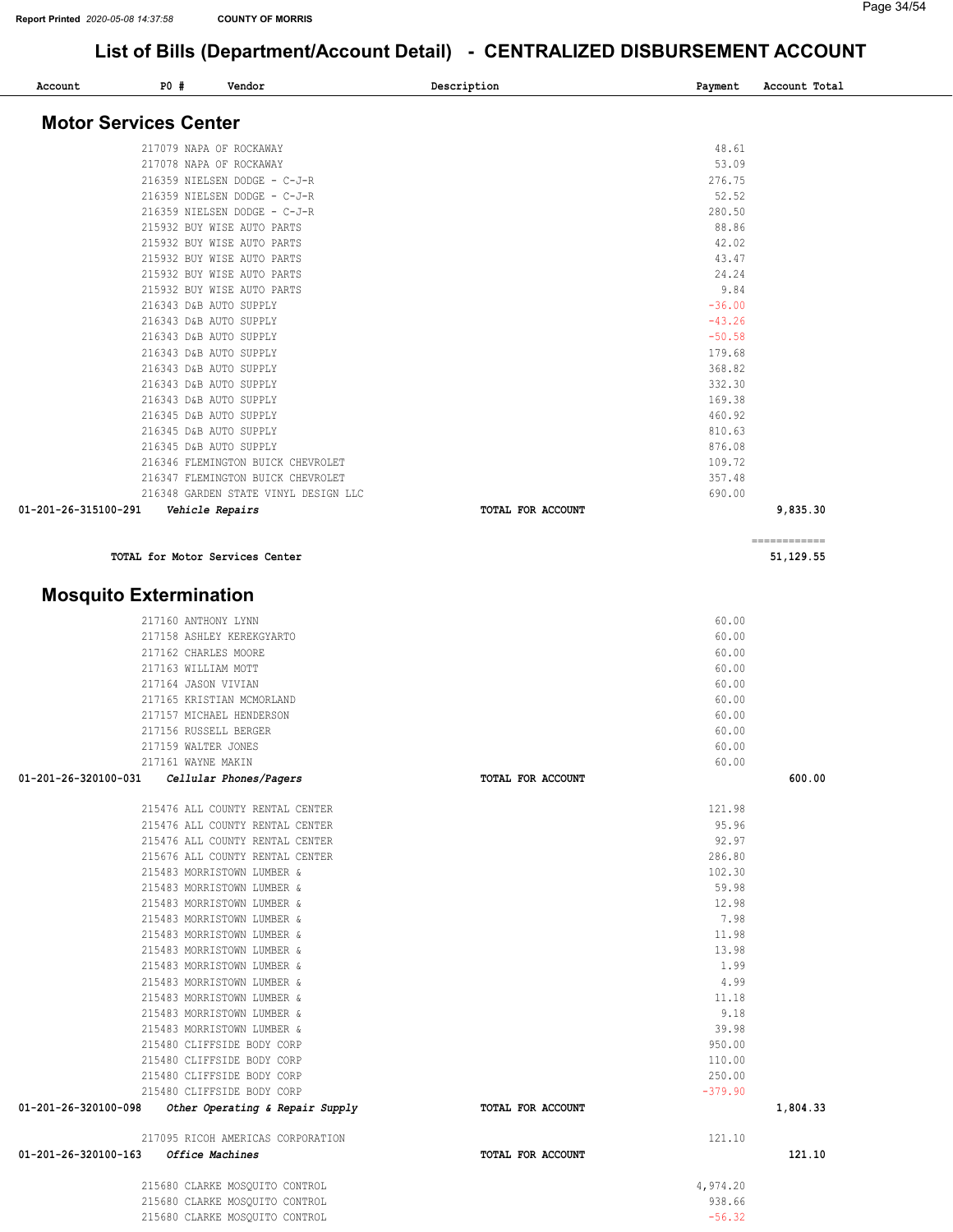#### Page 34/54

| <b>PO #</b><br>Account                               | Vendor                                                           | Description       | Payment            | Account Total |
|------------------------------------------------------|------------------------------------------------------------------|-------------------|--------------------|---------------|
| <b>Motor Services Center</b>                         |                                                                  |                   |                    |               |
|                                                      |                                                                  |                   |                    |               |
|                                                      | 217079 NAPA OF ROCKAWAY                                          |                   | 48.61<br>53.09     |               |
|                                                      | 217078 NAPA OF ROCKAWAY<br>216359 NIELSEN DODGE - C-J-R          |                   | 276.75             |               |
|                                                      | 216359 NIELSEN DODGE - C-J-R                                     |                   | 52.52              |               |
|                                                      | 216359 NIELSEN DODGE - C-J-R                                     |                   | 280.50             |               |
|                                                      | 215932 BUY WISE AUTO PARTS                                       |                   | 88.86              |               |
|                                                      | 215932 BUY WISE AUTO PARTS                                       |                   | 42.02              |               |
|                                                      | 215932 BUY WISE AUTO PARTS                                       |                   | 43.47              |               |
|                                                      | 215932 BUY WISE AUTO PARTS                                       |                   | 24.24              |               |
|                                                      | 215932 BUY WISE AUTO PARTS                                       |                   | 9.84               |               |
|                                                      | 216343 D&B AUTO SUPPLY                                           |                   | $-36.00$           |               |
|                                                      | 216343 D&B AUTO SUPPLY                                           |                   | $-43.26$           |               |
|                                                      | 216343 D&B AUTO SUPPLY                                           |                   | $-50.58$           |               |
|                                                      | 216343 D&B AUTO SUPPLY<br>216343 D&B AUTO SUPPLY                 |                   | 179.68<br>368.82   |               |
|                                                      | 216343 D&B AUTO SUPPLY                                           |                   | 332.30             |               |
|                                                      | 216343 D&B AUTO SUPPLY                                           |                   | 169.38             |               |
|                                                      | 216345 D&B AUTO SUPPLY                                           |                   | 460.92             |               |
|                                                      | 216345 D&B AUTO SUPPLY                                           |                   | 810.63             |               |
|                                                      | 216345 D&B AUTO SUPPLY                                           |                   | 876.08             |               |
|                                                      | 216346 FLEMINGTON BUICK CHEVROLET                                |                   | 109.72             |               |
|                                                      | 216347 FLEMINGTON BUICK CHEVROLET                                |                   | 357.48             |               |
|                                                      | 216348 GARDEN STATE VINYL DESIGN LLC                             |                   | 690.00             |               |
| 01-201-26-315100-291                                 | Vehicle Repairs                                                  | TOTAL FOR ACCOUNT |                    | 9,835.30      |
|                                                      | TOTAL for Motor Services Center                                  |                   |                    | ============  |
|                                                      |                                                                  |                   |                    | 51,129.55     |
| <b>Mosquito Extermination</b>                        |                                                                  |                   |                    |               |
|                                                      | 217160 ANTHONY LYNN                                              |                   | 60.00              |               |
|                                                      | 217158 ASHLEY KEREKGYARTO                                        |                   | 60.00              |               |
|                                                      | 217162 CHARLES MOORE                                             |                   | 60.00              |               |
|                                                      | 217163 WILLIAM MOTT                                              |                   | 60.00              |               |
|                                                      | 217164 JASON VIVIAN<br>217165 KRISTIAN MCMORLAND                 |                   | 60.00<br>60.00     |               |
|                                                      | 217157 MICHAEL HENDERSON                                         |                   | 60.00              |               |
|                                                      | 217156 RUSSELL BERGER                                            |                   | 60.00              |               |
|                                                      | 217159 WALTER JONES                                              |                   | 60.00              |               |
|                                                      | 217161 WAYNE MAKIN                                               |                   | 60.00              |               |
| 01-201-26-320100-031                                 | Cellular Phones/Pagers                                           | TOTAL FOR ACCOUNT |                    | 600.00        |
|                                                      | 215476 ALL COUNTY RENTAL CENTER                                  |                   | 121.98             |               |
|                                                      | 215476 ALL COUNTY RENTAL CENTER                                  |                   | 95.96              |               |
|                                                      | 215476 ALL COUNTY RENTAL CENTER                                  |                   | 92.97              |               |
|                                                      | 215676 ALL COUNTY RENTAL CENTER                                  |                   | 286.80             |               |
|                                                      | 215483 MORRISTOWN LUMBER &                                       |                   | 102.30             |               |
|                                                      | 215483 MORRISTOWN LUMBER &                                       |                   | 59.98              |               |
|                                                      | 215483 MORRISTOWN LUMBER &                                       |                   | 12.98              |               |
|                                                      | 215483 MORRISTOWN LUMBER &                                       |                   | 7.98               |               |
|                                                      | 215483 MORRISTOWN LUMBER &                                       |                   | 11.98              |               |
|                                                      | 215483 MORRISTOWN LUMBER &                                       |                   | 13.98<br>1.99      |               |
|                                                      | 215483 MORRISTOWN LUMBER &<br>215483 MORRISTOWN LUMBER &         |                   | 4.99               |               |
|                                                      | 215483 MORRISTOWN LUMBER &                                       |                   | 11.18              |               |
|                                                      | 215483 MORRISTOWN LUMBER &                                       |                   | 9.18               |               |
|                                                      | 215483 MORRISTOWN LUMBER &                                       |                   | 39.98              |               |
|                                                      | 215480 CLIFFSIDE BODY CORP                                       |                   | 950.00             |               |
|                                                      | 215480 CLIFFSIDE BODY CORP                                       |                   | 110.00             |               |
|                                                      | 215480 CLIFFSIDE BODY CORP                                       |                   | 250.00             |               |
|                                                      | 215480 CLIFFSIDE BODY CORP                                       |                   | $-379.90$          |               |
| 01-201-26-320100-098 Other Operating & Repair Supply |                                                                  | TOTAL FOR ACCOUNT |                    | 1,804.33      |
| 01-201-26-320100-163 Office Machines                 | 217095 RICOH AMERICAS CORPORATION                                | TOTAL FOR ACCOUNT | 121.10             | 121.10        |
|                                                      |                                                                  |                   |                    |               |
|                                                      | 215680 CLARKE MOSQUITO CONTROL<br>215680 CLARKE MOSQUITO CONTROL |                   | 4,974.20<br>938.66 |               |
|                                                      | 215680 CLARKE MOSQUITO CONTROL                                   |                   | $-56.32$           |               |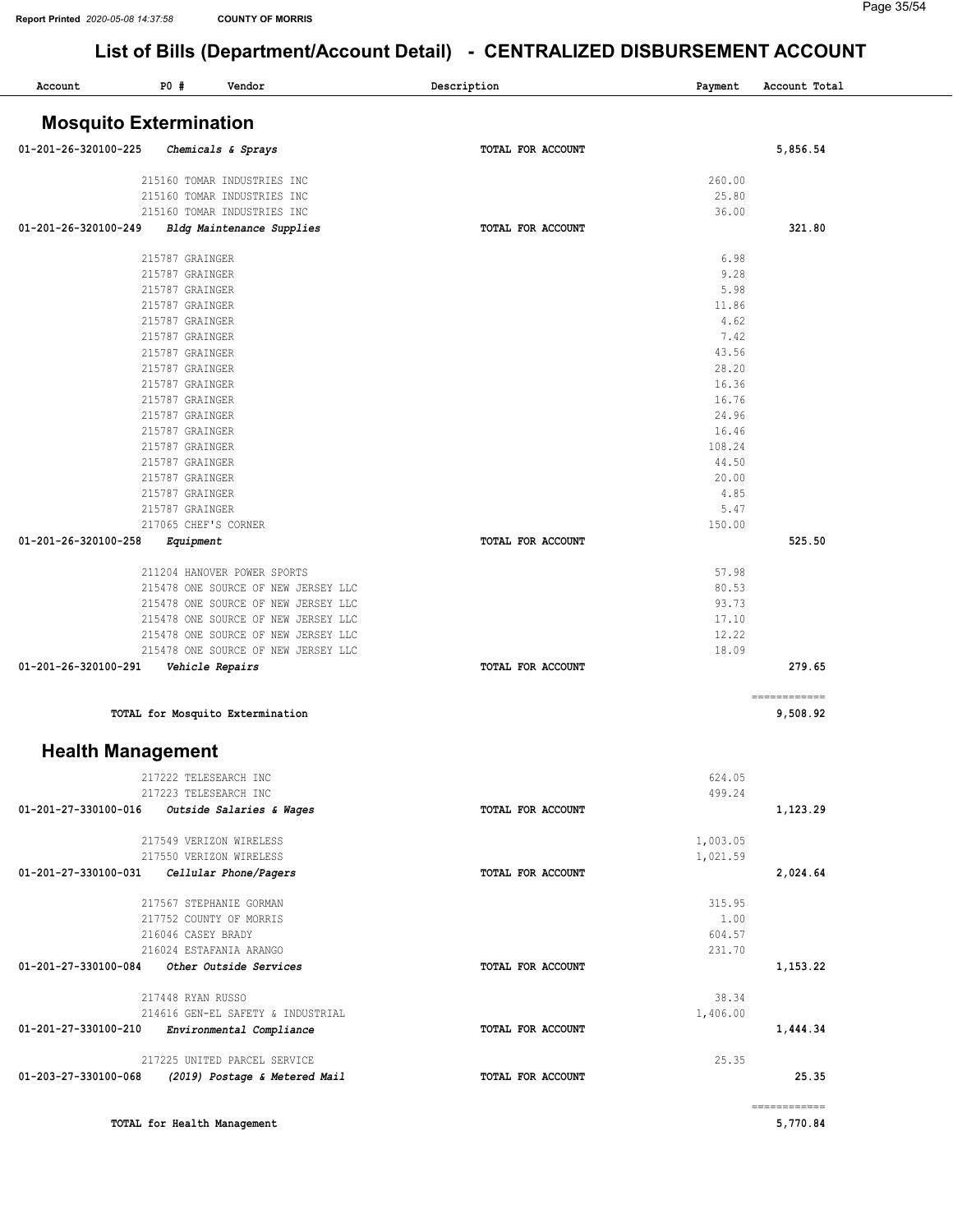| Account                       | <b>PO #</b><br>Vendor               | Description       | Payment      | Account Total            |
|-------------------------------|-------------------------------------|-------------------|--------------|--------------------------|
| <b>Mosquito Extermination</b> |                                     |                   |              |                          |
| 01-201-26-320100-225          | Chemicals & Sprays                  | TOTAL FOR ACCOUNT |              | 5,856.54                 |
|                               | 215160 TOMAR INDUSTRIES INC         |                   | 260.00       |                          |
|                               | 215160 TOMAR INDUSTRIES INC         |                   | 25.80        |                          |
|                               | 215160 TOMAR INDUSTRIES INC         |                   | 36.00        |                          |
| 01-201-26-320100-249          | Bldg Maintenance Supplies           | TOTAL FOR ACCOUNT |              | 321.80                   |
|                               | 215787 GRAINGER                     |                   | 6.98         |                          |
|                               | 215787 GRAINGER                     |                   | 9.28         |                          |
|                               | 215787 GRAINGER                     |                   | 5.98         |                          |
|                               | 215787 GRAINGER                     |                   | 11.86        |                          |
|                               | 215787 GRAINGER<br>215787 GRAINGER  |                   | 4.62<br>7.42 |                          |
|                               | 215787 GRAINGER                     |                   | 43.56        |                          |
|                               | 215787 GRAINGER                     |                   | 28.20        |                          |
|                               | 215787 GRAINGER                     |                   | 16.36        |                          |
|                               | 215787 GRAINGER                     |                   | 16.76        |                          |
|                               | 215787 GRAINGER                     |                   | 24.96        |                          |
|                               | 215787 GRAINGER                     |                   | 16.46        |                          |
|                               | 215787 GRAINGER                     |                   | 108.24       |                          |
|                               | 215787 GRAINGER                     |                   | 44.50        |                          |
|                               | 215787 GRAINGER                     |                   | 20.00        |                          |
|                               | 215787 GRAINGER<br>215787 GRAINGER  |                   | 4.85<br>5.47 |                          |
|                               | 217065 CHEF'S CORNER                |                   | 150.00       |                          |
| 01-201-26-320100-258          | Equipment                           | TOTAL FOR ACCOUNT |              | 525.50                   |
|                               | 211204 HANOVER POWER SPORTS         |                   | 57.98        |                          |
|                               | 215478 ONE SOURCE OF NEW JERSEY LLC |                   | 80.53        |                          |
|                               | 215478 ONE SOURCE OF NEW JERSEY LLC |                   | 93.73        |                          |
|                               | 215478 ONE SOURCE OF NEW JERSEY LLC |                   | 17.10        |                          |
|                               | 215478 ONE SOURCE OF NEW JERSEY LLC |                   | 12.22        |                          |
|                               | 215478 ONE SOURCE OF NEW JERSEY LLC |                   | 18.09        |                          |
| 01-201-26-320100-291          | Vehicle Repairs                     | TOTAL FOR ACCOUNT |              | 279.65                   |
|                               | TOTAL for Mosquito Extermination    |                   |              | ------------<br>9,508.92 |
| <b>Health Management</b>      |                                     |                   |              |                          |
|                               | 217222 TELESEARCH INC               |                   | 624.05       |                          |
|                               | 217223 TELESEARCH INC               |                   | 499.24       |                          |
| 01-201-27-330100-016          | Outside Salaries & Wages            | TOTAL FOR ACCOUNT |              | 1,123.29                 |
|                               | 217549 VERIZON WIRELESS             |                   | 1,003.05     |                          |
|                               | 217550 VERIZON WIRELESS             |                   | 1,021.59     |                          |
| 01-201-27-330100-031          | Cellular Phone/Pagers               | TOTAL FOR ACCOUNT |              | 2,024.64                 |
|                               | 217567 STEPHANIE GORMAN             |                   | 315.95       |                          |
|                               | 217752 COUNTY OF MORRIS             |                   | 1.00         |                          |
|                               | 216046 CASEY BRADY                  |                   | 604.57       |                          |
|                               | 216024 ESTAFANIA ARANGO             |                   | 231.70       |                          |
| 01-201-27-330100-084          | Other Outside Services              | TOTAL FOR ACCOUNT |              | 1,153.22                 |
|                               | 217448 RYAN RUSSO                   |                   | 38.34        |                          |
|                               | 214616 GEN-EL SAFETY & INDUSTRIAL   |                   | 1,406.00     |                          |
| 01-201-27-330100-210          | Environmental Compliance            | TOTAL FOR ACCOUNT |              | 1,444.34                 |
|                               | 217225 UNITED PARCEL SERVICE        |                   | 25.35        |                          |
| 01-203-27-330100-068          | (2019) Postage & Metered Mail       | TOTAL FOR ACCOUNT |              | 25.35                    |
|                               |                                     |                   |              | ============             |
|                               | TOTAL for Health Management         |                   |              | 5,770.84                 |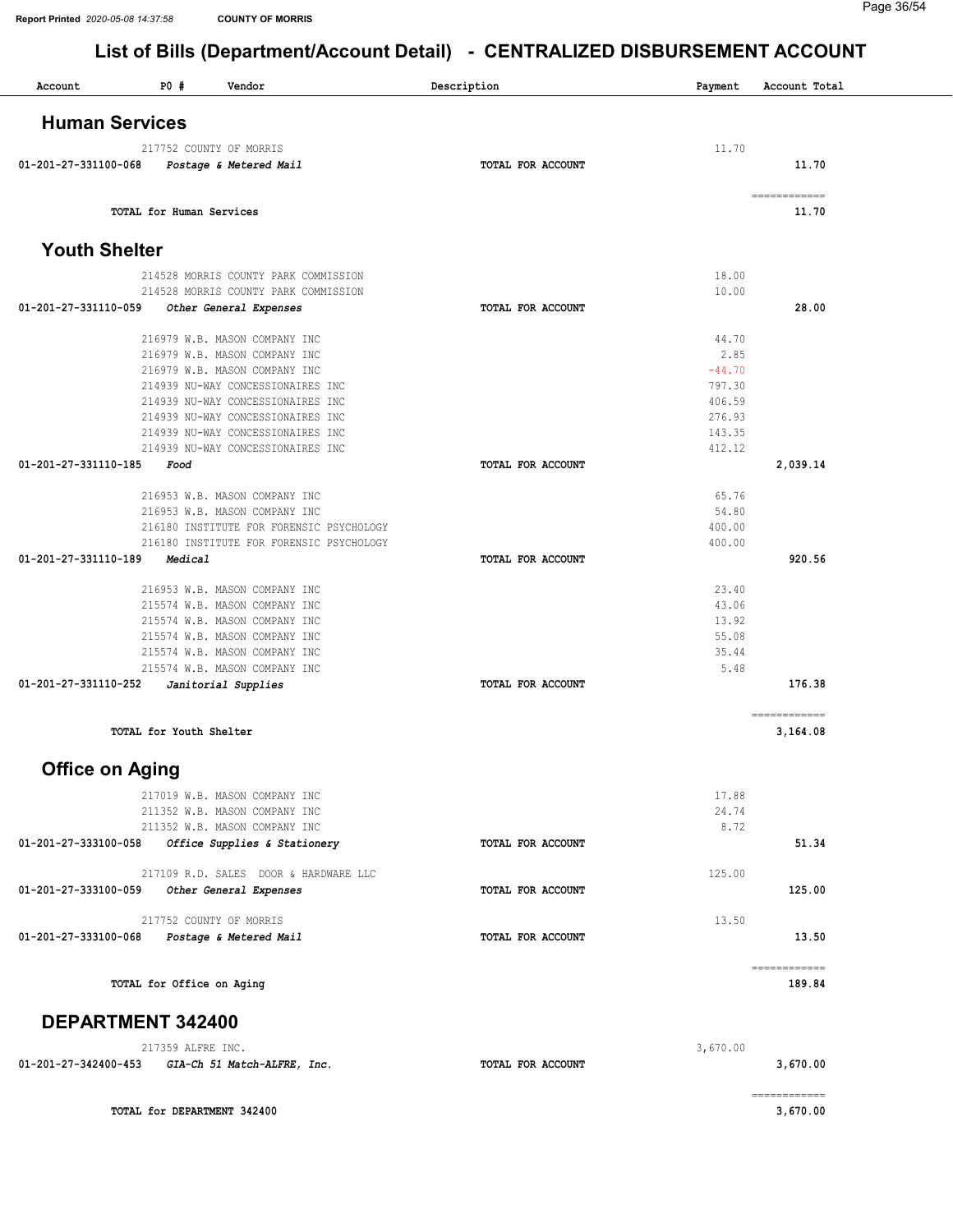| Account                | P0#                         | Vendor                                   | Description              | Payment  | Account Total            |
|------------------------|-----------------------------|------------------------------------------|--------------------------|----------|--------------------------|
| <b>Human Services</b>  |                             |                                          |                          |          |                          |
|                        | 217752 COUNTY OF MORRIS     |                                          |                          | 11.70    |                          |
| 01-201-27-331100-068   |                             | Postage & Metered Mail                   | TOTAL FOR ACCOUNT        |          | 11.70                    |
|                        | TOTAL for Human Services    |                                          |                          |          | ------------<br>11.70    |
| <b>Youth Shelter</b>   |                             |                                          |                          |          |                          |
|                        |                             | 214528 MORRIS COUNTY PARK COMMISSION     |                          | 18.00    |                          |
|                        |                             | 214528 MORRIS COUNTY PARK COMMISSION     |                          | 10.00    |                          |
| 01-201-27-331110-059   |                             | Other General Expenses                   | TOTAL FOR ACCOUNT        |          | 28.00                    |
|                        |                             | 216979 W.B. MASON COMPANY INC            |                          | 44.70    |                          |
|                        |                             | 216979 W.B. MASON COMPANY INC            |                          | 2.85     |                          |
|                        |                             | 216979 W.B. MASON COMPANY INC            |                          | $-44.70$ |                          |
|                        |                             | 214939 NU-WAY CONCESSIONAIRES INC        |                          | 797.30   |                          |
|                        |                             | 214939 NU-WAY CONCESSIONAIRES INC        |                          | 406.59   |                          |
|                        |                             | 214939 NU-WAY CONCESSIONAIRES INC        |                          | 276.93   |                          |
|                        |                             | 214939 NU-WAY CONCESSIONAIRES INC        |                          | 143.35   |                          |
|                        |                             | 214939 NU-WAY CONCESSIONAIRES INC        |                          | 412.12   |                          |
| 01-201-27-331110-185   | Food                        |                                          | TOTAL FOR ACCOUNT        |          | 2,039.14                 |
|                        |                             | 216953 W.B. MASON COMPANY INC            |                          | 65.76    |                          |
|                        |                             | 216953 W.B. MASON COMPANY INC            |                          | 54.80    |                          |
|                        |                             | 216180 INSTITUTE FOR FORENSIC PSYCHOLOGY |                          | 400.00   |                          |
|                        |                             | 216180 INSTITUTE FOR FORENSIC PSYCHOLOGY |                          | 400.00   |                          |
| 01-201-27-331110-189   | Medical                     |                                          | TOTAL FOR ACCOUNT        |          | 920.56                   |
|                        |                             |                                          |                          |          |                          |
|                        |                             | 216953 W.B. MASON COMPANY INC            |                          | 23.40    |                          |
|                        |                             | 215574 W.B. MASON COMPANY INC            |                          | 43.06    |                          |
|                        |                             | 215574 W.B. MASON COMPANY INC            |                          | 13.92    |                          |
|                        |                             | 215574 W.B. MASON COMPANY INC            |                          | 55.08    |                          |
|                        |                             | 215574 W.B. MASON COMPANY INC            |                          | 35.44    |                          |
|                        |                             | 215574 W.B. MASON COMPANY INC            |                          | 5.48     |                          |
| 01-201-27-331110-252   |                             | Janitorial Supplies                      | TOTAL FOR ACCOUNT        |          | 176.38                   |
|                        | TOTAL for Youth Shelter     |                                          |                          |          | ============<br>3,164.08 |
|                        |                             |                                          |                          |          |                          |
| <b>Office on Aging</b> |                             |                                          |                          |          |                          |
|                        |                             | 217019 W.B. MASON COMPANY INC            |                          | 17.88    |                          |
|                        |                             | 211352 W.B. MASON COMPANY INC            |                          | 24.74    |                          |
|                        |                             | 211352 W.B. MASON COMPANY INC            |                          | 8.72     |                          |
| 01-201-27-333100-058   |                             | Office Supplies & Stationery             | TOTAL FOR ACCOUNT        |          | 51.34                    |
|                        |                             | 217109 R.D. SALES DOOR & HARDWARE LLC    |                          | 125.00   |                          |
| 01-201-27-333100-059   |                             | Other General Expenses                   | TOTAL FOR ACCOUNT        |          | 125.00                   |
|                        | 217752 COUNTY OF MORRIS     |                                          |                          | 13.50    |                          |
| 01-201-27-333100-068   |                             | Postage & Metered Mail                   | <b>TOTAL FOR ACCOUNT</b> |          | 13.50                    |
|                        |                             |                                          |                          |          |                          |
|                        | TOTAL for Office on Aging   |                                          |                          |          | ------------<br>189.84   |
| DEPARTMENT 342400      |                             |                                          |                          |          |                          |
|                        | 217359 ALFRE INC.           |                                          |                          | 3,670.00 |                          |
| 01-201-27-342400-453   |                             | GIA-Ch 51 Match-ALFRE, Inc.              | TOTAL FOR ACCOUNT        |          | 3,670.00                 |
|                        |                             |                                          |                          |          | ============             |
|                        | TOTAL for DEPARTMENT 342400 |                                          |                          |          | 3,670.00                 |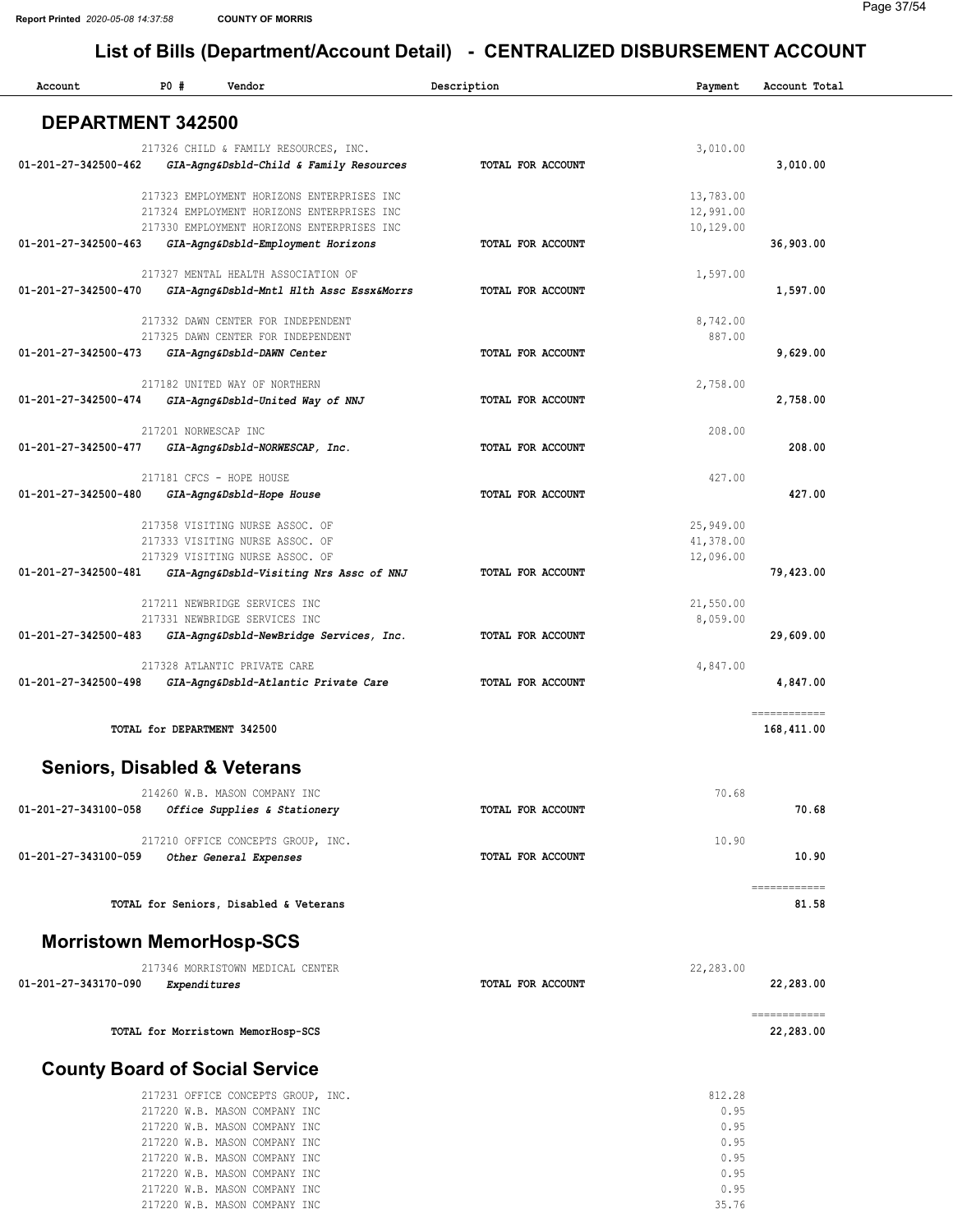217220 W.B. MASON COMPANY INC 217220 W.B. MASON COMPANY INC 217220 W.B. MASON COMPANY INC

### List of Bills (Department/Account Detail) - CENTRALIZED DISBURSEMENT ACCOUNT

| Account                        | P0#                  | Vendor                                                               | Description       | Payment                | Account Total                                                                                                                                                                                                                                                                                                                                                                                                                                                                          |
|--------------------------------|----------------------|----------------------------------------------------------------------|-------------------|------------------------|----------------------------------------------------------------------------------------------------------------------------------------------------------------------------------------------------------------------------------------------------------------------------------------------------------------------------------------------------------------------------------------------------------------------------------------------------------------------------------------|
| <b>DEPARTMENT 342500</b>       |                      |                                                                      |                   |                        |                                                                                                                                                                                                                                                                                                                                                                                                                                                                                        |
|                                |                      | 217326 CHILD & FAMILY RESOURCES, INC.                                |                   | 3,010.00               |                                                                                                                                                                                                                                                                                                                                                                                                                                                                                        |
| 01-201-27-342500-462           |                      | GIA-Agng&Dsbld-Child & Family Resources                              | TOTAL FOR ACCOUNT |                        | 3,010.00                                                                                                                                                                                                                                                                                                                                                                                                                                                                               |
|                                |                      | 217323 EMPLOYMENT HORIZONS ENTERPRISES INC                           |                   | 13,783.00              |                                                                                                                                                                                                                                                                                                                                                                                                                                                                                        |
|                                |                      | 217324 EMPLOYMENT HORIZONS ENTERPRISES INC                           |                   | 12,991.00              |                                                                                                                                                                                                                                                                                                                                                                                                                                                                                        |
|                                |                      | 217330 EMPLOYMENT HORIZONS ENTERPRISES INC                           |                   | 10,129.00              |                                                                                                                                                                                                                                                                                                                                                                                                                                                                                        |
| $01 - 201 - 27 - 342500 - 463$ |                      | GIA-Agng&Dsbld-Employment Horizons                                   | TOTAL FOR ACCOUNT |                        | 36,903.00                                                                                                                                                                                                                                                                                                                                                                                                                                                                              |
|                                |                      | 217327 MENTAL HEALTH ASSOCIATION OF                                  |                   | 1,597.00               |                                                                                                                                                                                                                                                                                                                                                                                                                                                                                        |
| 01-201-27-342500-470           |                      | GIA-Agng&Dsbld-Mntl Hlth Assc Essx&Morrs                             | TOTAL FOR ACCOUNT |                        | 1,597.00                                                                                                                                                                                                                                                                                                                                                                                                                                                                               |
|                                |                      | 217332 DAWN CENTER FOR INDEPENDENT                                   |                   | 8,742.00               |                                                                                                                                                                                                                                                                                                                                                                                                                                                                                        |
|                                |                      | 217325 DAWN CENTER FOR INDEPENDENT                                   |                   | 887.00                 |                                                                                                                                                                                                                                                                                                                                                                                                                                                                                        |
| 01-201-27-342500-473           |                      | GIA-Agng&Dsbld-DAWN Center                                           | TOTAL FOR ACCOUNT |                        | 9,629.00                                                                                                                                                                                                                                                                                                                                                                                                                                                                               |
|                                |                      | 217182 UNITED WAY OF NORTHERN                                        |                   | 2,758.00               |                                                                                                                                                                                                                                                                                                                                                                                                                                                                                        |
| 01-201-27-342500-474           |                      | GIA-Agng&Dsbld-United Way of NNJ                                     | TOTAL FOR ACCOUNT |                        | 2,758.00                                                                                                                                                                                                                                                                                                                                                                                                                                                                               |
|                                |                      |                                                                      |                   |                        |                                                                                                                                                                                                                                                                                                                                                                                                                                                                                        |
| 01-201-27-342500-477           | 217201 NORWESCAP INC | GIA-Agng&Dsbld-NORWESCAP, Inc.                                       | TOTAL FOR ACCOUNT | 208.00                 | 208.00                                                                                                                                                                                                                                                                                                                                                                                                                                                                                 |
|                                |                      |                                                                      |                   |                        |                                                                                                                                                                                                                                                                                                                                                                                                                                                                                        |
|                                |                      | 217181 CFCS - HOPE HOUSE                                             |                   | 427.00                 |                                                                                                                                                                                                                                                                                                                                                                                                                                                                                        |
| 01-201-27-342500-480           |                      | GIA-Agng&Dsbld-Hope House                                            | TOTAL FOR ACCOUNT |                        | 427.00                                                                                                                                                                                                                                                                                                                                                                                                                                                                                 |
|                                |                      | 217358 VISITING NURSE ASSOC. OF                                      |                   | 25,949.00              |                                                                                                                                                                                                                                                                                                                                                                                                                                                                                        |
|                                |                      | 217333 VISITING NURSE ASSOC. OF<br>217329 VISITING NURSE ASSOC. OF   |                   | 41,378.00<br>12,096.00 |                                                                                                                                                                                                                                                                                                                                                                                                                                                                                        |
| 01-201-27-342500-481           |                      | GIA-Agng&Dsbld-Visiting Nrs Assc of NNJ                              | TOTAL FOR ACCOUNT |                        | 79,423.00                                                                                                                                                                                                                                                                                                                                                                                                                                                                              |
|                                |                      |                                                                      |                   |                        |                                                                                                                                                                                                                                                                                                                                                                                                                                                                                        |
|                                |                      | 217211 NEWBRIDGE SERVICES INC<br>217331 NEWBRIDGE SERVICES INC       |                   | 21,550.00<br>8,059.00  |                                                                                                                                                                                                                                                                                                                                                                                                                                                                                        |
| 01-201-27-342500-483           |                      | GIA-Agng&Dsbld-NewBridge Services, Inc.                              | TOTAL FOR ACCOUNT |                        | 29,609.00                                                                                                                                                                                                                                                                                                                                                                                                                                                                              |
|                                |                      |                                                                      |                   |                        |                                                                                                                                                                                                                                                                                                                                                                                                                                                                                        |
| 01-201-27-342500-498           |                      | 217328 ATLANTIC PRIVATE CARE<br>GIA-Agng&Dsbld-Atlantic Private Care | TOTAL FOR ACCOUNT | 4,847.00               | 4,847.00                                                                                                                                                                                                                                                                                                                                                                                                                                                                               |
|                                |                      |                                                                      |                   |                        |                                                                                                                                                                                                                                                                                                                                                                                                                                                                                        |
|                                |                      | TOTAL for DEPARTMENT 342500                                          |                   |                        | ============<br>168,411.00                                                                                                                                                                                                                                                                                                                                                                                                                                                             |
|                                |                      |                                                                      |                   |                        |                                                                                                                                                                                                                                                                                                                                                                                                                                                                                        |
|                                |                      | <b>Seniors, Disabled &amp; Veterans</b>                              |                   |                        |                                                                                                                                                                                                                                                                                                                                                                                                                                                                                        |
|                                |                      | 214260 W.B. MASON COMPANY INC                                        |                   | 70.68                  |                                                                                                                                                                                                                                                                                                                                                                                                                                                                                        |
| 01-201-27-343100-058           |                      | Office Supplies & Stationery                                         | TOTAL FOR ACCOUNT |                        | 70.68                                                                                                                                                                                                                                                                                                                                                                                                                                                                                  |
|                                |                      | 217210 OFFICE CONCEPTS GROUP, INC.                                   |                   | 10.90                  |                                                                                                                                                                                                                                                                                                                                                                                                                                                                                        |
| 01-201-27-343100-059           |                      | Other General Expenses                                               | TOTAL FOR ACCOUNT |                        | 10.90                                                                                                                                                                                                                                                                                                                                                                                                                                                                                  |
|                                |                      |                                                                      |                   |                        | $\begin{array}{cccccccccc} \multicolumn{2}{c}{} & \multicolumn{2}{c}{} & \multicolumn{2}{c}{} & \multicolumn{2}{c}{} & \multicolumn{2}{c}{} & \multicolumn{2}{c}{} & \multicolumn{2}{c}{} & \multicolumn{2}{c}{} & \multicolumn{2}{c}{} & \multicolumn{2}{c}{} & \multicolumn{2}{c}{} & \multicolumn{2}{c}{} & \multicolumn{2}{c}{} & \multicolumn{2}{c}{} & \multicolumn{2}{c}{} & \multicolumn{2}{c}{} & \multicolumn{2}{c}{} & \multicolumn{2}{c}{} & \multicolumn{2}{c}{} & \mult$ |
|                                |                      | TOTAL for Seniors, Disabled & Veterans                               |                   |                        | 81.58                                                                                                                                                                                                                                                                                                                                                                                                                                                                                  |
|                                |                      | <b>Morristown MemorHosp-SCS</b>                                      |                   |                        |                                                                                                                                                                                                                                                                                                                                                                                                                                                                                        |
|                                |                      | 217346 MORRISTOWN MEDICAL CENTER                                     |                   | 22,283.00              |                                                                                                                                                                                                                                                                                                                                                                                                                                                                                        |
| 01-201-27-343170-090           | Expenditures         |                                                                      | TOTAL FOR ACCOUNT |                        | 22,283.00                                                                                                                                                                                                                                                                                                                                                                                                                                                                              |
|                                |                      |                                                                      |                   |                        |                                                                                                                                                                                                                                                                                                                                                                                                                                                                                        |
|                                |                      | TOTAL for Morristown MemorHosp-SCS                                   |                   |                        | ============<br>22,283.00                                                                                                                                                                                                                                                                                                                                                                                                                                                              |
|                                |                      | <b>County Board of Social Service</b>                                |                   |                        |                                                                                                                                                                                                                                                                                                                                                                                                                                                                                        |
|                                |                      | 217231 OFFICE CONCEPTS GROUP, INC.                                   |                   | 812.28                 |                                                                                                                                                                                                                                                                                                                                                                                                                                                                                        |
|                                |                      | 217220 W.B. MASON COMPANY INC                                        |                   | 0.95                   |                                                                                                                                                                                                                                                                                                                                                                                                                                                                                        |
|                                |                      | 217220 W.B. MASON COMPANY INC                                        |                   | 0.95                   |                                                                                                                                                                                                                                                                                                                                                                                                                                                                                        |
|                                |                      | 217220 W.B. MASON COMPANY INC<br>217220 W.B. MASON COMPANY INC       |                   | 0.95<br>0.95           |                                                                                                                                                                                                                                                                                                                                                                                                                                                                                        |

0.95 0.95 35.76 Page 37/54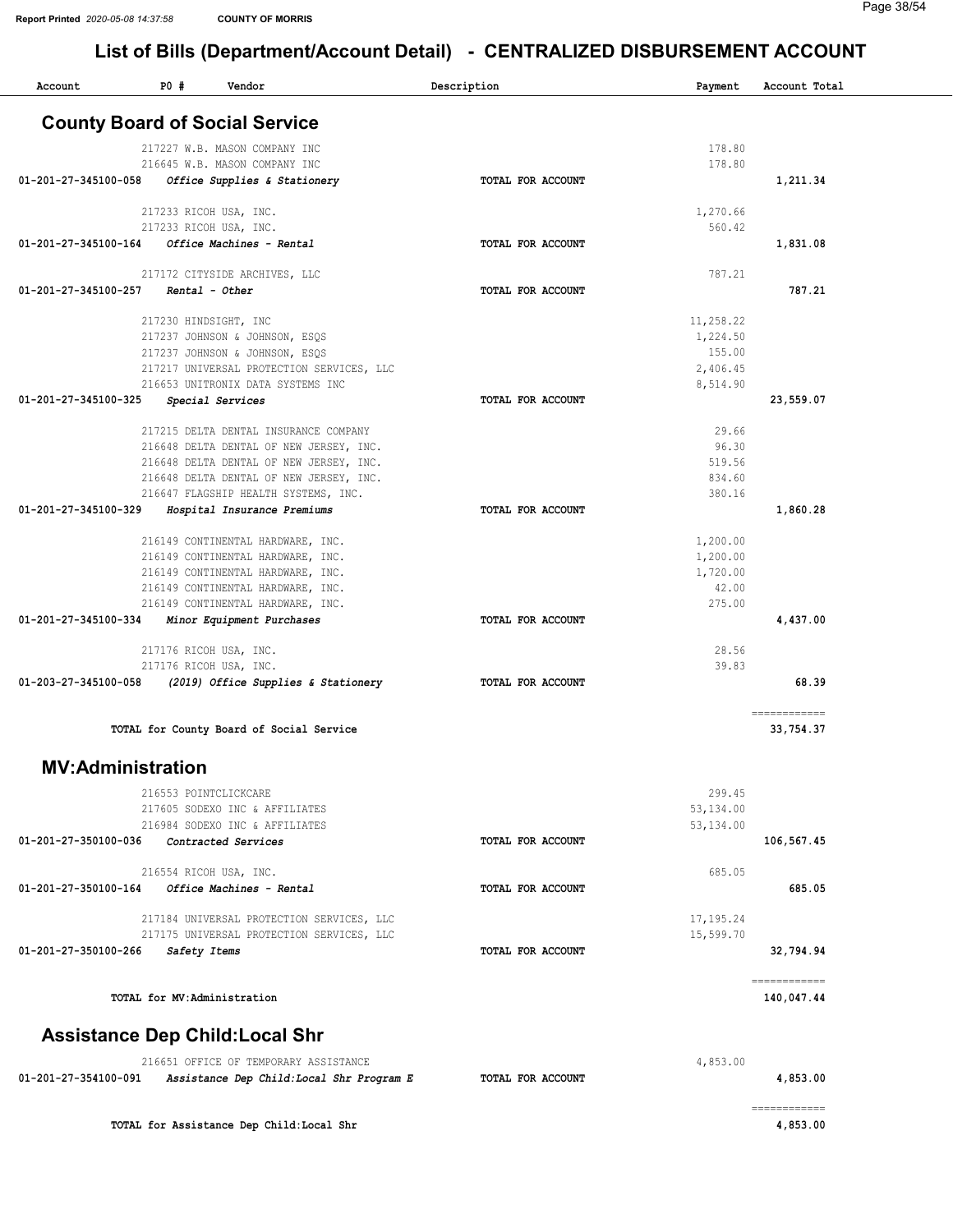| Account                  | $P0$ #<br>Vendor                                                                   | Description              | Payment    | Account Total              |
|--------------------------|------------------------------------------------------------------------------------|--------------------------|------------|----------------------------|
|                          | <b>County Board of Social Service</b>                                              |                          |            |                            |
|                          | 217227 W.B. MASON COMPANY INC                                                      |                          | 178.80     |                            |
|                          | 216645 W.B. MASON COMPANY INC                                                      |                          | 178.80     |                            |
| 01-201-27-345100-058     | Office Supplies & Stationery                                                       | TOTAL FOR ACCOUNT        |            | 1,211.34                   |
|                          | 217233 RICOH USA, INC.                                                             |                          | 1,270.66   |                            |
|                          | 217233 RICOH USA, INC.                                                             |                          | 560.42     |                            |
| 01-201-27-345100-164     | Office Machines - Rental                                                           | TOTAL FOR ACCOUNT        |            | 1,831.08                   |
|                          | 217172 CITYSIDE ARCHIVES, LLC                                                      |                          | 787.21     |                            |
| 01-201-27-345100-257     | Rental - Other                                                                     | TOTAL FOR ACCOUNT        |            | 787.21                     |
|                          | 217230 HINDSIGHT, INC                                                              |                          | 11,258.22  |                            |
|                          | 217237 JOHNSON & JOHNSON, ESQS                                                     |                          | 1,224.50   |                            |
|                          | 217237 JOHNSON & JOHNSON, ESQS                                                     |                          | 155.00     |                            |
|                          | 217217 UNIVERSAL PROTECTION SERVICES, LLC                                          |                          | 2,406.45   |                            |
|                          | 216653 UNITRONIX DATA SYSTEMS INC                                                  |                          | 8,514.90   |                            |
| 01-201-27-345100-325     | Special Services                                                                   | TOTAL FOR ACCOUNT        |            | 23,559.07                  |
|                          | 217215 DELTA DENTAL INSURANCE COMPANY                                              |                          | 29.66      |                            |
|                          | 216648 DELTA DENTAL OF NEW JERSEY, INC.                                            |                          | 96.30      |                            |
|                          | 216648 DELTA DENTAL OF NEW JERSEY, INC.                                            |                          | 519.56     |                            |
|                          | 216648 DELTA DENTAL OF NEW JERSEY, INC.                                            |                          | 834.60     |                            |
|                          | 216647 FLAGSHIP HEALTH SYSTEMS, INC.                                               |                          | 380.16     |                            |
| 01-201-27-345100-329     | Hospital Insurance Premiums                                                        | TOTAL FOR ACCOUNT        |            | 1,860.28                   |
|                          | 216149 CONTINENTAL HARDWARE, INC.                                                  |                          | 1,200.00   |                            |
|                          | 216149 CONTINENTAL HARDWARE, INC.                                                  |                          | 1,200.00   |                            |
|                          | 216149 CONTINENTAL HARDWARE, INC.                                                  |                          | 1,720.00   |                            |
|                          | 216149 CONTINENTAL HARDWARE, INC.                                                  |                          | 42.00      |                            |
|                          | 216149 CONTINENTAL HARDWARE, INC.                                                  |                          | 275.00     |                            |
| 01-201-27-345100-334     | Minor Equipment Purchases                                                          | TOTAL FOR ACCOUNT        |            | 4,437.00                   |
|                          | 217176 RICOH USA, INC.                                                             |                          | 28.56      |                            |
|                          | 217176 RICOH USA, INC.                                                             |                          | 39.83      |                            |
| 01-203-27-345100-058     | (2019) Office Supplies & Stationery                                                | TOTAL FOR ACCOUNT        |            | 68.39                      |
|                          | TOTAL for County Board of Social Service                                           |                          |            | ============<br>33,754.37  |
|                          |                                                                                    |                          |            |                            |
| <b>MV:Administration</b> |                                                                                    |                          |            |                            |
|                          | 216553 POINTCLICKCARE                                                              |                          | 299.45     |                            |
|                          | 217605 SODEXO INC & AFFILIATES                                                     |                          | 53, 134.00 |                            |
|                          | 216984 SODEXO INC & AFFILIATES                                                     |                          | 53, 134.00 |                            |
| 01-201-27-350100-036     | Contracted Services                                                                | <b>TOTAL FOR ACCOUNT</b> |            | 106,567.45                 |
|                          | 216554 RICOH USA, INC.                                                             |                          | 685.05     |                            |
| 01-201-27-350100-164     | Office Machines - Rental                                                           | TOTAL FOR ACCOUNT        |            | 685.05                     |
|                          | 217184 UNIVERSAL PROTECTION SERVICES, LLC                                          |                          | 17, 195.24 |                            |
|                          | 217175 UNIVERSAL PROTECTION SERVICES, LLC                                          |                          | 15,599.70  |                            |
| 01-201-27-350100-266     | Safety Items                                                                       | <b>TOTAL FOR ACCOUNT</b> |            | 32,794.94                  |
|                          |                                                                                    |                          |            |                            |
|                          | TOTAL for MV:Administration                                                        |                          |            | ============<br>140,047.44 |
|                          | <b>Assistance Dep Child: Local Shr</b>                                             |                          |            |                            |
|                          |                                                                                    |                          |            |                            |
| 01-201-27-354100-091     | 216651 OFFICE OF TEMPORARY ASSISTANCE<br>Assistance Dep Child: Local Shr Program E | TOTAL FOR ACCOUNT        | 4,853.00   | 4,853.00                   |
|                          |                                                                                    |                          |            | ============               |
|                          | TOTAL for Assistance Dep Child: Local Shr                                          |                          |            | 4,853.00                   |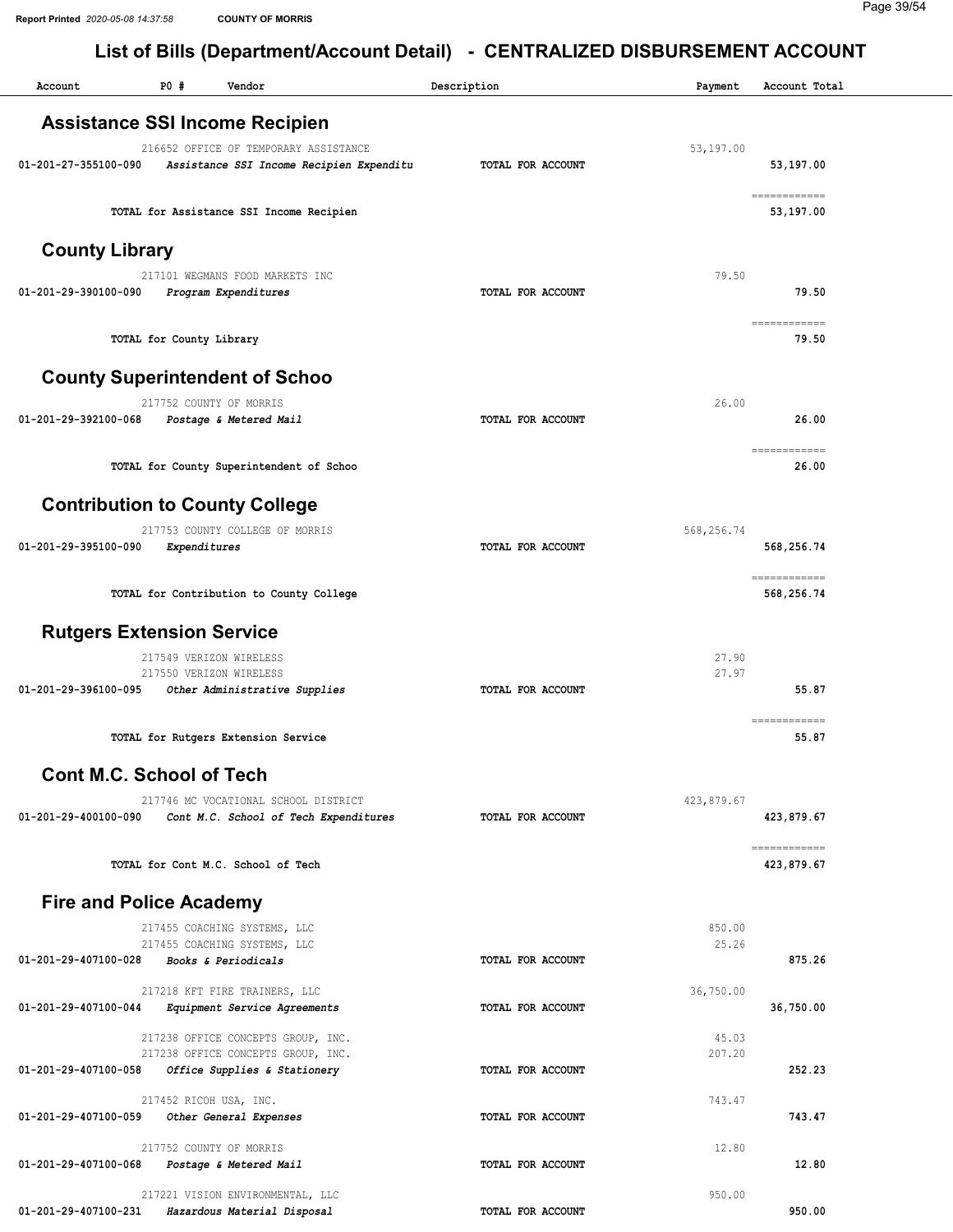Report Printed 2020-05-08 14:37:58 COUNTY OF MORRIS

| Account                          | PO#                      | List of Dins (Department/Account Detail)<br>Vendor                                | Description              | Payment    | Account Total                                                                                                                                                                                                                                                                                                                                                                                                                             |
|----------------------------------|--------------------------|-----------------------------------------------------------------------------------|--------------------------|------------|-------------------------------------------------------------------------------------------------------------------------------------------------------------------------------------------------------------------------------------------------------------------------------------------------------------------------------------------------------------------------------------------------------------------------------------------|
|                                  |                          | <b>Assistance SSI Income Recipien</b>                                             |                          |            |                                                                                                                                                                                                                                                                                                                                                                                                                                           |
|                                  |                          |                                                                                   |                          |            |                                                                                                                                                                                                                                                                                                                                                                                                                                           |
| 01-201-27-355100-090             |                          | 216652 OFFICE OF TEMPORARY ASSISTANCE<br>Assistance SSI Income Recipien Expenditu | TOTAL FOR ACCOUNT        | 53,197.00  | 53,197.00                                                                                                                                                                                                                                                                                                                                                                                                                                 |
|                                  |                          | TOTAL for Assistance SSI Income Recipien                                          |                          |            | ============<br>53,197.00                                                                                                                                                                                                                                                                                                                                                                                                                 |
| <b>County Library</b>            |                          |                                                                                   |                          |            |                                                                                                                                                                                                                                                                                                                                                                                                                                           |
| 01-201-29-390100-090             |                          | 217101 WEGMANS FOOD MARKETS INC<br>Program Expenditures                           | <b>TOTAL FOR ACCOUNT</b> | 79.50      | 79.50                                                                                                                                                                                                                                                                                                                                                                                                                                     |
|                                  | TOTAL for County Library |                                                                                   |                          |            | ============<br>79.50                                                                                                                                                                                                                                                                                                                                                                                                                     |
|                                  |                          | <b>County Superintendent of Schoo</b>                                             |                          |            |                                                                                                                                                                                                                                                                                                                                                                                                                                           |
|                                  |                          | 217752 COUNTY OF MORRIS                                                           |                          | 26.00      |                                                                                                                                                                                                                                                                                                                                                                                                                                           |
| 01-201-29-392100-068             |                          | Postage & Metered Mail                                                            | TOTAL FOR ACCOUNT        |            | 26.00<br>$\begin{minipage}{0.9\linewidth} \hspace*{-0.2cm} \textbf{1} & \textbf{1} & \textbf{1} & \textbf{1} & \textbf{1} & \textbf{1} & \textbf{1} & \textbf{1} & \textbf{1} & \textbf{1} & \textbf{1} & \textbf{1} & \textbf{1} & \textbf{1} & \textbf{1} & \textbf{1} & \textbf{1} & \textbf{1} & \textbf{1} & \textbf{1} & \textbf{1} & \textbf{1} & \textbf{1} & \textbf{1} & \textbf{1} & \textbf{1} & \textbf{1} & \textbf{1} & \$ |
|                                  |                          | TOTAL for County Superintendent of Schoo                                          |                          |            | 26.00                                                                                                                                                                                                                                                                                                                                                                                                                                     |
|                                  |                          | <b>Contribution to County College</b>                                             |                          |            |                                                                                                                                                                                                                                                                                                                                                                                                                                           |
|                                  |                          | 217753 COUNTY COLLEGE OF MORRIS                                                   |                          | 568,256.74 |                                                                                                                                                                                                                                                                                                                                                                                                                                           |
| 01-201-29-395100-090             | Expenditures             |                                                                                   | <b>TOTAL FOR ACCOUNT</b> |            | 568,256.74<br>============                                                                                                                                                                                                                                                                                                                                                                                                                |
|                                  |                          | TOTAL for Contribution to County College                                          |                          |            | 568,256.74                                                                                                                                                                                                                                                                                                                                                                                                                                |
| <b>Rutgers Extension Service</b> |                          |                                                                                   |                          |            |                                                                                                                                                                                                                                                                                                                                                                                                                                           |
|                                  |                          | 217549 VERIZON WIRELESS                                                           |                          | 27.90      |                                                                                                                                                                                                                                                                                                                                                                                                                                           |
| 01-201-29-396100-095             |                          | 217550 VERIZON WIRELESS<br>Other Administrative Supplies                          | TOTAL FOR ACCOUNT        | 27.97      | 55.87                                                                                                                                                                                                                                                                                                                                                                                                                                     |
|                                  |                          |                                                                                   |                          |            | ============                                                                                                                                                                                                                                                                                                                                                                                                                              |
|                                  |                          | TOTAL for Rutgers Extension Service                                               |                          |            | 55.87                                                                                                                                                                                                                                                                                                                                                                                                                                     |
| <b>Cont M.C. School of Tech</b>  |                          |                                                                                   |                          |            |                                                                                                                                                                                                                                                                                                                                                                                                                                           |
| 01-201-29-400100-090             |                          | 217746 MC VOCATIONAL SCHOOL DISTRICT<br>Cont M.C. School of Tech Expenditures     | TOTAL FOR ACCOUNT        | 423,879.67 | 423,879.67                                                                                                                                                                                                                                                                                                                                                                                                                                |
|                                  |                          | TOTAL for Cont M.C. School of Tech                                                |                          |            | ------------<br>423,879.67                                                                                                                                                                                                                                                                                                                                                                                                                |
| <b>Fire and Police Academy</b>   |                          |                                                                                   |                          |            |                                                                                                                                                                                                                                                                                                                                                                                                                                           |
|                                  |                          | 217455 COACHING SYSTEMS, LLC                                                      |                          | 850.00     |                                                                                                                                                                                                                                                                                                                                                                                                                                           |
|                                  |                          | 217455 COACHING SYSTEMS, LLC                                                      |                          | 25.26      |                                                                                                                                                                                                                                                                                                                                                                                                                                           |
| 01-201-29-407100-028             |                          | <b>Books &amp; Periodicals</b>                                                    | TOTAL FOR ACCOUNT        |            | 875.26                                                                                                                                                                                                                                                                                                                                                                                                                                    |
|                                  |                          | 217218 KFT FIRE TRAINERS, LLC                                                     |                          | 36,750.00  |                                                                                                                                                                                                                                                                                                                                                                                                                                           |
| 01-201-29-407100-044             |                          | Equipment Service Agreements                                                      | TOTAL FOR ACCOUNT        |            | 36,750.00                                                                                                                                                                                                                                                                                                                                                                                                                                 |
|                                  |                          | 217238 OFFICE CONCEPTS GROUP, INC.                                                |                          | 45.03      |                                                                                                                                                                                                                                                                                                                                                                                                                                           |
|                                  |                          | 217238 OFFICE CONCEPTS GROUP, INC.                                                |                          | 207.20     |                                                                                                                                                                                                                                                                                                                                                                                                                                           |
| 01-201-29-407100-058             |                          | Office Supplies & Stationery                                                      | TOTAL FOR ACCOUNT        |            | 252.23                                                                                                                                                                                                                                                                                                                                                                                                                                    |
|                                  |                          | 217452 RICOH USA, INC.                                                            |                          | 743.47     |                                                                                                                                                                                                                                                                                                                                                                                                                                           |
| 01-201-29-407100-059             |                          | Other General Expenses                                                            | TOTAL FOR ACCOUNT        |            | 743.47                                                                                                                                                                                                                                                                                                                                                                                                                                    |
|                                  |                          | 217752 COUNTY OF MORRIS                                                           |                          | 12.80      |                                                                                                                                                                                                                                                                                                                                                                                                                                           |
| 01-201-29-407100-068             |                          | Postage & Metered Mail                                                            | TOTAL FOR ACCOUNT        |            | 12.80                                                                                                                                                                                                                                                                                                                                                                                                                                     |
|                                  |                          | 217221 VISION ENVIRONMENTAL, LLC                                                  |                          | 950.00     |                                                                                                                                                                                                                                                                                                                                                                                                                                           |
| 01-201-29-407100-231             |                          | Hazardous Material Disposal                                                       | TOTAL FOR ACCOUNT        |            | 950.00                                                                                                                                                                                                                                                                                                                                                                                                                                    |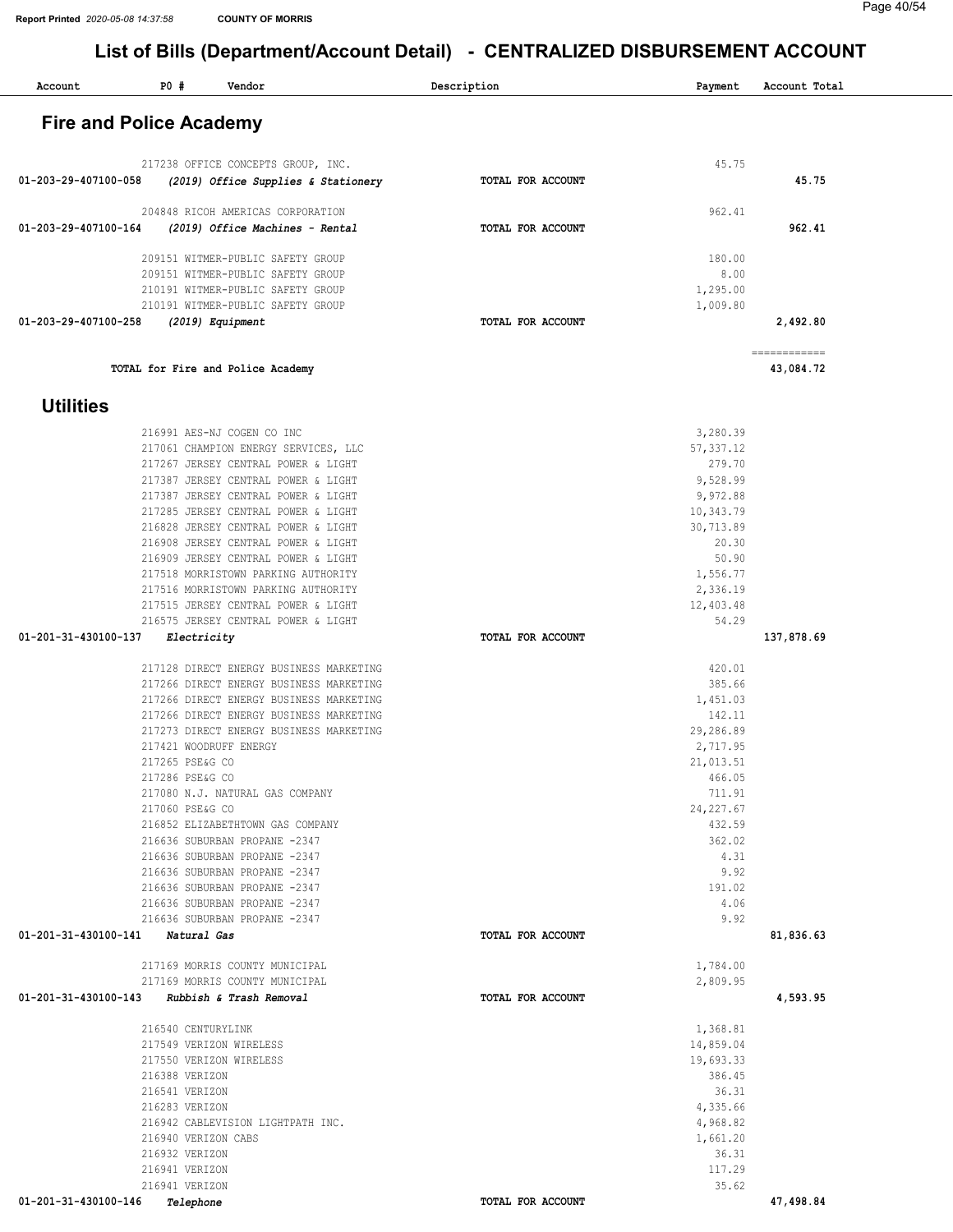| <b>Fire and Police Academy</b><br>45.75<br>217238 OFFICE CONCEPTS GROUP, INC.<br>45.75<br>01-203-29-407100-058<br>TOTAL FOR ACCOUNT<br>(2019) Office Supplies & Stationery<br>204848 RICOH AMERICAS CORPORATION<br>962.41<br>962.41<br>01-203-29-407100-164<br>(2019) Office Machines - Rental<br>TOTAL FOR ACCOUNT<br>209151 WITMER-PUBLIC SAFETY GROUP<br>180.00<br>209151 WITMER-PUBLIC SAFETY GROUP<br>8.00<br>210191 WITMER-PUBLIC SAFETY GROUP<br>1,295.00<br>210191 WITMER-PUBLIC SAFETY GROUP<br>1,009.80<br>01-203-29-407100-258<br>TOTAL FOR ACCOUNT<br>2,492.80<br>(2019) Equipment<br>============<br>TOTAL for Fire and Police Academy<br>43,084.72<br><b>Utilities</b><br>3,280.39<br>216991 AES-NJ COGEN CO INC<br>217061 CHAMPION ENERGY SERVICES, LLC<br>57, 337.12<br>279.70<br>217267 JERSEY CENTRAL POWER & LIGHT<br>217387 JERSEY CENTRAL POWER & LIGHT<br>9,528.99<br>217387 JERSEY CENTRAL POWER & LIGHT<br>9,972.88<br>217285 JERSEY CENTRAL POWER & LIGHT<br>10,343.79<br>216828 JERSEY CENTRAL POWER & LIGHT<br>30,713.89<br>216908 JERSEY CENTRAL POWER & LIGHT<br>20.30<br>216909 JERSEY CENTRAL POWER & LIGHT<br>50.90<br>217518 MORRISTOWN PARKING AUTHORITY<br>1,556.77<br>2,336.19<br>217516 MORRISTOWN PARKING AUTHORITY<br>12,403.48<br>217515 JERSEY CENTRAL POWER & LIGHT<br>216575 JERSEY CENTRAL POWER & LIGHT<br>54.29<br>01-201-31-430100-137<br>137,878.69<br>Electricity<br>TOTAL FOR ACCOUNT<br>217128 DIRECT ENERGY BUSINESS MARKETING<br>420.01<br>385.66<br>217266 DIRECT ENERGY BUSINESS MARKETING<br>1,451.03<br>217266 DIRECT ENERGY BUSINESS MARKETING<br>142.11<br>217266 DIRECT ENERGY BUSINESS MARKETING<br>29,286.89<br>217273 DIRECT ENERGY BUSINESS MARKETING<br>217421 WOODRUFF ENERGY<br>2,717.95<br>217265 PSE&G CO<br>21,013.51<br>217286 PSE&G CO<br>466.05<br>711.91<br>217080 N.J. NATURAL GAS COMPANY<br>217060 PSE&G CO<br>24, 227.67<br>216852 ELIZABETHTOWN GAS COMPANY<br>432.59<br>216636 SUBURBAN PROPANE -2347<br>362.02<br>4.31<br>216636 SUBURBAN PROPANE -2347<br>9.92<br>216636 SUBURBAN PROPANE -2347<br>216636 SUBURBAN PROPANE -2347<br>191.02<br>4.06<br>216636 SUBURBAN PROPANE -2347<br>9.92<br>216636 SUBURBAN PROPANE -2347<br>01-201-31-430100-141 Natural Gas<br>TOTAL FOR ACCOUNT<br>81,836.63<br>217169 MORRIS COUNTY MUNICIPAL<br>1,784.00<br>217169 MORRIS COUNTY MUNICIPAL<br>2,809.95<br>4,593.95<br>01-201-31-430100-143 Rubbish & Trash Removal<br>TOTAL FOR ACCOUNT<br>216540 CENTURYLINK<br>1,368.81<br>217549 VERIZON WIRELESS<br>14,859.04<br>217550 VERIZON WIRELESS<br>19,693.33<br>386.45<br>216388 VERIZON<br>36.31<br>216541 VERIZON<br>4,335.66<br>216283 VERIZON<br>216942 CABLEVISION LIGHTPATH INC.<br>4,968.82<br>1,661.20<br>216940 VERIZON CABS<br>216932 VERIZON<br>36.31<br>117.29<br>216941 VERIZON<br>216941 VERIZON<br>35.62<br>01-201-31-430100-146 Telephone<br>TOTAL FOR ACCOUNT<br>47,498.84 | Account | PO # | Vendor | Description | Payment | Account Total |  |
|--------------------------------------------------------------------------------------------------------------------------------------------------------------------------------------------------------------------------------------------------------------------------------------------------------------------------------------------------------------------------------------------------------------------------------------------------------------------------------------------------------------------------------------------------------------------------------------------------------------------------------------------------------------------------------------------------------------------------------------------------------------------------------------------------------------------------------------------------------------------------------------------------------------------------------------------------------------------------------------------------------------------------------------------------------------------------------------------------------------------------------------------------------------------------------------------------------------------------------------------------------------------------------------------------------------------------------------------------------------------------------------------------------------------------------------------------------------------------------------------------------------------------------------------------------------------------------------------------------------------------------------------------------------------------------------------------------------------------------------------------------------------------------------------------------------------------------------------------------------------------------------------------------------------------------------------------------------------------------------------------------------------------------------------------------------------------------------------------------------------------------------------------------------------------------------------------------------------------------------------------------------------------------------------------------------------------------------------------------------------------------------------------------------------------------------------------------------------------------------------------------------------------------------------------------------------------------------------------------------------------------------------------------------------------------------------------------------------------------------------------------------------------------------------------------------------------------------------------------------------------------------------------------------------|---------|------|--------|-------------|---------|---------------|--|
|                                                                                                                                                                                                                                                                                                                                                                                                                                                                                                                                                                                                                                                                                                                                                                                                                                                                                                                                                                                                                                                                                                                                                                                                                                                                                                                                                                                                                                                                                                                                                                                                                                                                                                                                                                                                                                                                                                                                                                                                                                                                                                                                                                                                                                                                                                                                                                                                                                                                                                                                                                                                                                                                                                                                                                                                                                                                                                                    |         |      |        |             |         |               |  |
|                                                                                                                                                                                                                                                                                                                                                                                                                                                                                                                                                                                                                                                                                                                                                                                                                                                                                                                                                                                                                                                                                                                                                                                                                                                                                                                                                                                                                                                                                                                                                                                                                                                                                                                                                                                                                                                                                                                                                                                                                                                                                                                                                                                                                                                                                                                                                                                                                                                                                                                                                                                                                                                                                                                                                                                                                                                                                                                    |         |      |        |             |         |               |  |
|                                                                                                                                                                                                                                                                                                                                                                                                                                                                                                                                                                                                                                                                                                                                                                                                                                                                                                                                                                                                                                                                                                                                                                                                                                                                                                                                                                                                                                                                                                                                                                                                                                                                                                                                                                                                                                                                                                                                                                                                                                                                                                                                                                                                                                                                                                                                                                                                                                                                                                                                                                                                                                                                                                                                                                                                                                                                                                                    |         |      |        |             |         |               |  |
|                                                                                                                                                                                                                                                                                                                                                                                                                                                                                                                                                                                                                                                                                                                                                                                                                                                                                                                                                                                                                                                                                                                                                                                                                                                                                                                                                                                                                                                                                                                                                                                                                                                                                                                                                                                                                                                                                                                                                                                                                                                                                                                                                                                                                                                                                                                                                                                                                                                                                                                                                                                                                                                                                                                                                                                                                                                                                                                    |         |      |        |             |         |               |  |
|                                                                                                                                                                                                                                                                                                                                                                                                                                                                                                                                                                                                                                                                                                                                                                                                                                                                                                                                                                                                                                                                                                                                                                                                                                                                                                                                                                                                                                                                                                                                                                                                                                                                                                                                                                                                                                                                                                                                                                                                                                                                                                                                                                                                                                                                                                                                                                                                                                                                                                                                                                                                                                                                                                                                                                                                                                                                                                                    |         |      |        |             |         |               |  |
|                                                                                                                                                                                                                                                                                                                                                                                                                                                                                                                                                                                                                                                                                                                                                                                                                                                                                                                                                                                                                                                                                                                                                                                                                                                                                                                                                                                                                                                                                                                                                                                                                                                                                                                                                                                                                                                                                                                                                                                                                                                                                                                                                                                                                                                                                                                                                                                                                                                                                                                                                                                                                                                                                                                                                                                                                                                                                                                    |         |      |        |             |         |               |  |
|                                                                                                                                                                                                                                                                                                                                                                                                                                                                                                                                                                                                                                                                                                                                                                                                                                                                                                                                                                                                                                                                                                                                                                                                                                                                                                                                                                                                                                                                                                                                                                                                                                                                                                                                                                                                                                                                                                                                                                                                                                                                                                                                                                                                                                                                                                                                                                                                                                                                                                                                                                                                                                                                                                                                                                                                                                                                                                                    |         |      |        |             |         |               |  |
|                                                                                                                                                                                                                                                                                                                                                                                                                                                                                                                                                                                                                                                                                                                                                                                                                                                                                                                                                                                                                                                                                                                                                                                                                                                                                                                                                                                                                                                                                                                                                                                                                                                                                                                                                                                                                                                                                                                                                                                                                                                                                                                                                                                                                                                                                                                                                                                                                                                                                                                                                                                                                                                                                                                                                                                                                                                                                                                    |         |      |        |             |         |               |  |
|                                                                                                                                                                                                                                                                                                                                                                                                                                                                                                                                                                                                                                                                                                                                                                                                                                                                                                                                                                                                                                                                                                                                                                                                                                                                                                                                                                                                                                                                                                                                                                                                                                                                                                                                                                                                                                                                                                                                                                                                                                                                                                                                                                                                                                                                                                                                                                                                                                                                                                                                                                                                                                                                                                                                                                                                                                                                                                                    |         |      |        |             |         |               |  |
|                                                                                                                                                                                                                                                                                                                                                                                                                                                                                                                                                                                                                                                                                                                                                                                                                                                                                                                                                                                                                                                                                                                                                                                                                                                                                                                                                                                                                                                                                                                                                                                                                                                                                                                                                                                                                                                                                                                                                                                                                                                                                                                                                                                                                                                                                                                                                                                                                                                                                                                                                                                                                                                                                                                                                                                                                                                                                                                    |         |      |        |             |         |               |  |
|                                                                                                                                                                                                                                                                                                                                                                                                                                                                                                                                                                                                                                                                                                                                                                                                                                                                                                                                                                                                                                                                                                                                                                                                                                                                                                                                                                                                                                                                                                                                                                                                                                                                                                                                                                                                                                                                                                                                                                                                                                                                                                                                                                                                                                                                                                                                                                                                                                                                                                                                                                                                                                                                                                                                                                                                                                                                                                                    |         |      |        |             |         |               |  |
|                                                                                                                                                                                                                                                                                                                                                                                                                                                                                                                                                                                                                                                                                                                                                                                                                                                                                                                                                                                                                                                                                                                                                                                                                                                                                                                                                                                                                                                                                                                                                                                                                                                                                                                                                                                                                                                                                                                                                                                                                                                                                                                                                                                                                                                                                                                                                                                                                                                                                                                                                                                                                                                                                                                                                                                                                                                                                                                    |         |      |        |             |         |               |  |
|                                                                                                                                                                                                                                                                                                                                                                                                                                                                                                                                                                                                                                                                                                                                                                                                                                                                                                                                                                                                                                                                                                                                                                                                                                                                                                                                                                                                                                                                                                                                                                                                                                                                                                                                                                                                                                                                                                                                                                                                                                                                                                                                                                                                                                                                                                                                                                                                                                                                                                                                                                                                                                                                                                                                                                                                                                                                                                                    |         |      |        |             |         |               |  |
|                                                                                                                                                                                                                                                                                                                                                                                                                                                                                                                                                                                                                                                                                                                                                                                                                                                                                                                                                                                                                                                                                                                                                                                                                                                                                                                                                                                                                                                                                                                                                                                                                                                                                                                                                                                                                                                                                                                                                                                                                                                                                                                                                                                                                                                                                                                                                                                                                                                                                                                                                                                                                                                                                                                                                                                                                                                                                                                    |         |      |        |             |         |               |  |
|                                                                                                                                                                                                                                                                                                                                                                                                                                                                                                                                                                                                                                                                                                                                                                                                                                                                                                                                                                                                                                                                                                                                                                                                                                                                                                                                                                                                                                                                                                                                                                                                                                                                                                                                                                                                                                                                                                                                                                                                                                                                                                                                                                                                                                                                                                                                                                                                                                                                                                                                                                                                                                                                                                                                                                                                                                                                                                                    |         |      |        |             |         |               |  |
|                                                                                                                                                                                                                                                                                                                                                                                                                                                                                                                                                                                                                                                                                                                                                                                                                                                                                                                                                                                                                                                                                                                                                                                                                                                                                                                                                                                                                                                                                                                                                                                                                                                                                                                                                                                                                                                                                                                                                                                                                                                                                                                                                                                                                                                                                                                                                                                                                                                                                                                                                                                                                                                                                                                                                                                                                                                                                                                    |         |      |        |             |         |               |  |
|                                                                                                                                                                                                                                                                                                                                                                                                                                                                                                                                                                                                                                                                                                                                                                                                                                                                                                                                                                                                                                                                                                                                                                                                                                                                                                                                                                                                                                                                                                                                                                                                                                                                                                                                                                                                                                                                                                                                                                                                                                                                                                                                                                                                                                                                                                                                                                                                                                                                                                                                                                                                                                                                                                                                                                                                                                                                                                                    |         |      |        |             |         |               |  |
|                                                                                                                                                                                                                                                                                                                                                                                                                                                                                                                                                                                                                                                                                                                                                                                                                                                                                                                                                                                                                                                                                                                                                                                                                                                                                                                                                                                                                                                                                                                                                                                                                                                                                                                                                                                                                                                                                                                                                                                                                                                                                                                                                                                                                                                                                                                                                                                                                                                                                                                                                                                                                                                                                                                                                                                                                                                                                                                    |         |      |        |             |         |               |  |
|                                                                                                                                                                                                                                                                                                                                                                                                                                                                                                                                                                                                                                                                                                                                                                                                                                                                                                                                                                                                                                                                                                                                                                                                                                                                                                                                                                                                                                                                                                                                                                                                                                                                                                                                                                                                                                                                                                                                                                                                                                                                                                                                                                                                                                                                                                                                                                                                                                                                                                                                                                                                                                                                                                                                                                                                                                                                                                                    |         |      |        |             |         |               |  |
|                                                                                                                                                                                                                                                                                                                                                                                                                                                                                                                                                                                                                                                                                                                                                                                                                                                                                                                                                                                                                                                                                                                                                                                                                                                                                                                                                                                                                                                                                                                                                                                                                                                                                                                                                                                                                                                                                                                                                                                                                                                                                                                                                                                                                                                                                                                                                                                                                                                                                                                                                                                                                                                                                                                                                                                                                                                                                                                    |         |      |        |             |         |               |  |
|                                                                                                                                                                                                                                                                                                                                                                                                                                                                                                                                                                                                                                                                                                                                                                                                                                                                                                                                                                                                                                                                                                                                                                                                                                                                                                                                                                                                                                                                                                                                                                                                                                                                                                                                                                                                                                                                                                                                                                                                                                                                                                                                                                                                                                                                                                                                                                                                                                                                                                                                                                                                                                                                                                                                                                                                                                                                                                                    |         |      |        |             |         |               |  |
|                                                                                                                                                                                                                                                                                                                                                                                                                                                                                                                                                                                                                                                                                                                                                                                                                                                                                                                                                                                                                                                                                                                                                                                                                                                                                                                                                                                                                                                                                                                                                                                                                                                                                                                                                                                                                                                                                                                                                                                                                                                                                                                                                                                                                                                                                                                                                                                                                                                                                                                                                                                                                                                                                                                                                                                                                                                                                                                    |         |      |        |             |         |               |  |
|                                                                                                                                                                                                                                                                                                                                                                                                                                                                                                                                                                                                                                                                                                                                                                                                                                                                                                                                                                                                                                                                                                                                                                                                                                                                                                                                                                                                                                                                                                                                                                                                                                                                                                                                                                                                                                                                                                                                                                                                                                                                                                                                                                                                                                                                                                                                                                                                                                                                                                                                                                                                                                                                                                                                                                                                                                                                                                                    |         |      |        |             |         |               |  |
|                                                                                                                                                                                                                                                                                                                                                                                                                                                                                                                                                                                                                                                                                                                                                                                                                                                                                                                                                                                                                                                                                                                                                                                                                                                                                                                                                                                                                                                                                                                                                                                                                                                                                                                                                                                                                                                                                                                                                                                                                                                                                                                                                                                                                                                                                                                                                                                                                                                                                                                                                                                                                                                                                                                                                                                                                                                                                                                    |         |      |        |             |         |               |  |
|                                                                                                                                                                                                                                                                                                                                                                                                                                                                                                                                                                                                                                                                                                                                                                                                                                                                                                                                                                                                                                                                                                                                                                                                                                                                                                                                                                                                                                                                                                                                                                                                                                                                                                                                                                                                                                                                                                                                                                                                                                                                                                                                                                                                                                                                                                                                                                                                                                                                                                                                                                                                                                                                                                                                                                                                                                                                                                                    |         |      |        |             |         |               |  |
|                                                                                                                                                                                                                                                                                                                                                                                                                                                                                                                                                                                                                                                                                                                                                                                                                                                                                                                                                                                                                                                                                                                                                                                                                                                                                                                                                                                                                                                                                                                                                                                                                                                                                                                                                                                                                                                                                                                                                                                                                                                                                                                                                                                                                                                                                                                                                                                                                                                                                                                                                                                                                                                                                                                                                                                                                                                                                                                    |         |      |        |             |         |               |  |
|                                                                                                                                                                                                                                                                                                                                                                                                                                                                                                                                                                                                                                                                                                                                                                                                                                                                                                                                                                                                                                                                                                                                                                                                                                                                                                                                                                                                                                                                                                                                                                                                                                                                                                                                                                                                                                                                                                                                                                                                                                                                                                                                                                                                                                                                                                                                                                                                                                                                                                                                                                                                                                                                                                                                                                                                                                                                                                                    |         |      |        |             |         |               |  |
|                                                                                                                                                                                                                                                                                                                                                                                                                                                                                                                                                                                                                                                                                                                                                                                                                                                                                                                                                                                                                                                                                                                                                                                                                                                                                                                                                                                                                                                                                                                                                                                                                                                                                                                                                                                                                                                                                                                                                                                                                                                                                                                                                                                                                                                                                                                                                                                                                                                                                                                                                                                                                                                                                                                                                                                                                                                                                                                    |         |      |        |             |         |               |  |
|                                                                                                                                                                                                                                                                                                                                                                                                                                                                                                                                                                                                                                                                                                                                                                                                                                                                                                                                                                                                                                                                                                                                                                                                                                                                                                                                                                                                                                                                                                                                                                                                                                                                                                                                                                                                                                                                                                                                                                                                                                                                                                                                                                                                                                                                                                                                                                                                                                                                                                                                                                                                                                                                                                                                                                                                                                                                                                                    |         |      |        |             |         |               |  |
|                                                                                                                                                                                                                                                                                                                                                                                                                                                                                                                                                                                                                                                                                                                                                                                                                                                                                                                                                                                                                                                                                                                                                                                                                                                                                                                                                                                                                                                                                                                                                                                                                                                                                                                                                                                                                                                                                                                                                                                                                                                                                                                                                                                                                                                                                                                                                                                                                                                                                                                                                                                                                                                                                                                                                                                                                                                                                                                    |         |      |        |             |         |               |  |
|                                                                                                                                                                                                                                                                                                                                                                                                                                                                                                                                                                                                                                                                                                                                                                                                                                                                                                                                                                                                                                                                                                                                                                                                                                                                                                                                                                                                                                                                                                                                                                                                                                                                                                                                                                                                                                                                                                                                                                                                                                                                                                                                                                                                                                                                                                                                                                                                                                                                                                                                                                                                                                                                                                                                                                                                                                                                                                                    |         |      |        |             |         |               |  |
|                                                                                                                                                                                                                                                                                                                                                                                                                                                                                                                                                                                                                                                                                                                                                                                                                                                                                                                                                                                                                                                                                                                                                                                                                                                                                                                                                                                                                                                                                                                                                                                                                                                                                                                                                                                                                                                                                                                                                                                                                                                                                                                                                                                                                                                                                                                                                                                                                                                                                                                                                                                                                                                                                                                                                                                                                                                                                                                    |         |      |        |             |         |               |  |
|                                                                                                                                                                                                                                                                                                                                                                                                                                                                                                                                                                                                                                                                                                                                                                                                                                                                                                                                                                                                                                                                                                                                                                                                                                                                                                                                                                                                                                                                                                                                                                                                                                                                                                                                                                                                                                                                                                                                                                                                                                                                                                                                                                                                                                                                                                                                                                                                                                                                                                                                                                                                                                                                                                                                                                                                                                                                                                                    |         |      |        |             |         |               |  |
|                                                                                                                                                                                                                                                                                                                                                                                                                                                                                                                                                                                                                                                                                                                                                                                                                                                                                                                                                                                                                                                                                                                                                                                                                                                                                                                                                                                                                                                                                                                                                                                                                                                                                                                                                                                                                                                                                                                                                                                                                                                                                                                                                                                                                                                                                                                                                                                                                                                                                                                                                                                                                                                                                                                                                                                                                                                                                                                    |         |      |        |             |         |               |  |
|                                                                                                                                                                                                                                                                                                                                                                                                                                                                                                                                                                                                                                                                                                                                                                                                                                                                                                                                                                                                                                                                                                                                                                                                                                                                                                                                                                                                                                                                                                                                                                                                                                                                                                                                                                                                                                                                                                                                                                                                                                                                                                                                                                                                                                                                                                                                                                                                                                                                                                                                                                                                                                                                                                                                                                                                                                                                                                                    |         |      |        |             |         |               |  |
|                                                                                                                                                                                                                                                                                                                                                                                                                                                                                                                                                                                                                                                                                                                                                                                                                                                                                                                                                                                                                                                                                                                                                                                                                                                                                                                                                                                                                                                                                                                                                                                                                                                                                                                                                                                                                                                                                                                                                                                                                                                                                                                                                                                                                                                                                                                                                                                                                                                                                                                                                                                                                                                                                                                                                                                                                                                                                                                    |         |      |        |             |         |               |  |
|                                                                                                                                                                                                                                                                                                                                                                                                                                                                                                                                                                                                                                                                                                                                                                                                                                                                                                                                                                                                                                                                                                                                                                                                                                                                                                                                                                                                                                                                                                                                                                                                                                                                                                                                                                                                                                                                                                                                                                                                                                                                                                                                                                                                                                                                                                                                                                                                                                                                                                                                                                                                                                                                                                                                                                                                                                                                                                                    |         |      |        |             |         |               |  |
|                                                                                                                                                                                                                                                                                                                                                                                                                                                                                                                                                                                                                                                                                                                                                                                                                                                                                                                                                                                                                                                                                                                                                                                                                                                                                                                                                                                                                                                                                                                                                                                                                                                                                                                                                                                                                                                                                                                                                                                                                                                                                                                                                                                                                                                                                                                                                                                                                                                                                                                                                                                                                                                                                                                                                                                                                                                                                                                    |         |      |        |             |         |               |  |
|                                                                                                                                                                                                                                                                                                                                                                                                                                                                                                                                                                                                                                                                                                                                                                                                                                                                                                                                                                                                                                                                                                                                                                                                                                                                                                                                                                                                                                                                                                                                                                                                                                                                                                                                                                                                                                                                                                                                                                                                                                                                                                                                                                                                                                                                                                                                                                                                                                                                                                                                                                                                                                                                                                                                                                                                                                                                                                                    |         |      |        |             |         |               |  |
|                                                                                                                                                                                                                                                                                                                                                                                                                                                                                                                                                                                                                                                                                                                                                                                                                                                                                                                                                                                                                                                                                                                                                                                                                                                                                                                                                                                                                                                                                                                                                                                                                                                                                                                                                                                                                                                                                                                                                                                                                                                                                                                                                                                                                                                                                                                                                                                                                                                                                                                                                                                                                                                                                                                                                                                                                                                                                                                    |         |      |        |             |         |               |  |
|                                                                                                                                                                                                                                                                                                                                                                                                                                                                                                                                                                                                                                                                                                                                                                                                                                                                                                                                                                                                                                                                                                                                                                                                                                                                                                                                                                                                                                                                                                                                                                                                                                                                                                                                                                                                                                                                                                                                                                                                                                                                                                                                                                                                                                                                                                                                                                                                                                                                                                                                                                                                                                                                                                                                                                                                                                                                                                                    |         |      |        |             |         |               |  |
|                                                                                                                                                                                                                                                                                                                                                                                                                                                                                                                                                                                                                                                                                                                                                                                                                                                                                                                                                                                                                                                                                                                                                                                                                                                                                                                                                                                                                                                                                                                                                                                                                                                                                                                                                                                                                                                                                                                                                                                                                                                                                                                                                                                                                                                                                                                                                                                                                                                                                                                                                                                                                                                                                                                                                                                                                                                                                                                    |         |      |        |             |         |               |  |
|                                                                                                                                                                                                                                                                                                                                                                                                                                                                                                                                                                                                                                                                                                                                                                                                                                                                                                                                                                                                                                                                                                                                                                                                                                                                                                                                                                                                                                                                                                                                                                                                                                                                                                                                                                                                                                                                                                                                                                                                                                                                                                                                                                                                                                                                                                                                                                                                                                                                                                                                                                                                                                                                                                                                                                                                                                                                                                                    |         |      |        |             |         |               |  |
|                                                                                                                                                                                                                                                                                                                                                                                                                                                                                                                                                                                                                                                                                                                                                                                                                                                                                                                                                                                                                                                                                                                                                                                                                                                                                                                                                                                                                                                                                                                                                                                                                                                                                                                                                                                                                                                                                                                                                                                                                                                                                                                                                                                                                                                                                                                                                                                                                                                                                                                                                                                                                                                                                                                                                                                                                                                                                                                    |         |      |        |             |         |               |  |
|                                                                                                                                                                                                                                                                                                                                                                                                                                                                                                                                                                                                                                                                                                                                                                                                                                                                                                                                                                                                                                                                                                                                                                                                                                                                                                                                                                                                                                                                                                                                                                                                                                                                                                                                                                                                                                                                                                                                                                                                                                                                                                                                                                                                                                                                                                                                                                                                                                                                                                                                                                                                                                                                                                                                                                                                                                                                                                                    |         |      |        |             |         |               |  |
|                                                                                                                                                                                                                                                                                                                                                                                                                                                                                                                                                                                                                                                                                                                                                                                                                                                                                                                                                                                                                                                                                                                                                                                                                                                                                                                                                                                                                                                                                                                                                                                                                                                                                                                                                                                                                                                                                                                                                                                                                                                                                                                                                                                                                                                                                                                                                                                                                                                                                                                                                                                                                                                                                                                                                                                                                                                                                                                    |         |      |        |             |         |               |  |
|                                                                                                                                                                                                                                                                                                                                                                                                                                                                                                                                                                                                                                                                                                                                                                                                                                                                                                                                                                                                                                                                                                                                                                                                                                                                                                                                                                                                                                                                                                                                                                                                                                                                                                                                                                                                                                                                                                                                                                                                                                                                                                                                                                                                                                                                                                                                                                                                                                                                                                                                                                                                                                                                                                                                                                                                                                                                                                                    |         |      |        |             |         |               |  |
|                                                                                                                                                                                                                                                                                                                                                                                                                                                                                                                                                                                                                                                                                                                                                                                                                                                                                                                                                                                                                                                                                                                                                                                                                                                                                                                                                                                                                                                                                                                                                                                                                                                                                                                                                                                                                                                                                                                                                                                                                                                                                                                                                                                                                                                                                                                                                                                                                                                                                                                                                                                                                                                                                                                                                                                                                                                                                                                    |         |      |        |             |         |               |  |
|                                                                                                                                                                                                                                                                                                                                                                                                                                                                                                                                                                                                                                                                                                                                                                                                                                                                                                                                                                                                                                                                                                                                                                                                                                                                                                                                                                                                                                                                                                                                                                                                                                                                                                                                                                                                                                                                                                                                                                                                                                                                                                                                                                                                                                                                                                                                                                                                                                                                                                                                                                                                                                                                                                                                                                                                                                                                                                                    |         |      |        |             |         |               |  |
|                                                                                                                                                                                                                                                                                                                                                                                                                                                                                                                                                                                                                                                                                                                                                                                                                                                                                                                                                                                                                                                                                                                                                                                                                                                                                                                                                                                                                                                                                                                                                                                                                                                                                                                                                                                                                                                                                                                                                                                                                                                                                                                                                                                                                                                                                                                                                                                                                                                                                                                                                                                                                                                                                                                                                                                                                                                                                                                    |         |      |        |             |         |               |  |
|                                                                                                                                                                                                                                                                                                                                                                                                                                                                                                                                                                                                                                                                                                                                                                                                                                                                                                                                                                                                                                                                                                                                                                                                                                                                                                                                                                                                                                                                                                                                                                                                                                                                                                                                                                                                                                                                                                                                                                                                                                                                                                                                                                                                                                                                                                                                                                                                                                                                                                                                                                                                                                                                                                                                                                                                                                                                                                                    |         |      |        |             |         |               |  |
|                                                                                                                                                                                                                                                                                                                                                                                                                                                                                                                                                                                                                                                                                                                                                                                                                                                                                                                                                                                                                                                                                                                                                                                                                                                                                                                                                                                                                                                                                                                                                                                                                                                                                                                                                                                                                                                                                                                                                                                                                                                                                                                                                                                                                                                                                                                                                                                                                                                                                                                                                                                                                                                                                                                                                                                                                                                                                                                    |         |      |        |             |         |               |  |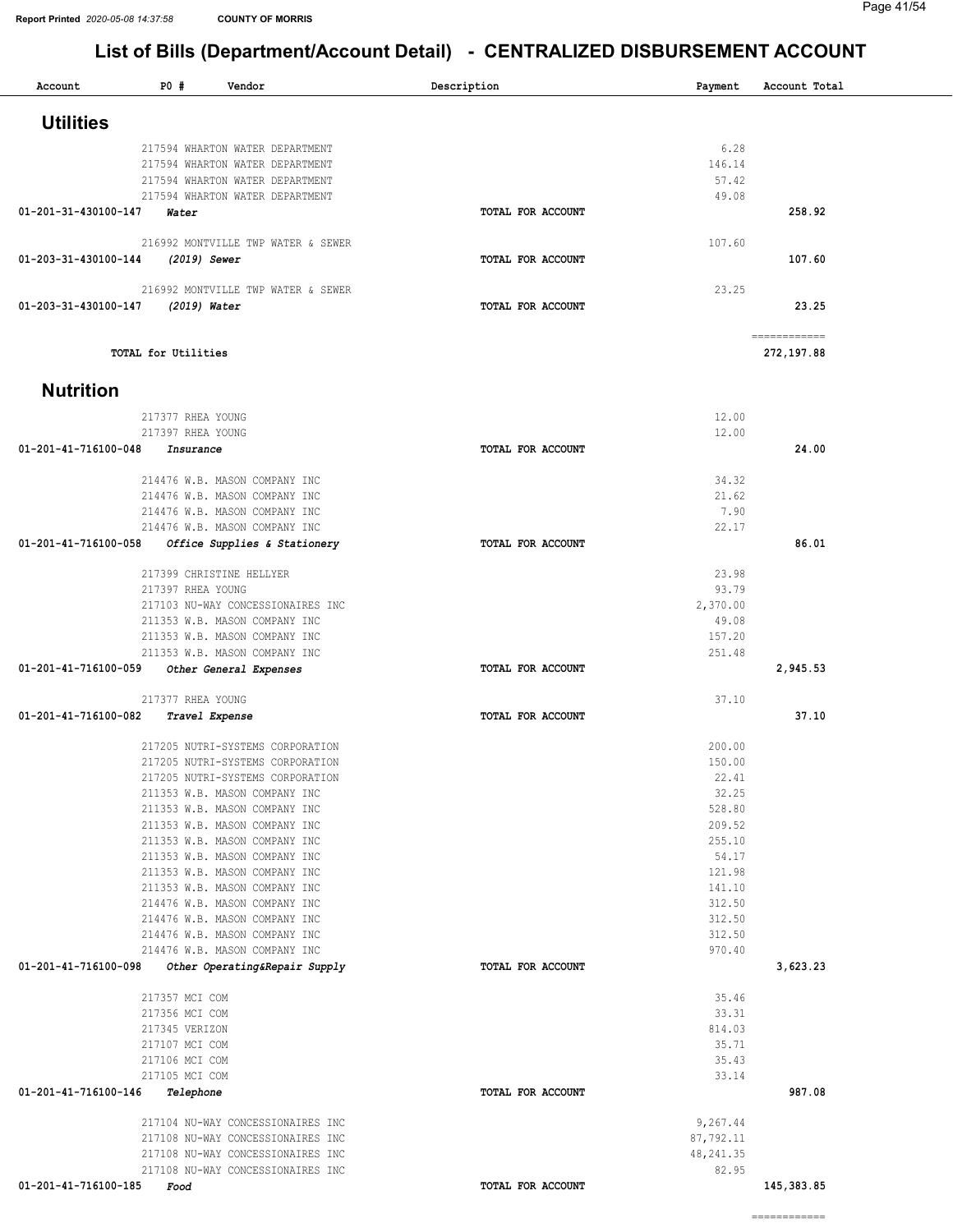============

| Account              | PO #                        | Vendor                                                         | Description       | Payment          | Account Total              |
|----------------------|-----------------------------|----------------------------------------------------------------|-------------------|------------------|----------------------------|
| <b>Utilities</b>     |                             |                                                                |                   |                  |                            |
|                      |                             | 217594 WHARTON WATER DEPARTMENT                                |                   | 6.28             |                            |
|                      |                             | 217594 WHARTON WATER DEPARTMENT                                |                   | 146.14           |                            |
|                      |                             | 217594 WHARTON WATER DEPARTMENT                                |                   | 57.42            |                            |
|                      |                             | 217594 WHARTON WATER DEPARTMENT                                |                   | 49.08            |                            |
| 01-201-31-430100-147 | Water                       |                                                                | TOTAL FOR ACCOUNT |                  | 258.92                     |
|                      |                             | 216992 MONTVILLE TWP WATER & SEWER                             |                   | 107.60           |                            |
| 01-203-31-430100-144 | (2019) Sewer                |                                                                | TOTAL FOR ACCOUNT |                  | 107.60                     |
|                      |                             | 216992 MONTVILLE TWP WATER & SEWER                             |                   | 23.25            |                            |
| 01-203-31-430100-147 | (2019) Water                |                                                                | TOTAL FOR ACCOUNT |                  | 23.25                      |
|                      | TOTAL for Utilities         |                                                                |                   |                  | ============<br>272,197.88 |
|                      |                             |                                                                |                   |                  |                            |
| <b>Nutrition</b>     |                             |                                                                |                   |                  |                            |
|                      | 217377 RHEA YOUNG           |                                                                |                   | 12.00            |                            |
|                      | 217397 RHEA YOUNG           |                                                                |                   | 12.00            |                            |
| 01-201-41-716100-048 | Insurance                   |                                                                | TOTAL FOR ACCOUNT |                  | 24.00                      |
|                      |                             | 214476 W.B. MASON COMPANY INC                                  |                   | 34.32            |                            |
|                      |                             | 214476 W.B. MASON COMPANY INC                                  |                   | 21.62            |                            |
|                      |                             | 214476 W.B. MASON COMPANY INC                                  |                   | 7.90             |                            |
|                      |                             | 214476 W.B. MASON COMPANY INC                                  |                   | 22.17            |                            |
| 01-201-41-716100-058 |                             | Office Supplies & Stationery                                   | TOTAL FOR ACCOUNT |                  | 86.01                      |
|                      |                             | 217399 CHRISTINE HELLYER                                       |                   | 23.98            |                            |
|                      | 217397 RHEA YOUNG           |                                                                |                   | 93.79            |                            |
|                      |                             | 217103 NU-WAY CONCESSIONAIRES INC                              |                   | 2,370.00         |                            |
|                      |                             | 211353 W.B. MASON COMPANY INC                                  |                   | 49.08            |                            |
|                      |                             | 211353 W.B. MASON COMPANY INC                                  |                   | 157.20           |                            |
|                      |                             | 211353 W.B. MASON COMPANY INC                                  |                   | 251.48           |                            |
| 01-201-41-716100-059 |                             | Other General Expenses                                         | TOTAL FOR ACCOUNT |                  | 2,945.53                   |
|                      | 217377 RHEA YOUNG           |                                                                |                   | 37.10            |                            |
| 01-201-41-716100-082 | Travel Expense              |                                                                | TOTAL FOR ACCOUNT |                  | 37.10                      |
|                      |                             | 217205 NUTRI-SYSTEMS CORPORATION                               |                   | 200.00           |                            |
|                      |                             | 217205 NUTRI-SYSTEMS CORPORATION                               |                   | 150.00           |                            |
|                      |                             | 217205 NUTRI-SYSTEMS CORPORATION                               |                   | 22.41            |                            |
|                      |                             | 211353 W.B. MASON COMPANY INC                                  |                   | 32.25            |                            |
|                      |                             | 211353 W.B. MASON COMPANY INC                                  |                   | 528.80           |                            |
|                      |                             | 211353 W.B. MASON COMPANY INC                                  |                   | 209.52           |                            |
|                      |                             | 211353 W.B. MASON COMPANY INC                                  |                   | 255.10           |                            |
|                      |                             | 211353 W.B. MASON COMPANY INC<br>211353 W.B. MASON COMPANY INC |                   | 54.17            |                            |
|                      |                             | 211353 W.B. MASON COMPANY INC                                  |                   | 121.98<br>141.10 |                            |
|                      |                             | 214476 W.B. MASON COMPANY INC                                  |                   | 312.50           |                            |
|                      |                             | 214476 W.B. MASON COMPANY INC                                  |                   | 312.50           |                            |
|                      |                             | 214476 W.B. MASON COMPANY INC                                  |                   | 312.50           |                            |
|                      |                             | 214476 W.B. MASON COMPANY INC                                  |                   | 970.40           |                            |
| 01-201-41-716100-098 |                             | Other Operating&Repair Supply                                  | TOTAL FOR ACCOUNT |                  | 3,623.23                   |
|                      | 217357 MCI COM              |                                                                |                   | 35.46            |                            |
|                      | 217356 MCI COM              |                                                                |                   | 33.31            |                            |
|                      | 217345 VERIZON              |                                                                |                   | 814.03           |                            |
|                      | 217107 MCI COM              |                                                                |                   | 35.71            |                            |
|                      | 217106 MCI COM              |                                                                |                   | 35.43            |                            |
| 01-201-41-716100-146 | 217105 MCI COM<br>Telephone |                                                                | TOTAL FOR ACCOUNT | 33.14            | 987.08                     |
|                      |                             |                                                                |                   |                  |                            |
|                      |                             | 217104 NU-WAY CONCESSIONAIRES INC                              |                   | 9,267.44         |                            |
|                      |                             | 217108 NU-WAY CONCESSIONAIRES INC                              |                   | 87,792.11        |                            |
|                      |                             | 217108 NU-WAY CONCESSIONAIRES INC                              |                   | 48, 241.35       |                            |
| 01-201-41-716100-185 |                             | 217108 NU-WAY CONCESSIONAIRES INC                              |                   | 82.95            |                            |
|                      | Food                        |                                                                | TOTAL FOR ACCOUNT |                  | 145, 383.85                |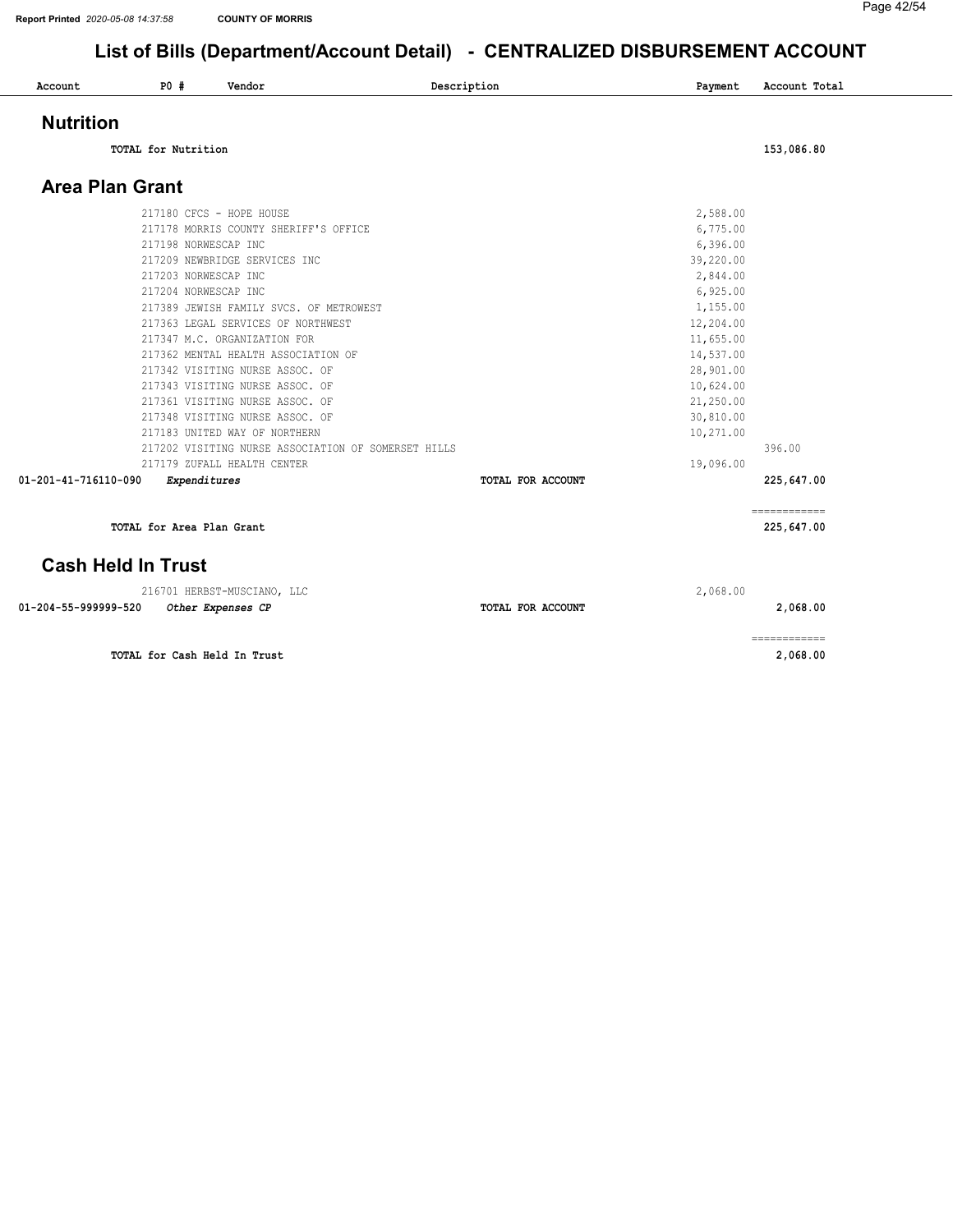#### Page 42/54

#### List of Bills (Department/Account Detail) - CENTRALIZED DISBURSEMENT ACCOUNT

| Account                   | P0 #                | Vendor                                              | Description       | Payment   | Account Total              |
|---------------------------|---------------------|-----------------------------------------------------|-------------------|-----------|----------------------------|
| <b>Nutrition</b>          |                     |                                                     |                   |           |                            |
|                           | TOTAL for Nutrition |                                                     |                   |           | 153,086.80                 |
| <b>Area Plan Grant</b>    |                     |                                                     |                   |           |                            |
|                           |                     | 217180 CFCS - HOPE HOUSE                            |                   | 2,588.00  |                            |
|                           |                     | 217178 MORRIS COUNTY SHERIFF'S OFFICE               |                   | 6,775.00  |                            |
|                           |                     | 217198 NORWESCAP INC                                |                   | 6,396.00  |                            |
|                           |                     | 217209 NEWBRIDGE SERVICES INC                       |                   | 39,220.00 |                            |
|                           |                     | 217203 NORWESCAP INC                                |                   | 2,844.00  |                            |
|                           |                     | 217204 NORWESCAP INC                                |                   | 6,925.00  |                            |
|                           |                     | 217389 JEWISH FAMILY SVCS. OF METROWEST             |                   | 1,155.00  |                            |
|                           |                     | 217363 LEGAL SERVICES OF NORTHWEST                  |                   | 12,204.00 |                            |
|                           |                     | 217347 M.C. ORGANIZATION FOR                        |                   | 11,655.00 |                            |
|                           |                     | 217362 MENTAL HEALTH ASSOCIATION OF                 |                   | 14,537.00 |                            |
|                           |                     | 217342 VISITING NURSE ASSOC. OF                     |                   | 28,901.00 |                            |
|                           |                     | 217343 VISITING NURSE ASSOC. OF                     |                   | 10,624.00 |                            |
|                           |                     | 217361 VISITING NURSE ASSOC. OF                     |                   | 21,250.00 |                            |
|                           |                     | 217348 VISITING NURSE ASSOC. OF                     |                   | 30,810.00 |                            |
|                           |                     | 217183 UNITED WAY OF NORTHERN                       |                   | 10,271.00 |                            |
|                           |                     | 217202 VISITING NURSE ASSOCIATION OF SOMERSET HILLS |                   |           | 396.00                     |
|                           |                     | 217179 ZUFALL HEALTH CENTER                         |                   | 19,096.00 |                            |
| 01-201-41-716110-090      |                     | <b>Expenditures</b>                                 | TOTAL FOR ACCOUNT |           | 225,647.00                 |
|                           |                     | TOTAL for Area Plan Grant                           |                   |           | ============<br>225,647.00 |
|                           |                     |                                                     |                   |           |                            |
| <b>Cash Held In Trust</b> |                     |                                                     |                   |           |                            |
|                           |                     | 216701 HERBST-MUSCIANO, LLC                         |                   | 2,068.00  |                            |
| 01-204-55-999999-520      |                     | Other Expenses CP                                   | TOTAL FOR ACCOUNT |           | 2,068.00                   |

TOTAL for Cash Held In Trust 2,068.00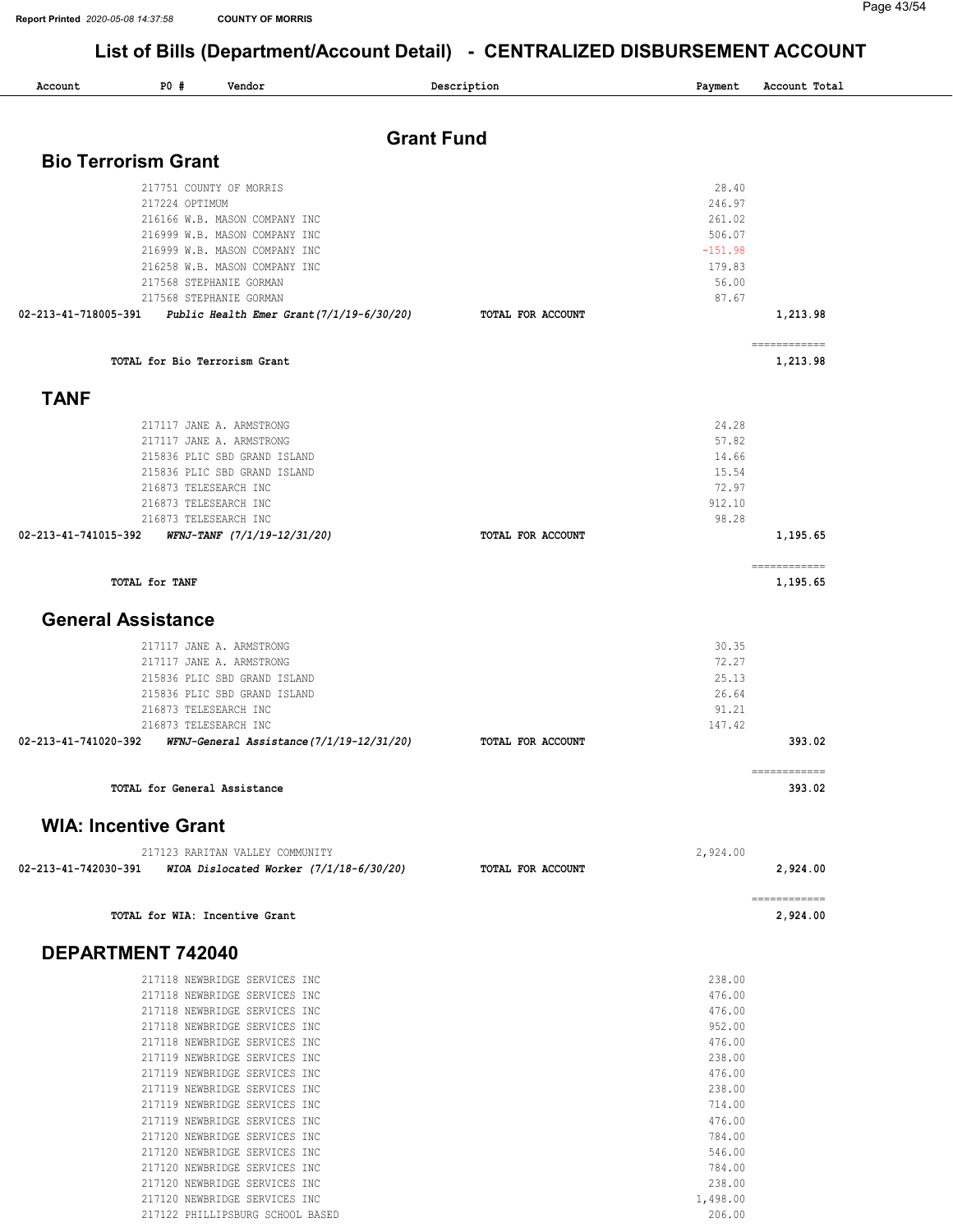| Account                     | P0#                                                                     | Vendor                                                                                                                                                                                                                                                                                                                                                                                                                                                                                                      | Description       | Payment                                                                                                                                              | Account Total            |
|-----------------------------|-------------------------------------------------------------------------|-------------------------------------------------------------------------------------------------------------------------------------------------------------------------------------------------------------------------------------------------------------------------------------------------------------------------------------------------------------------------------------------------------------------------------------------------------------------------------------------------------------|-------------------|------------------------------------------------------------------------------------------------------------------------------------------------------|--------------------------|
|                             |                                                                         |                                                                                                                                                                                                                                                                                                                                                                                                                                                                                                             | <b>Grant Fund</b> |                                                                                                                                                      |                          |
| <b>Bio Terrorism Grant</b>  |                                                                         |                                                                                                                                                                                                                                                                                                                                                                                                                                                                                                             |                   |                                                                                                                                                      |                          |
|                             | 217224 OPTIMUM                                                          | 217751 COUNTY OF MORRIS<br>216166 W.B. MASON COMPANY INC<br>216999 W.B. MASON COMPANY INC<br>216999 W.B. MASON COMPANY INC<br>216258 W.B. MASON COMPANY INC<br>217568 STEPHANIE GORMAN                                                                                                                                                                                                                                                                                                                      |                   | 28.40<br>246.97<br>261.02<br>506.07<br>$-151.98$<br>179.83<br>56.00                                                                                  |                          |
| 02-213-41-718005-391        |                                                                         | 217568 STEPHANIE GORMAN<br>Public Health Emer Grant $(7/1/19-6/30/20)$                                                                                                                                                                                                                                                                                                                                                                                                                                      | TOTAL FOR ACCOUNT | 87.67                                                                                                                                                | 1,213.98                 |
|                             |                                                                         |                                                                                                                                                                                                                                                                                                                                                                                                                                                                                                             |                   |                                                                                                                                                      | ============             |
|                             |                                                                         | TOTAL for Bio Terrorism Grant                                                                                                                                                                                                                                                                                                                                                                                                                                                                               |                   |                                                                                                                                                      | 1,213.98                 |
| <b>TANF</b>                 |                                                                         |                                                                                                                                                                                                                                                                                                                                                                                                                                                                                                             |                   |                                                                                                                                                      |                          |
| 02-213-41-741015-392        | 216873 TELESEARCH INC<br>216873 TELESEARCH INC<br>216873 TELESEARCH INC | 217117 JANE A. ARMSTRONG<br>217117 JANE A. ARMSTRONG<br>215836 PLIC SBD GRAND ISLAND<br>215836 PLIC SBD GRAND ISLAND<br>WFNJ-TANF (7/1/19-12/31/20)                                                                                                                                                                                                                                                                                                                                                         | TOTAL FOR ACCOUNT | 24.28<br>57.82<br>14.66<br>15.54<br>72.97<br>912.10<br>98.28                                                                                         | 1,195.65                 |
|                             | TOTAL for TANF                                                          |                                                                                                                                                                                                                                                                                                                                                                                                                                                                                                             |                   |                                                                                                                                                      | ============<br>1,195.65 |
| <b>General Assistance</b>   |                                                                         |                                                                                                                                                                                                                                                                                                                                                                                                                                                                                                             |                   |                                                                                                                                                      |                          |
| 02-213-41-741020-392        | 216873 TELESEARCH INC<br>216873 TELESEARCH INC                          | 217117 JANE A. ARMSTRONG<br>217117 JANE A. ARMSTRONG<br>215836 PLIC SBD GRAND ISLAND<br>215836 PLIC SBD GRAND ISLAND<br>WFNJ-General Assistance(7/1/19-12/31/20)                                                                                                                                                                                                                                                                                                                                            | TOTAL FOR ACCOUNT | 30.35<br>72.27<br>25.13<br>26.64<br>91.21<br>147.42                                                                                                  | 393.02                   |
|                             | TOTAL for General Assistance                                            |                                                                                                                                                                                                                                                                                                                                                                                                                                                                                                             |                   |                                                                                                                                                      | 393.02                   |
| <b>WIA: Incentive Grant</b> |                                                                         |                                                                                                                                                                                                                                                                                                                                                                                                                                                                                                             |                   |                                                                                                                                                      |                          |
|                             |                                                                         | 217123 RARITAN VALLEY COMMUNITY                                                                                                                                                                                                                                                                                                                                                                                                                                                                             |                   | 2,924.00                                                                                                                                             |                          |
| 02-213-41-742030-391        |                                                                         | WIOA Dislocated Worker $(7/1/18-6/30/20)$                                                                                                                                                                                                                                                                                                                                                                                                                                                                   | TOTAL FOR ACCOUNT |                                                                                                                                                      | 2,924.00                 |
|                             |                                                                         | TOTAL for WIA: Incentive Grant                                                                                                                                                                                                                                                                                                                                                                                                                                                                              |                   |                                                                                                                                                      | ============<br>2,924.00 |
| DEPARTMENT 742040           |                                                                         |                                                                                                                                                                                                                                                                                                                                                                                                                                                                                                             |                   |                                                                                                                                                      |                          |
|                             |                                                                         | 217118 NEWBRIDGE SERVICES INC<br>217118 NEWBRIDGE SERVICES INC<br>217118 NEWBRIDGE SERVICES INC<br>217118 NEWBRIDGE SERVICES INC<br>217118 NEWBRIDGE SERVICES INC<br>217119 NEWBRIDGE SERVICES INC<br>217119 NEWBRIDGE SERVICES INC<br>217119 NEWBRIDGE SERVICES INC<br>217119 NEWBRIDGE SERVICES INC<br>217119 NEWBRIDGE SERVICES INC<br>217120 NEWBRIDGE SERVICES INC<br>217120 NEWBRIDGE SERVICES INC<br>217120 NEWBRIDGE SERVICES INC<br>217120 NEWBRIDGE SERVICES INC<br>217120 NEWBRIDGE SERVICES INC |                   | 238.00<br>476.00<br>476.00<br>952.00<br>476.00<br>238.00<br>476.00<br>238.00<br>714.00<br>476.00<br>784.00<br>546.00<br>784.00<br>238.00<br>1,498.00 |                          |

PHILLIPSBURG SCHOOL BASED 206.00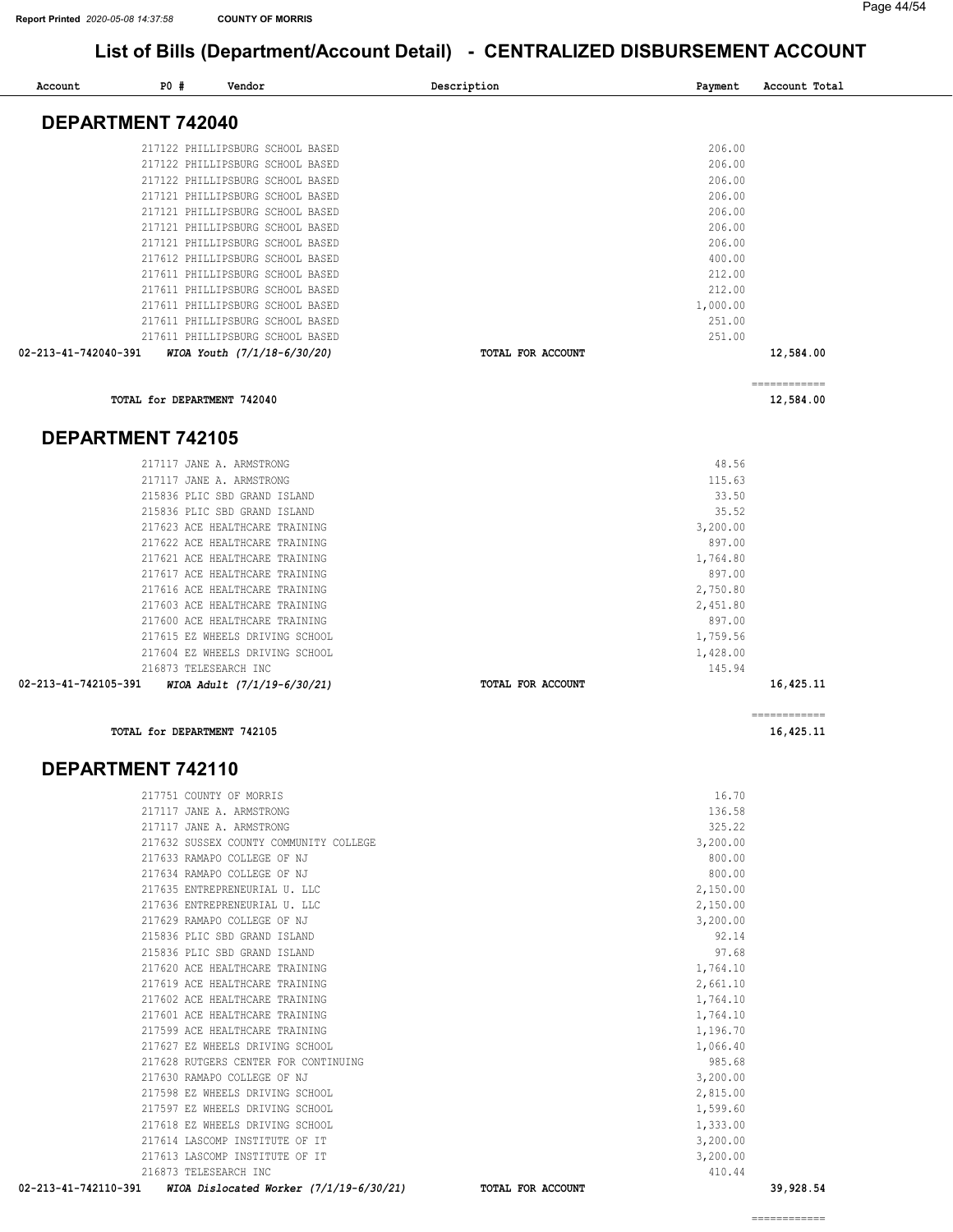| Account              | P0#                      | Vendor                           | Description              | Payment  | Account Total             |
|----------------------|--------------------------|----------------------------------|--------------------------|----------|---------------------------|
|                      | DEPARTMENT 742040        |                                  |                          |          |                           |
|                      |                          |                                  |                          |          |                           |
|                      |                          | 217122 PHILLIPSBURG SCHOOL BASED |                          | 206.00   |                           |
|                      |                          | 217122 PHILLIPSBURG SCHOOL BASED |                          | 206.00   |                           |
|                      |                          | 217122 PHILLIPSBURG SCHOOL BASED |                          | 206.00   |                           |
|                      |                          | 217121 PHILLIPSBURG SCHOOL BASED |                          | 206.00   |                           |
|                      |                          | 217121 PHILLIPSBURG SCHOOL BASED |                          | 206.00   |                           |
|                      |                          | 217121 PHILLIPSBURG SCHOOL BASED |                          | 206.00   |                           |
|                      |                          | 217121 PHILLIPSBURG SCHOOL BASED |                          | 206.00   |                           |
|                      |                          | 217612 PHILLIPSBURG SCHOOL BASED |                          | 400.00   |                           |
|                      |                          | 217611 PHILLIPSBURG SCHOOL BASED |                          | 212.00   |                           |
|                      |                          | 217611 PHILLIPSBURG SCHOOL BASED |                          | 212.00   |                           |
|                      |                          | 217611 PHILLIPSBURG SCHOOL BASED |                          | 1,000.00 |                           |
|                      |                          | 217611 PHILLIPSBURG SCHOOL BASED |                          | 251.00   |                           |
|                      |                          | 217611 PHILLIPSBURG SCHOOL BASED |                          | 251.00   |                           |
| 02-213-41-742040-391 |                          | WIOA Youth (7/1/18-6/30/20)      | TOTAL FOR ACCOUNT        |          | 12,584.00                 |
|                      |                          | TOTAL for DEPARTMENT 742040      |                          |          | ------------<br>12,584.00 |
|                      | <b>DEPARTMENT 742105</b> |                                  |                          |          |                           |
|                      |                          | 217117 JANE A. ARMSTRONG         |                          | 48.56    |                           |
|                      |                          | 217117 JANE A. ARMSTRONG         |                          | 115.63   |                           |
|                      |                          | 215836 PLIC SBD GRAND ISLAND     |                          | 33.50    |                           |
|                      |                          | 215836 PLIC SBD GRAND ISLAND     |                          | 35.52    |                           |
|                      |                          | 217623 ACE HEALTHCARE TRAINING   |                          | 3,200.00 |                           |
|                      |                          | 217622 ACE HEALTHCARE TRAINING   |                          | 897.00   |                           |
|                      |                          | 217621 ACE HEALTHCARE TRAINING   |                          | 1,764.80 |                           |
|                      |                          | 217617 ACE HEALTHCARE TRAINING   |                          | 897.00   |                           |
|                      |                          | 217616 ACE HEALTHCARE TRAINING   |                          | 2,750.80 |                           |
|                      |                          | 217603 ACE HEALTHCARE TRAINING   |                          | 2,451.80 |                           |
|                      |                          | 217600 ACE HEALTHCARE TRAINING   |                          | 897.00   |                           |
|                      |                          | 217615 EZ WHEELS DRIVING SCHOOL  |                          | 1,759.56 |                           |
|                      |                          | 217604 EZ WHEELS DRIVING SCHOOL  |                          | 1,428.00 |                           |
|                      |                          | 216873 TELESEARCH INC            |                          | 145.94   |                           |
| 02-213-41-742105-391 |                          | WIOA Adult (7/1/19-6/30/21)      | <b>TOTAL FOR ACCOUNT</b> |          | 16,425.11                 |

TOTAL for DEPARTMENT 742105 16,425.11

#### DEPARTMENT 742110

| 02-213-41-742110-391<br>WIOA Dislocated Worker $(7/1/19-6/30/21)$ | <b>TOTAL FOR ACCOUNT</b> | 39,928.54 |
|-------------------------------------------------------------------|--------------------------|-----------|
| 216873 TELESEARCH INC                                             | 410.44                   |           |
| 217613 LASCOMP INSTITUTE OF IT                                    | 3,200.00                 |           |
| 217614 LASCOMP INSTITUTE OF IT                                    | 3,200.00                 |           |
| 217618 EZ WHEELS DRIVING SCHOOL                                   | 1,333.00                 |           |
| 217597 EZ WHEELS DRIVING SCHOOL                                   | 1,599.60                 |           |
| 217598 EZ WHEELS DRIVING SCHOOL                                   | 2,815.00                 |           |
| 217630 RAMAPO COLLEGE OF NJ                                       | 3,200.00                 |           |
| 217628 RUTGERS CENTER FOR CONTINUING                              | 985.68                   |           |
| 217627 EZ WHEELS DRIVING SCHOOL                                   | 1,066.40                 |           |
| 217599 ACE HEALTHCARE TRAINING                                    | 1,196.70                 |           |
| 217601 ACE HEALTHCARE TRAINING                                    | 1,764.10                 |           |
| 217602 ACE HEALTHCARE TRAINING                                    | 1,764.10                 |           |
| 217619 ACE HEALTHCARE TRAINING                                    | 2,661.10                 |           |
| 217620 ACE HEALTHCARE TRAINING                                    | 1,764.10                 |           |
| 215836 PLIC SBD GRAND ISLAND                                      | 97.68                    |           |
| 215836 PLIC SBD GRAND ISLAND                                      | 92.14                    |           |
| 217629 RAMAPO COLLEGE OF NJ                                       | 3,200.00                 |           |
| 217636 ENTREPRENEURIAL U. LLC                                     | 2,150.00                 |           |
| 217635 ENTREPRENEURIAL U. LLC                                     | 2,150.00                 |           |
| 217634 RAMAPO COLLEGE OF NJ                                       | 800.00                   |           |
| 217633 RAMAPO COLLEGE OF NJ                                       | 800.00                   |           |
| 217632 SUSSEX COUNTY COMMUNITY COLLEGE                            | 3,200.00                 |           |
| 217117 JANE A. ARMSTRONG                                          | 325.22                   |           |
| 217117 JANE A. ARMSTRONG                                          | 136.58                   |           |
| 217751 COUNTY OF MORRIS                                           | 16.70                    |           |

============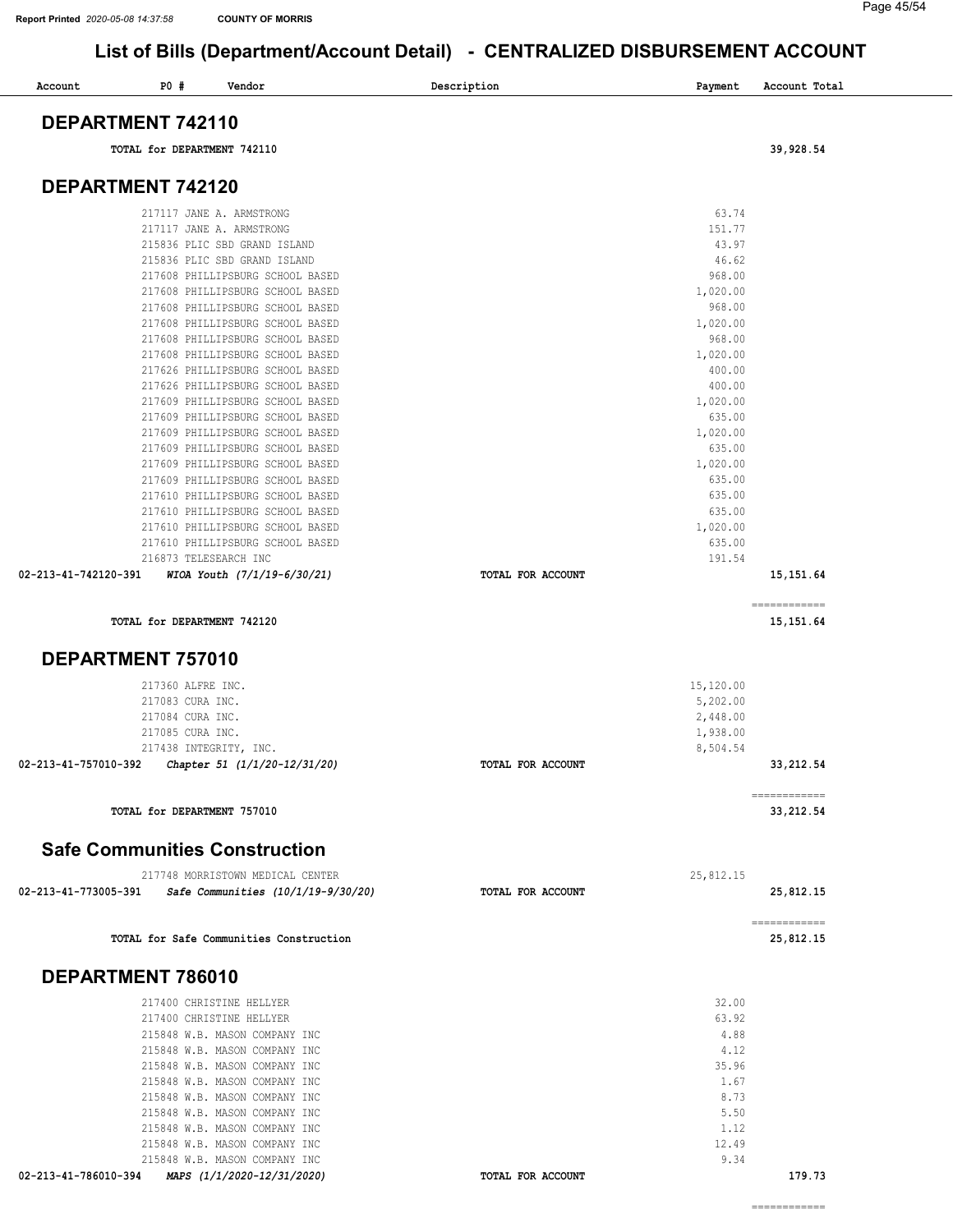Page 45/54

| <b>PO #</b><br>Account<br>Vendor                                                    | Description<br>Payment        | Account Total             |
|-------------------------------------------------------------------------------------|-------------------------------|---------------------------|
| DEPARTMENT 742110                                                                   |                               |                           |
| TOTAL for DEPARTMENT 742110                                                         |                               | 39,928.54                 |
| DEPARTMENT 742120                                                                   |                               |                           |
| 217117 JANE A. ARMSTRONG                                                            | 63.74                         |                           |
| 217117 JANE A. ARMSTRONG                                                            | 151.77                        |                           |
| 215836 PLIC SBD GRAND ISLAND                                                        | 43.97                         |                           |
| 215836 PLIC SBD GRAND ISLAND                                                        | 46.62                         |                           |
| 217608 PHILLIPSBURG SCHOOL BASED                                                    | 968.00                        |                           |
| 217608 PHILLIPSBURG SCHOOL BASED                                                    | 1,020.00                      |                           |
| 217608 PHILLIPSBURG SCHOOL BASED                                                    | 968.00                        |                           |
| 217608 PHILLIPSBURG SCHOOL BASED                                                    | 1,020.00                      |                           |
| 217608 PHILLIPSBURG SCHOOL BASED<br>217608 PHILLIPSBURG SCHOOL BASED                | 968.00                        |                           |
| 217626 PHILLIPSBURG SCHOOL BASED                                                    | 1,020.00<br>400.00            |                           |
| 217626 PHILLIPSBURG SCHOOL BASED                                                    | 400.00                        |                           |
| 217609 PHILLIPSBURG SCHOOL BASED                                                    | 1,020.00                      |                           |
| 217609 PHILLIPSBURG SCHOOL BASED                                                    | 635.00                        |                           |
| 217609 PHILLIPSBURG SCHOOL BASED                                                    | 1,020.00                      |                           |
| 217609 PHILLIPSBURG SCHOOL BASED                                                    | 635.00                        |                           |
| 217609 PHILLIPSBURG SCHOOL BASED                                                    | 1,020.00                      |                           |
| 217609 PHILLIPSBURG SCHOOL BASED                                                    | 635.00                        |                           |
| 217610 PHILLIPSBURG SCHOOL BASED                                                    | 635.00                        |                           |
| 217610 PHILLIPSBURG SCHOOL BASED                                                    | 635.00                        |                           |
| 217610 PHILLIPSBURG SCHOOL BASED                                                    | 1,020.00                      |                           |
| 217610 PHILLIPSBURG SCHOOL BASED<br>216873 TELESEARCH INC                           | 635.00<br>191.54              |                           |
| WIOA Youth (7/1/19-6/30/21)<br>02-213-41-742120-391                                 | TOTAL FOR ACCOUNT             | 15, 151.64                |
|                                                                                     |                               | ============              |
| TOTAL for DEPARTMENT 742120                                                         |                               | 15, 151.64                |
| <b>DEPARTMENT 757010</b>                                                            |                               |                           |
| 217360 ALFRE INC.                                                                   | 15,120.00                     |                           |
| 217083 CURA INC.                                                                    | 5,202.00                      |                           |
| 217084 CURA INC.                                                                    | 2,448.00                      |                           |
| 217085 CURA INC.<br>217438 INTEGRITY, INC.                                          | 1,938.00                      |                           |
| 02-213-41-757010-392<br>Chapter 51 (1/1/20-12/31/20)                                | 8,504.54<br>TOTAL FOR ACCOUNT | 33, 212.54                |
|                                                                                     |                               |                           |
| TOTAL for DEPARTMENT 757010                                                         |                               | ============<br>33,212.54 |
| <b>Safe Communities Construction</b>                                                |                               |                           |
| 217748 MORRISTOWN MEDICAL CENTER                                                    | 25,812.15                     |                           |
| 02-213-41-773005-391<br>Safe Communities (10/1/19-9/30/20)                          | TOTAL FOR ACCOUNT             | 25,812.15                 |
| TOTAL for Safe Communities Construction                                             |                               | ------------<br>25,812.15 |
| DEPARTMENT 786010                                                                   |                               |                           |
| 217400 CHRISTINE HELLYER                                                            | 32.00                         |                           |
| 217400 CHRISTINE HELLYER                                                            | 63.92                         |                           |
| 215848 W.B. MASON COMPANY INC                                                       | 4.88                          |                           |
| 215848 W.B. MASON COMPANY INC                                                       | 4.12                          |                           |
| 215848 W.B. MASON COMPANY INC                                                       | 35.96                         |                           |
| 215848 W.B. MASON COMPANY INC                                                       | 1.67                          |                           |
| 215848 W.B. MASON COMPANY INC                                                       | 8.73                          |                           |
| 215848 W.B. MASON COMPANY INC                                                       | 5.50                          |                           |
|                                                                                     | 1.12                          |                           |
| 215848 W.B. MASON COMPANY INC                                                       |                               |                           |
| 215848 W.B. MASON COMPANY INC                                                       | 12.49                         |                           |
| 215848 W.B. MASON COMPANY INC<br>MAPS (1/1/2020-12/31/2020)<br>02-213-41-786010-394 | 9.34<br>TOTAL FOR ACCOUNT     | 179.73                    |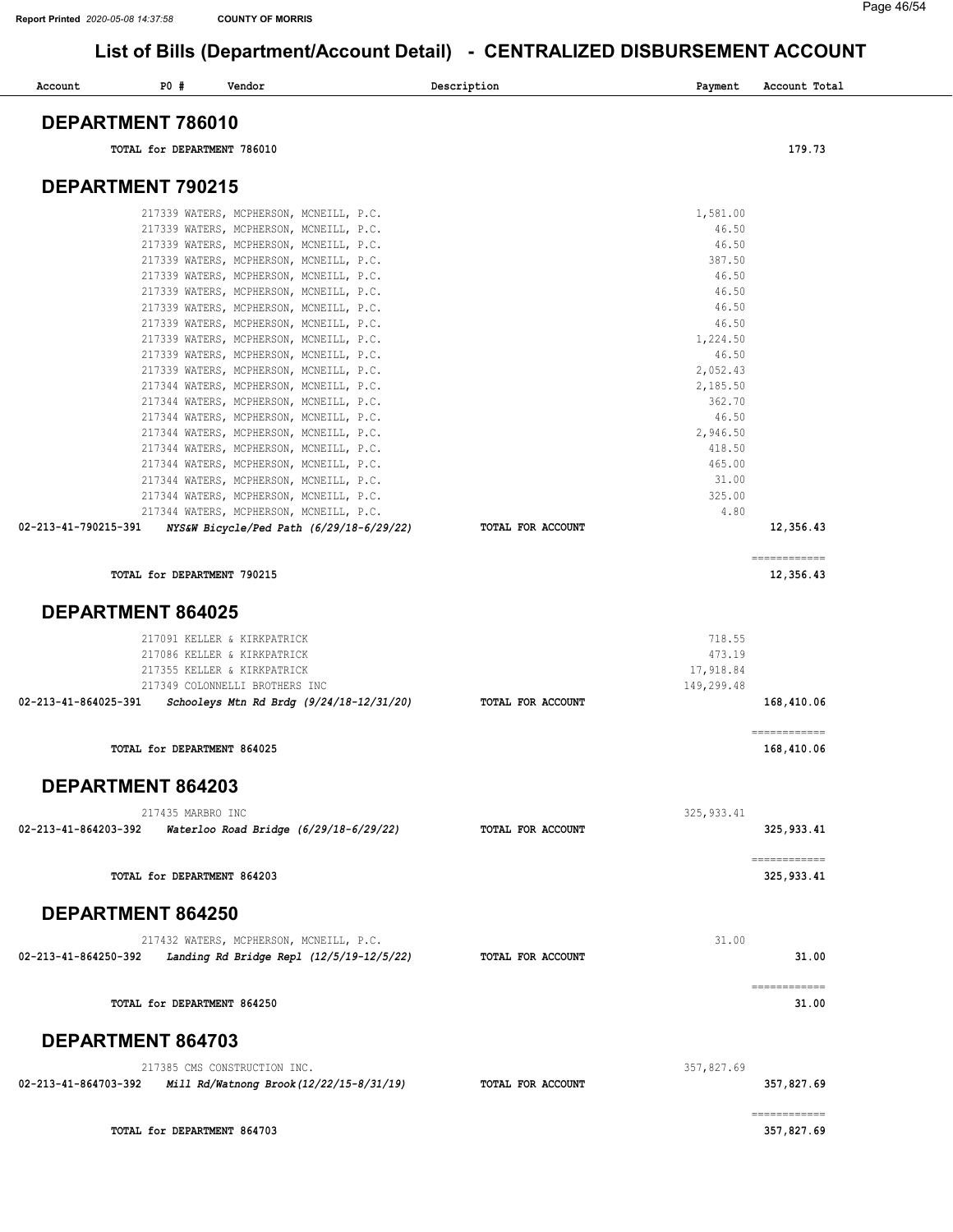#### Page 46/54

| Account              | P0#                         | Vendor                                   | Description              | Payment     | Account Total                                                                                                                                                                                                                                                                                                                                                                                                                                                                                       |
|----------------------|-----------------------------|------------------------------------------|--------------------------|-------------|-----------------------------------------------------------------------------------------------------------------------------------------------------------------------------------------------------------------------------------------------------------------------------------------------------------------------------------------------------------------------------------------------------------------------------------------------------------------------------------------------------|
|                      | DEPARTMENT 786010           |                                          |                          |             |                                                                                                                                                                                                                                                                                                                                                                                                                                                                                                     |
|                      | TOTAL for DEPARTMENT 786010 |                                          |                          |             | 179.73                                                                                                                                                                                                                                                                                                                                                                                                                                                                                              |
|                      | <b>DEPARTMENT 790215</b>    |                                          |                          |             |                                                                                                                                                                                                                                                                                                                                                                                                                                                                                                     |
|                      |                             | 217339 WATERS, MCPHERSON, MCNEILL, P.C.  |                          | 1,581.00    |                                                                                                                                                                                                                                                                                                                                                                                                                                                                                                     |
|                      |                             | 217339 WATERS, MCPHERSON, MCNEILL, P.C.  |                          | 46.50       |                                                                                                                                                                                                                                                                                                                                                                                                                                                                                                     |
|                      |                             | 217339 WATERS, MCPHERSON, MCNEILL, P.C.  |                          | 46.50       |                                                                                                                                                                                                                                                                                                                                                                                                                                                                                                     |
|                      |                             | 217339 WATERS, MCPHERSON, MCNEILL, P.C.  |                          | 387.50      |                                                                                                                                                                                                                                                                                                                                                                                                                                                                                                     |
|                      |                             | 217339 WATERS, MCPHERSON, MCNEILL, P.C.  |                          | 46.50       |                                                                                                                                                                                                                                                                                                                                                                                                                                                                                                     |
|                      |                             | 217339 WATERS, MCPHERSON, MCNEILL, P.C.  |                          | 46.50       |                                                                                                                                                                                                                                                                                                                                                                                                                                                                                                     |
|                      |                             | 217339 WATERS, MCPHERSON, MCNEILL, P.C.  |                          | 46.50       |                                                                                                                                                                                                                                                                                                                                                                                                                                                                                                     |
|                      |                             | 217339 WATERS, MCPHERSON, MCNEILL, P.C.  |                          | 46.50       |                                                                                                                                                                                                                                                                                                                                                                                                                                                                                                     |
|                      |                             | 217339 WATERS, MCPHERSON, MCNEILL, P.C.  |                          | 1,224.50    |                                                                                                                                                                                                                                                                                                                                                                                                                                                                                                     |
|                      |                             | 217339 WATERS, MCPHERSON, MCNEILL, P.C.  |                          | 46.50       |                                                                                                                                                                                                                                                                                                                                                                                                                                                                                                     |
|                      |                             | 217339 WATERS, MCPHERSON, MCNEILL, P.C.  |                          | 2,052.43    |                                                                                                                                                                                                                                                                                                                                                                                                                                                                                                     |
|                      |                             | 217344 WATERS, MCPHERSON, MCNEILL, P.C.  |                          | 2,185.50    |                                                                                                                                                                                                                                                                                                                                                                                                                                                                                                     |
|                      |                             | 217344 WATERS, MCPHERSON, MCNEILL, P.C.  |                          | 362.70      |                                                                                                                                                                                                                                                                                                                                                                                                                                                                                                     |
|                      |                             | 217344 WATERS, MCPHERSON, MCNEILL, P.C.  |                          | 46.50       |                                                                                                                                                                                                                                                                                                                                                                                                                                                                                                     |
|                      |                             | 217344 WATERS, MCPHERSON, MCNEILL, P.C.  |                          | 2,946.50    |                                                                                                                                                                                                                                                                                                                                                                                                                                                                                                     |
|                      |                             | 217344 WATERS, MCPHERSON, MCNEILL, P.C.  |                          | 418.50      |                                                                                                                                                                                                                                                                                                                                                                                                                                                                                                     |
|                      |                             | 217344 WATERS, MCPHERSON, MCNEILL, P.C.  |                          | 465.00      |                                                                                                                                                                                                                                                                                                                                                                                                                                                                                                     |
|                      |                             | 217344 WATERS, MCPHERSON, MCNEILL, P.C.  |                          | 31.00       |                                                                                                                                                                                                                                                                                                                                                                                                                                                                                                     |
|                      |                             | 217344 WATERS, MCPHERSON, MCNEILL, P.C.  |                          | 325.00      |                                                                                                                                                                                                                                                                                                                                                                                                                                                                                                     |
|                      |                             | 217344 WATERS, MCPHERSON, MCNEILL, P.C.  |                          | 4.80        |                                                                                                                                                                                                                                                                                                                                                                                                                                                                                                     |
| 02-213-41-790215-391 |                             | NYS&W Bicycle/Ped Path (6/29/18-6/29/22) | TOTAL FOR ACCOUNT        |             | 12,356.43                                                                                                                                                                                                                                                                                                                                                                                                                                                                                           |
|                      | TOTAL for DEPARTMENT 790215 |                                          |                          |             | $\begin{array}{cccccccccc} \multicolumn{2}{c}{} & \multicolumn{2}{c}{} & \multicolumn{2}{c}{} & \multicolumn{2}{c}{} & \multicolumn{2}{c}{} & \multicolumn{2}{c}{} & \multicolumn{2}{c}{} & \multicolumn{2}{c}{} & \multicolumn{2}{c}{} & \multicolumn{2}{c}{} & \multicolumn{2}{c}{} & \multicolumn{2}{c}{} & \multicolumn{2}{c}{} & \multicolumn{2}{c}{} & \multicolumn{2}{c}{} & \multicolumn{2}{c}{} & \multicolumn{2}{c}{} & \multicolumn{2}{c}{} & \multicolumn{2}{c}{} & \mult$<br>12,356.43 |
|                      |                             |                                          |                          |             |                                                                                                                                                                                                                                                                                                                                                                                                                                                                                                     |
|                      | <b>DEPARTMENT 864025</b>    |                                          |                          |             |                                                                                                                                                                                                                                                                                                                                                                                                                                                                                                     |
|                      |                             | 217091 KELLER & KIRKPATRICK              |                          | 718.55      |                                                                                                                                                                                                                                                                                                                                                                                                                                                                                                     |
|                      |                             | 217086 KELLER & KIRKPATRICK              |                          | 473.19      |                                                                                                                                                                                                                                                                                                                                                                                                                                                                                                     |
|                      |                             | 217355 KELLER & KIRKPATRICK              |                          | 17,918.84   |                                                                                                                                                                                                                                                                                                                                                                                                                                                                                                     |
|                      |                             | 217349 COLONNELLI BROTHERS INC           |                          | 149,299.48  |                                                                                                                                                                                                                                                                                                                                                                                                                                                                                                     |
| 02-213-41-864025-391 |                             | Schooleys Mtn Rd Brdg (9/24/18-12/31/20) | TOTAL FOR ACCOUNT        |             | 168,410.06                                                                                                                                                                                                                                                                                                                                                                                                                                                                                          |
|                      |                             |                                          |                          |             |                                                                                                                                                                                                                                                                                                                                                                                                                                                                                                     |
|                      | TOTAL for DEPARTMENT 864025 |                                          |                          |             | ============<br>168,410.06                                                                                                                                                                                                                                                                                                                                                                                                                                                                          |
|                      | DEPARTMENT 864203           |                                          |                          |             |                                                                                                                                                                                                                                                                                                                                                                                                                                                                                                     |
|                      |                             |                                          |                          |             |                                                                                                                                                                                                                                                                                                                                                                                                                                                                                                     |
|                      | 217435 MARBRO INC           |                                          |                          | 325, 933.41 |                                                                                                                                                                                                                                                                                                                                                                                                                                                                                                     |
| 02-213-41-864203-392 |                             | Waterloo Road Bridge (6/29/18-6/29/22)   | TOTAL FOR ACCOUNT        |             | 325, 933.41                                                                                                                                                                                                                                                                                                                                                                                                                                                                                         |
|                      |                             |                                          |                          |             | ============                                                                                                                                                                                                                                                                                                                                                                                                                                                                                        |
|                      | TOTAL for DEPARTMENT 864203 |                                          |                          |             | 325,933.41                                                                                                                                                                                                                                                                                                                                                                                                                                                                                          |
|                      | <b>DEPARTMENT 864250</b>    |                                          |                          |             |                                                                                                                                                                                                                                                                                                                                                                                                                                                                                                     |
|                      |                             | 217432 WATERS, MCPHERSON, MCNEILL, P.C.  |                          | 31.00       |                                                                                                                                                                                                                                                                                                                                                                                                                                                                                                     |
| 02-213-41-864250-392 |                             | Landing Rd Bridge Repl (12/5/19-12/5/22) | TOTAL FOR ACCOUNT        |             | 31.00                                                                                                                                                                                                                                                                                                                                                                                                                                                                                               |
|                      | TOTAL for DEPARTMENT 864250 |                                          |                          |             | ============<br>31.00                                                                                                                                                                                                                                                                                                                                                                                                                                                                               |
|                      | <b>DEPARTMENT 864703</b>    |                                          |                          |             |                                                                                                                                                                                                                                                                                                                                                                                                                                                                                                     |
|                      |                             |                                          |                          |             |                                                                                                                                                                                                                                                                                                                                                                                                                                                                                                     |
|                      |                             | 217385 CMS CONSTRUCTION INC.             |                          | 357,827.69  |                                                                                                                                                                                                                                                                                                                                                                                                                                                                                                     |
| 02-213-41-864703-392 |                             | Mill Rd/Watnong Brook (12/22/15-8/31/19) | <b>TOTAL FOR ACCOUNT</b> |             | 357,827.69                                                                                                                                                                                                                                                                                                                                                                                                                                                                                          |
|                      |                             |                                          |                          |             | $\begin{array}{cccccccccc} \multicolumn{2}{c}{} & \multicolumn{2}{c}{} & \multicolumn{2}{c}{} & \multicolumn{2}{c}{} & \multicolumn{2}{c}{} & \multicolumn{2}{c}{} & \multicolumn{2}{c}{} & \multicolumn{2}{c}{} & \multicolumn{2}{c}{} & \multicolumn{2}{c}{} & \multicolumn{2}{c}{} & \multicolumn{2}{c}{} & \multicolumn{2}{c}{} & \multicolumn{2}{c}{} & \multicolumn{2}{c}{} & \multicolumn{2}{c}{} & \multicolumn{2}{c}{} & \multicolumn{2}{c}{} & \multicolumn{2}{c}{} & \mult$              |
|                      | TOTAL for DEPARTMENT 864703 |                                          |                          |             | 357,827.69                                                                                                                                                                                                                                                                                                                                                                                                                                                                                          |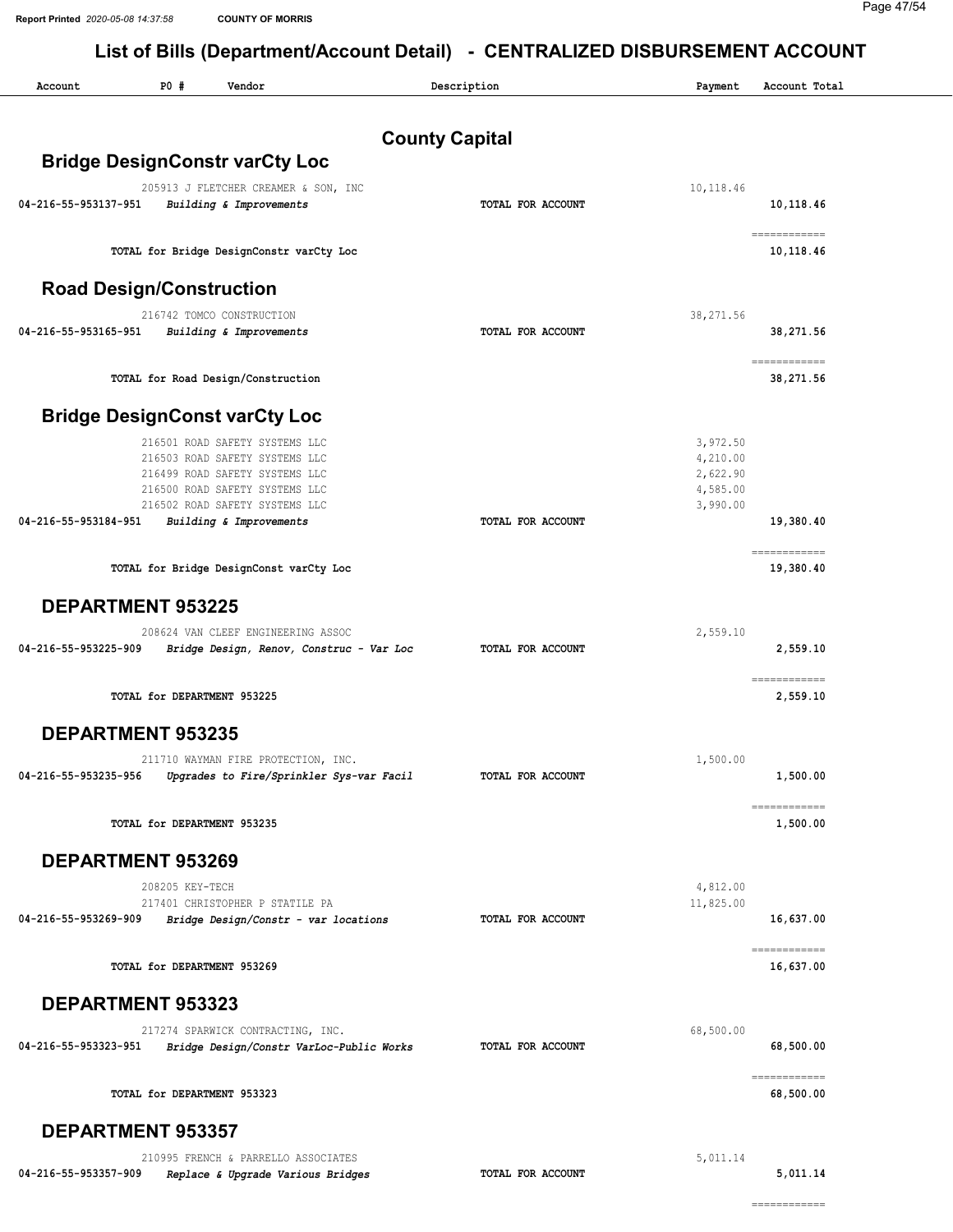| Account                         | <b>PO #</b>     | Vendor                                                           |                       | Description       | Payment              | Account Total             |
|---------------------------------|-----------------|------------------------------------------------------------------|-----------------------|-------------------|----------------------|---------------------------|
|                                 |                 |                                                                  | <b>County Capital</b> |                   |                      |                           |
|                                 |                 | <b>Bridge DesignConstr varCty Loc</b>                            |                       |                   |                      |                           |
|                                 |                 | 205913 J FLETCHER CREAMER & SON, INC                             |                       |                   | 10,118.46            |                           |
| 04-216-55-953137-951            |                 | Building & Improvements                                          |                       | TOTAL FOR ACCOUNT |                      | 10,118.46                 |
|                                 |                 | TOTAL for Bridge DesignConstr varCty Loc                         |                       |                   |                      | ============<br>10,118.46 |
| <b>Road Design/Construction</b> |                 |                                                                  |                       |                   |                      |                           |
|                                 |                 | 216742 TOMCO CONSTRUCTION                                        |                       |                   | 38,271.56            |                           |
| 04-216-55-953165-951            |                 | Building & Improvements                                          |                       | TOTAL FOR ACCOUNT |                      | 38,271.56                 |
|                                 |                 | TOTAL for Road Design/Construction                               |                       |                   |                      | ============<br>38,271.56 |
|                                 |                 | <b>Bridge DesignConst varCty Loc</b>                             |                       |                   |                      |                           |
|                                 |                 | 216501 ROAD SAFETY SYSTEMS LLC                                   |                       |                   | 3,972.50             |                           |
|                                 |                 | 216503 ROAD SAFETY SYSTEMS LLC                                   |                       |                   | 4,210.00             |                           |
|                                 |                 | 216499 ROAD SAFETY SYSTEMS LLC<br>216500 ROAD SAFETY SYSTEMS LLC |                       |                   | 2,622.90<br>4,585.00 |                           |
|                                 |                 | 216502 ROAD SAFETY SYSTEMS LLC                                   |                       |                   | 3,990.00             |                           |
| 04-216-55-953184-951            |                 | Building & Improvements                                          |                       | TOTAL FOR ACCOUNT |                      | 19,380.40                 |
|                                 |                 | TOTAL for Bridge DesignConst varCty Loc                          |                       |                   |                      | ============<br>19,380.40 |
| <b>DEPARTMENT 953225</b>        |                 |                                                                  |                       |                   |                      |                           |
|                                 |                 | 208624 VAN CLEEF ENGINEERING ASSOC                               |                       |                   | 2,559.10             |                           |
| 04-216-55-953225-909            |                 | Bridge Design, Renov, Construc - Var Loc                         |                       | TOTAL FOR ACCOUNT |                      | 2,559.10                  |
|                                 |                 | TOTAL for DEPARTMENT 953225                                      |                       |                   |                      | ============<br>2,559.10  |
| <b>DEPARTMENT 953235</b>        |                 |                                                                  |                       |                   |                      |                           |
|                                 |                 | 211710 WAYMAN FIRE PROTECTION, INC.                              |                       |                   | 1,500.00             |                           |
|                                 |                 | 04-216-55-953235-956 Upgrades to Fire/Sprinkler Sys-var Facil    |                       | TOTAL FOR ACCOUNT |                      | 1,500.00                  |
|                                 |                 | TOTAL for DEPARTMENT 953235                                      |                       |                   |                      | ------------<br>1,500.00  |
| <b>DEPARTMENT 953269</b>        |                 |                                                                  |                       |                   |                      |                           |
|                                 | 208205 KEY-TECH |                                                                  |                       |                   | 4,812.00             |                           |
|                                 |                 | 217401 CHRISTOPHER P STATILE PA                                  |                       |                   | 11,825.00            |                           |
| 04-216-55-953269-909            |                 | Bridge Design/Constr - var locations                             |                       | TOTAL FOR ACCOUNT |                      | 16,637.00<br>============ |
|                                 |                 | TOTAL for DEPARTMENT 953269                                      |                       |                   |                      | 16,637.00                 |
| <b>DEPARTMENT 953323</b>        |                 |                                                                  |                       |                   |                      |                           |
|                                 |                 | 217274 SPARWICK CONTRACTING, INC.                                |                       |                   | 68,500.00            |                           |
| 04-216-55-953323-951            |                 | Bridge Design/Constr VarLoc-Public Works                         |                       | TOTAL FOR ACCOUNT |                      | 68,500.00                 |
|                                 |                 | TOTAL for DEPARTMENT 953323                                      |                       |                   |                      | ------------<br>68,500.00 |
| <b>DEPARTMENT 953357</b>        |                 |                                                                  |                       |                   |                      |                           |
|                                 |                 | 210995 FRENCH & PARRELLO ASSOCIATES                              |                       |                   | 5,011.14             |                           |
| 04-216-55-953357-909            |                 | Replace & Upgrade Various Bridges                                |                       | TOTAL FOR ACCOUNT |                      | 5,011.14                  |
|                                 |                 |                                                                  |                       |                   |                      | ============              |
|                                 |                 |                                                                  |                       |                   |                      |                           |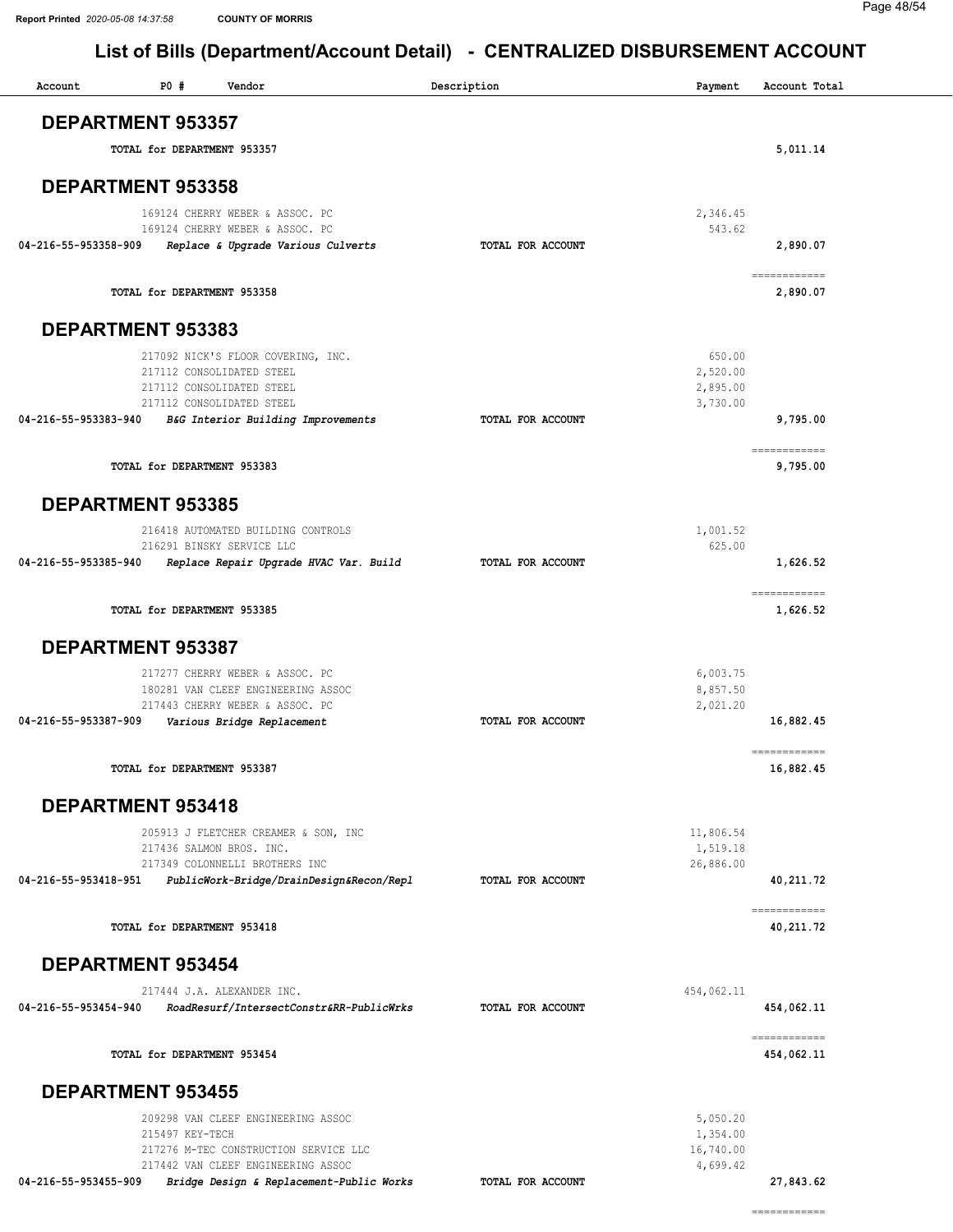============

| P0#<br>Account              | Vendor                                                                                                   | Description       | Payment                           | Account Total              |
|-----------------------------|----------------------------------------------------------------------------------------------------------|-------------------|-----------------------------------|----------------------------|
| <b>DEPARTMENT 953357</b>    |                                                                                                          |                   |                                   |                            |
| TOTAL for DEPARTMENT 953357 |                                                                                                          |                   |                                   | 5,011.14                   |
| DEPARTMENT 953358           |                                                                                                          |                   |                                   |                            |
|                             | 169124 CHERRY WEBER & ASSOC. PC<br>169124 CHERRY WEBER & ASSOC. PC                                       |                   | 2,346.45<br>543.62                |                            |
| 04-216-55-953358-909        | Replace & Upgrade Various Culverts                                                                       | TOTAL FOR ACCOUNT |                                   | 2,890.07                   |
| TOTAL for DEPARTMENT 953358 |                                                                                                          |                   |                                   | ============<br>2,890.07   |
| DEPARTMENT 953383           |                                                                                                          |                   |                                   |                            |
|                             | 217092 NICK'S FLOOR COVERING, INC.<br>217112 CONSOLIDATED STEEL                                          |                   | 650.00<br>2,520.00                |                            |
|                             | 217112 CONSOLIDATED STEEL<br>217112 CONSOLIDATED STEEL                                                   |                   | 2,895.00<br>3,730.00              |                            |
| 04-216-55-953383-940        | B&G Interior Building Improvements                                                                       | TOTAL FOR ACCOUNT |                                   | 9,795.00                   |
| TOTAL for DEPARTMENT 953383 |                                                                                                          |                   |                                   | ============<br>9,795.00   |
| <b>DEPARTMENT 953385</b>    |                                                                                                          |                   |                                   |                            |
|                             | 216418 AUTOMATED BUILDING CONTROLS                                                                       |                   | 1,001.52                          |                            |
| 04-216-55-953385-940        | 216291 BINSKY SERVICE LLC<br>Replace Repair Upgrade HVAC Var. Build                                      | TOTAL FOR ACCOUNT | 625.00                            | 1,626.52                   |
| TOTAL for DEPARTMENT 953385 |                                                                                                          |                   |                                   | ------------<br>1,626.52   |
| <b>DEPARTMENT 953387</b>    |                                                                                                          |                   |                                   |                            |
|                             | 217277 CHERRY WEBER & ASSOC. PC<br>180281 VAN CLEEF ENGINEERING ASSOC<br>217443 CHERRY WEBER & ASSOC. PC |                   | 6,003.75<br>8,857.50<br>2,021.20  |                            |
| 04-216-55-953387-909        | Various Bridge Replacement                                                                               | TOTAL FOR ACCOUNT |                                   | 16,882.45                  |
| TOTAL for DEPARTMENT 953387 |                                                                                                          |                   |                                   | ============<br>16,882.45  |
| <b>DEPARTMENT 953418</b>    |                                                                                                          |                   |                                   |                            |
| 217436 SALMON BROS. INC.    | 205913 J FLETCHER CREAMER & SON, INC                                                                     |                   | 11,806.54<br>1,519.18             |                            |
| 04-216-55-953418-951        | 217349 COLONNELLI BROTHERS INC<br>PublicWork-Bridge/DrainDesign&Recon/Repl                               | TOTAL FOR ACCOUNT | 26,886.00                         | 40,211.72                  |
| TOTAL for DEPARTMENT 953418 |                                                                                                          |                   |                                   | 40,211.72                  |
| <b>DEPARTMENT 953454</b>    |                                                                                                          |                   |                                   |                            |
| 04-216-55-953454-940        | 217444 J.A. ALEXANDER INC.<br>RoadResurf/IntersectConstr&RR-PublicWrks                                   | TOTAL FOR ACCOUNT | 454,062.11                        | 454,062.11                 |
| TOTAL for DEPARTMENT 953454 |                                                                                                          |                   |                                   | ------------<br>454,062.11 |
| <b>DEPARTMENT 953455</b>    |                                                                                                          |                   |                                   |                            |
| 215497 KEY-TECH             | 209298 VAN CLEEF ENGINEERING ASSOC<br>217276 M-TEC CONSTRUCTION SERVICE LLC                              |                   | 5,050.20<br>1,354.00<br>16,740.00 |                            |
| 04-216-55-953455-909        | 217442 VAN CLEEF ENGINEERING ASSOC<br>Bridge Design & Replacement-Public Works                           | TOTAL FOR ACCOUNT | 4,699.42                          | 27,843.62                  |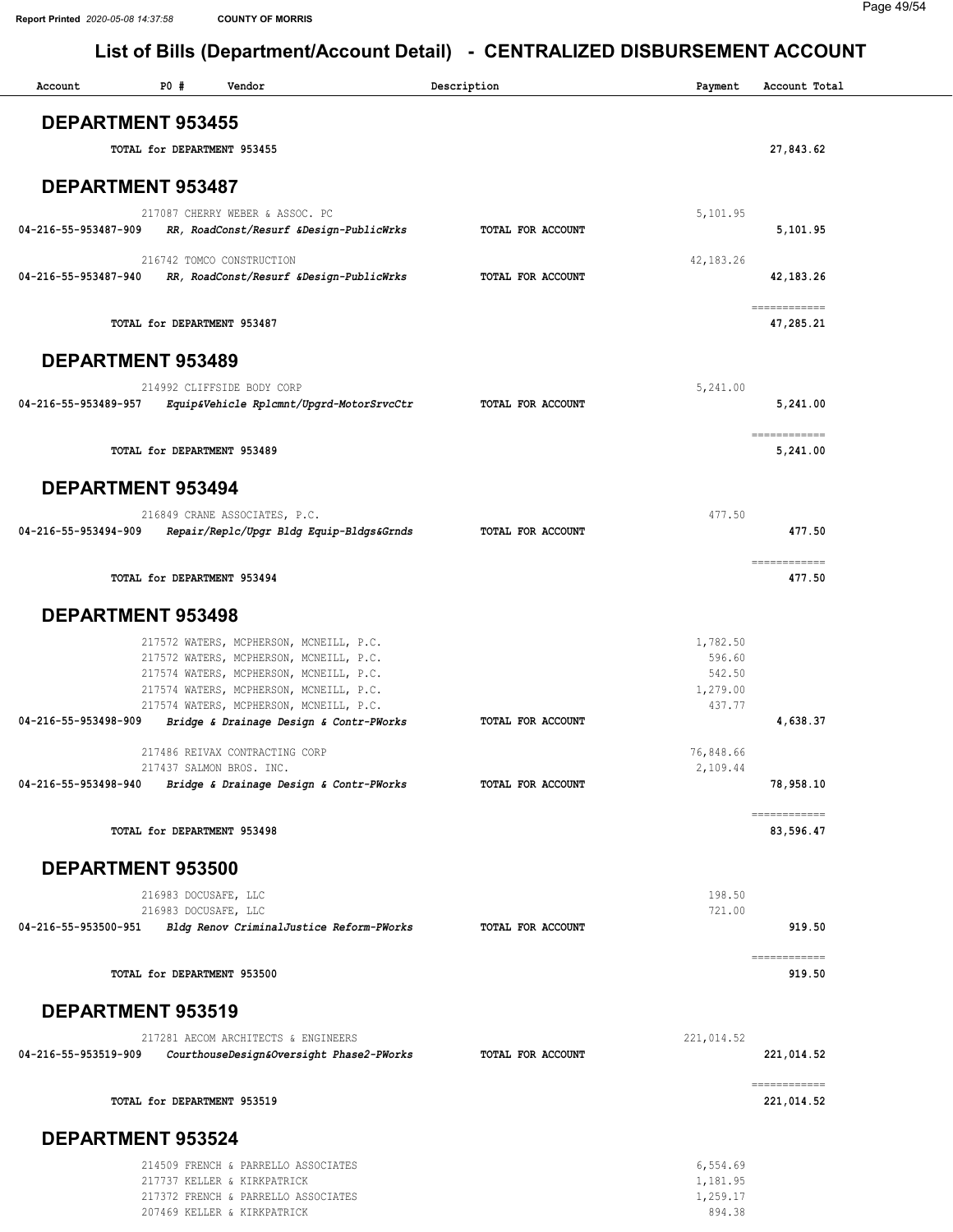#### Page 49/54

| Account                  | P0#                         | Vendor                                                                             | Description       | Payment            | Account Total              |
|--------------------------|-----------------------------|------------------------------------------------------------------------------------|-------------------|--------------------|----------------------------|
| <b>DEPARTMENT 953455</b> |                             |                                                                                    |                   |                    |                            |
|                          | TOTAL for DEPARTMENT 953455 |                                                                                    |                   |                    | 27,843.62                  |
| <b>DEPARTMENT 953487</b> |                             |                                                                                    |                   |                    |                            |
|                          |                             | 217087 CHERRY WEBER & ASSOC. PC                                                    |                   | 5,101.95           |                            |
| 04-216-55-953487-909     |                             | RR, RoadConst/Resurf &Design-PublicWrks                                            | TOTAL FOR ACCOUNT |                    | 5,101.95                   |
|                          |                             | 216742 TOMCO CONSTRUCTION                                                          |                   | 42,183.26          |                            |
| 04-216-55-953487-940     |                             | RR, RoadConst/Resurf &Design-PublicWrks                                            | TOTAL FOR ACCOUNT |                    | 42, 183. 26                |
|                          | TOTAL for DEPARTMENT 953487 |                                                                                    |                   |                    | ============<br>47,285.21  |
| <b>DEPARTMENT 953489</b> |                             |                                                                                    |                   |                    |                            |
|                          |                             | 214992 CLIFFSIDE BODY CORP                                                         |                   | 5,241.00           |                            |
| 04-216-55-953489-957     |                             | Equip&Vehicle Rplcmnt/Upgrd-MotorSrvcCtr                                           | TOTAL FOR ACCOUNT |                    | 5,241.00                   |
|                          | TOTAL for DEPARTMENT 953489 |                                                                                    |                   |                    | ============<br>5,241.00   |
|                          |                             |                                                                                    |                   |                    |                            |
| <b>DEPARTMENT 953494</b> |                             |                                                                                    |                   |                    |                            |
| 04-216-55-953494-909     |                             | 216849 CRANE ASSOCIATES, P.C.                                                      | TOTAL FOR ACCOUNT | 477.50             | 477.50                     |
|                          |                             | Repair/Replc/Upgr Bldg Equip-Bldgs&Grnds                                           |                   |                    |                            |
|                          | TOTAL for DEPARTMENT 953494 |                                                                                    |                   |                    | ============<br>477.50     |
| <b>DEPARTMENT 953498</b> |                             |                                                                                    |                   |                    |                            |
|                          |                             | 217572 WATERS, MCPHERSON, MCNEILL, P.C.                                            |                   | 1,782.50           |                            |
|                          |                             | 217572 WATERS, MCPHERSON, MCNEILL, P.C.                                            |                   | 596.60             |                            |
|                          |                             | 217574 WATERS, MCPHERSON, MCNEILL, P.C.<br>217574 WATERS, MCPHERSON, MCNEILL, P.C. |                   | 542.50<br>1,279.00 |                            |
|                          |                             | 217574 WATERS, MCPHERSON, MCNEILL, P.C.                                            |                   | 437.77             |                            |
| 04-216-55-953498-909     |                             | Bridge & Drainage Design & Contr-PWorks                                            | TOTAL FOR ACCOUNT |                    | 4,638.37                   |
|                          |                             | 217486 REIVAX CONTRACTING CORP                                                     |                   | 76,848.66          |                            |
| 04-216-55-953498-940     |                             | 217437 SALMON BROS. INC.                                                           | TOTAL FOR ACCOUNT | 2,109.44           | 78,958.10                  |
|                          |                             | Bridge & Drainage Design & Contr-PWorks                                            |                   |                    |                            |
|                          | TOTAL for DEPARTMENT 953498 |                                                                                    |                   |                    | ============<br>83,596.47  |
| DEPARTMENT 953500        |                             |                                                                                    |                   |                    |                            |
|                          | 216983 DOCUSAFE, LLC        |                                                                                    |                   | 198.50             |                            |
|                          | 216983 DOCUSAFE, LLC        |                                                                                    |                   | 721.00             |                            |
| 04-216-55-953500-951     |                             | Bldg Renov CriminalJustice Reform-PWorks                                           | TOTAL FOR ACCOUNT |                    | 919.50                     |
|                          | TOTAL for DEPARTMENT 953500 |                                                                                    |                   |                    | ============<br>919.50     |
| <b>DEPARTMENT 953519</b> |                             |                                                                                    |                   |                    |                            |
|                          |                             | 217281 AECOM ARCHITECTS & ENGINEERS                                                |                   | 221,014.52         |                            |
| 04-216-55-953519-909     |                             | CourthouseDesign&Oversight Phase2-PWorks                                           | TOTAL FOR ACCOUNT |                    | 221,014.52                 |
|                          | TOTAL for DEPARTMENT 953519 |                                                                                    |                   |                    | ============<br>221,014.52 |
| <b>DEPARTMENT 953524</b> |                             |                                                                                    |                   |                    |                            |
|                          |                             | 214509 FRENCH & PARRELLO ASSOCIATES                                                |                   | 6,554.69           |                            |
|                          |                             | 217737 KELLER & KIRKPATRICK                                                        |                   | 1,181.95           |                            |
|                          |                             | 217372 FRENCH & PARRELLO ASSOCIATES<br>207469 KELLER & KIRKPATRICK                 |                   | 1,259.17<br>894.38 |                            |
|                          |                             |                                                                                    |                   |                    |                            |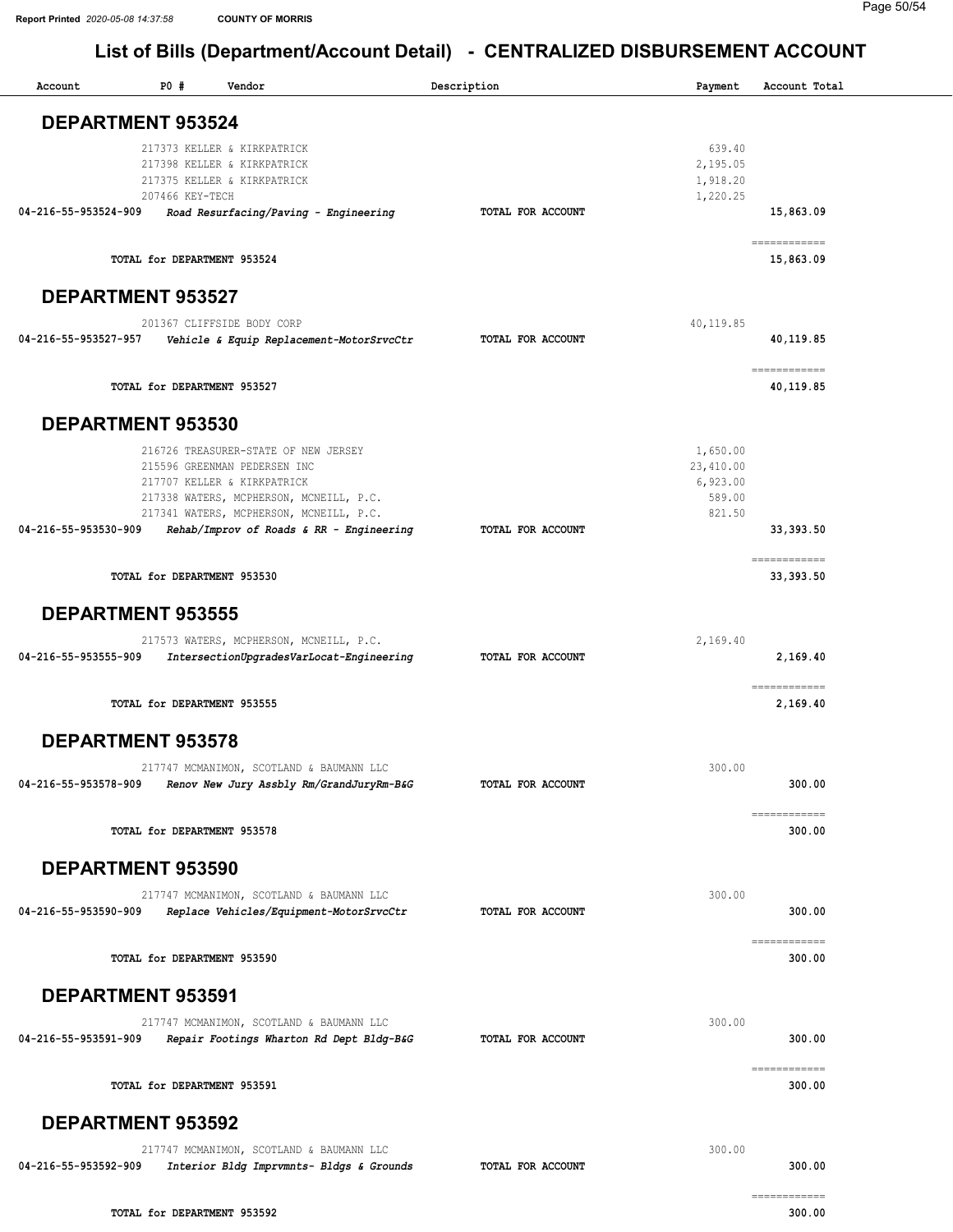| Account              | P0#                         | Vendor                                   | Description              | Payment   | Account Total                                                                                                                                                                                                                                                                                                                                                                                                                                                                          |
|----------------------|-----------------------------|------------------------------------------|--------------------------|-----------|----------------------------------------------------------------------------------------------------------------------------------------------------------------------------------------------------------------------------------------------------------------------------------------------------------------------------------------------------------------------------------------------------------------------------------------------------------------------------------------|
|                      | DEPARTMENT 953524           |                                          |                          |           |                                                                                                                                                                                                                                                                                                                                                                                                                                                                                        |
|                      |                             |                                          |                          |           |                                                                                                                                                                                                                                                                                                                                                                                                                                                                                        |
|                      |                             | 217373 KELLER & KIRKPATRICK              |                          | 639.40    |                                                                                                                                                                                                                                                                                                                                                                                                                                                                                        |
|                      |                             | 217398 KELLER & KIRKPATRICK              |                          | 2,195.05  |                                                                                                                                                                                                                                                                                                                                                                                                                                                                                        |
|                      |                             | 217375 KELLER & KIRKPATRICK              |                          | 1,918.20  |                                                                                                                                                                                                                                                                                                                                                                                                                                                                                        |
| 04-216-55-953524-909 | 207466 KEY-TECH             | Road Resurfacing/Paving - Engineering    | TOTAL FOR ACCOUNT        | 1,220.25  | 15,863.09                                                                                                                                                                                                                                                                                                                                                                                                                                                                              |
|                      |                             |                                          |                          |           |                                                                                                                                                                                                                                                                                                                                                                                                                                                                                        |
|                      | TOTAL for DEPARTMENT 953524 |                                          |                          |           | ------------<br>15,863.09                                                                                                                                                                                                                                                                                                                                                                                                                                                              |
|                      | <b>DEPARTMENT 953527</b>    |                                          |                          |           |                                                                                                                                                                                                                                                                                                                                                                                                                                                                                        |
|                      |                             | 201367 CLIFFSIDE BODY CORP               |                          | 40,119.85 |                                                                                                                                                                                                                                                                                                                                                                                                                                                                                        |
| 04-216-55-953527-957 |                             | Vehicle & Equip Replacement-MotorSrvcCtr | TOTAL FOR ACCOUNT        |           | 40,119.85                                                                                                                                                                                                                                                                                                                                                                                                                                                                              |
|                      |                             |                                          |                          |           |                                                                                                                                                                                                                                                                                                                                                                                                                                                                                        |
|                      | TOTAL for DEPARTMENT 953527 |                                          |                          |           | ------------<br>40,119.85                                                                                                                                                                                                                                                                                                                                                                                                                                                              |
|                      | <b>DEPARTMENT 953530</b>    |                                          |                          |           |                                                                                                                                                                                                                                                                                                                                                                                                                                                                                        |
|                      |                             | 216726 TREASURER-STATE OF NEW JERSEY     |                          | 1,650.00  |                                                                                                                                                                                                                                                                                                                                                                                                                                                                                        |
|                      |                             | 215596 GREENMAN PEDERSEN INC             |                          | 23,410.00 |                                                                                                                                                                                                                                                                                                                                                                                                                                                                                        |
|                      |                             | 217707 KELLER & KIRKPATRICK              |                          | 6,923.00  |                                                                                                                                                                                                                                                                                                                                                                                                                                                                                        |
|                      |                             | 217338 WATERS, MCPHERSON, MCNEILL, P.C.  |                          | 589.00    |                                                                                                                                                                                                                                                                                                                                                                                                                                                                                        |
|                      |                             | 217341 WATERS, MCPHERSON, MCNEILL, P.C.  |                          | 821.50    |                                                                                                                                                                                                                                                                                                                                                                                                                                                                                        |
| 04-216-55-953530-909 |                             | Rehab/Improv of Roads & RR - Engineering | TOTAL FOR ACCOUNT        |           | 33, 393.50                                                                                                                                                                                                                                                                                                                                                                                                                                                                             |
|                      |                             |                                          |                          |           | ------------                                                                                                                                                                                                                                                                                                                                                                                                                                                                           |
|                      | TOTAL for DEPARTMENT 953530 |                                          |                          |           | 33, 393.50                                                                                                                                                                                                                                                                                                                                                                                                                                                                             |
|                      | <b>DEPARTMENT 953555</b>    |                                          |                          |           |                                                                                                                                                                                                                                                                                                                                                                                                                                                                                        |
|                      |                             | 217573 WATERS, MCPHERSON, MCNEILL, P.C.  |                          | 2,169.40  |                                                                                                                                                                                                                                                                                                                                                                                                                                                                                        |
| 04-216-55-953555-909 |                             | IntersectionUpgradesVarLocat-Engineering | TOTAL FOR ACCOUNT        |           | 2,169.40                                                                                                                                                                                                                                                                                                                                                                                                                                                                               |
|                      | TOTAL for DEPARTMENT 953555 |                                          |                          |           | ------------<br>2,169.40                                                                                                                                                                                                                                                                                                                                                                                                                                                               |
|                      | <b>DEPARTMENT 953578</b>    |                                          |                          |           |                                                                                                                                                                                                                                                                                                                                                                                                                                                                                        |
|                      |                             |                                          |                          |           |                                                                                                                                                                                                                                                                                                                                                                                                                                                                                        |
|                      |                             | 217747 MCMANIMON, SCOTLAND & BAUMANN LLC |                          | 300.00    |                                                                                                                                                                                                                                                                                                                                                                                                                                                                                        |
| 04-216-55-953578-909 |                             | Renov New Jury Assbly Rm/GrandJuryRm-B&G | TOTAL FOR ACCOUNT        |           | 300.00                                                                                                                                                                                                                                                                                                                                                                                                                                                                                 |
|                      |                             |                                          |                          |           | ============                                                                                                                                                                                                                                                                                                                                                                                                                                                                           |
|                      | TOTAL for DEPARTMENT 953578 |                                          |                          |           | 300.00                                                                                                                                                                                                                                                                                                                                                                                                                                                                                 |
|                      | DEPARTMENT 953590           |                                          |                          |           |                                                                                                                                                                                                                                                                                                                                                                                                                                                                                        |
|                      |                             |                                          |                          |           |                                                                                                                                                                                                                                                                                                                                                                                                                                                                                        |
|                      |                             | 217747 MCMANIMON, SCOTLAND & BAUMANN LLC |                          | 300.00    |                                                                                                                                                                                                                                                                                                                                                                                                                                                                                        |
| 04-216-55-953590-909 |                             | Replace Vehicles/Equipment-MotorSrvcCtr  | <b>TOTAL FOR ACCOUNT</b> |           | 300.00                                                                                                                                                                                                                                                                                                                                                                                                                                                                                 |
|                      |                             |                                          |                          |           | ============                                                                                                                                                                                                                                                                                                                                                                                                                                                                           |
|                      | TOTAL for DEPARTMENT 953590 |                                          |                          |           | 300.00                                                                                                                                                                                                                                                                                                                                                                                                                                                                                 |
|                      | <b>DEPARTMENT 953591</b>    |                                          |                          |           |                                                                                                                                                                                                                                                                                                                                                                                                                                                                                        |
|                      |                             | 217747 MCMANIMON, SCOTLAND & BAUMANN LLC |                          | 300.00    |                                                                                                                                                                                                                                                                                                                                                                                                                                                                                        |
| 04-216-55-953591-909 |                             | Repair Footings Wharton Rd Dept Bldg-B&G | TOTAL FOR ACCOUNT        |           | 300.00                                                                                                                                                                                                                                                                                                                                                                                                                                                                                 |
|                      |                             |                                          |                          |           | $\begin{array}{cccccccccc} \multicolumn{2}{c}{} & \multicolumn{2}{c}{} & \multicolumn{2}{c}{} & \multicolumn{2}{c}{} & \multicolumn{2}{c}{} & \multicolumn{2}{c}{} & \multicolumn{2}{c}{} & \multicolumn{2}{c}{} & \multicolumn{2}{c}{} & \multicolumn{2}{c}{} & \multicolumn{2}{c}{} & \multicolumn{2}{c}{} & \multicolumn{2}{c}{} & \multicolumn{2}{c}{} & \multicolumn{2}{c}{} & \multicolumn{2}{c}{} & \multicolumn{2}{c}{} & \multicolumn{2}{c}{} & \multicolumn{2}{c}{} & \mult$ |
|                      | TOTAL for DEPARTMENT 953591 |                                          |                          |           | 300.00                                                                                                                                                                                                                                                                                                                                                                                                                                                                                 |
|                      | DEPARTMENT 953592           |                                          |                          |           |                                                                                                                                                                                                                                                                                                                                                                                                                                                                                        |
|                      |                             | 217747 MCMANIMON, SCOTLAND & BAUMANN LLC |                          | 300.00    |                                                                                                                                                                                                                                                                                                                                                                                                                                                                                        |
| 04-216-55-953592-909 |                             | Interior Bldg Imprvmnts- Bldgs & Grounds | TOTAL FOR ACCOUNT        |           | 300.00                                                                                                                                                                                                                                                                                                                                                                                                                                                                                 |
|                      |                             |                                          |                          |           | ============                                                                                                                                                                                                                                                                                                                                                                                                                                                                           |
|                      | TOTAL for DEPARTMENT 953592 |                                          |                          |           | 300.00                                                                                                                                                                                                                                                                                                                                                                                                                                                                                 |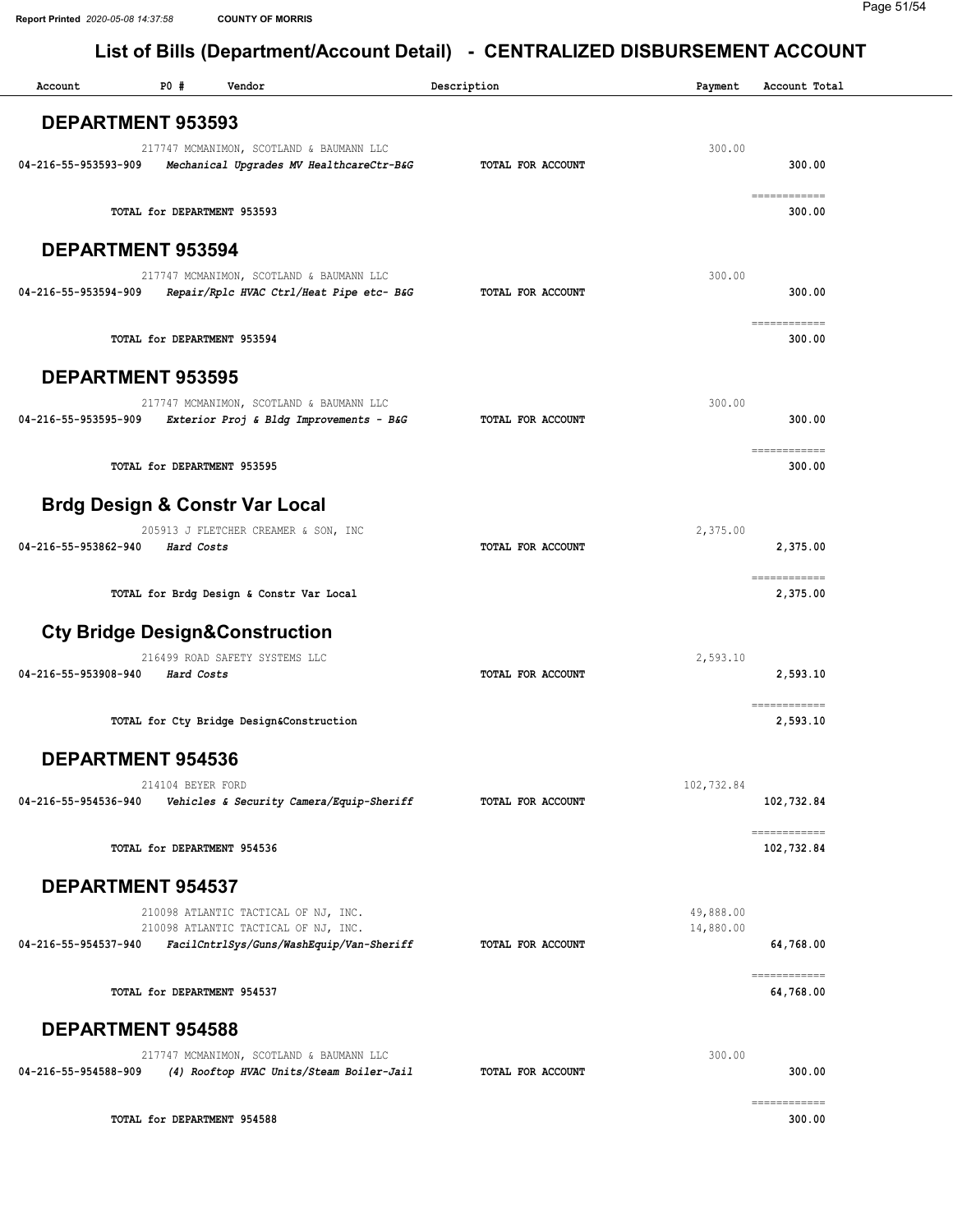| Account                  | P0 #                        | Vendor                                                                              | Description              | Payment    | Account Total          |
|--------------------------|-----------------------------|-------------------------------------------------------------------------------------|--------------------------|------------|------------------------|
| <b>DEPARTMENT 953593</b> |                             |                                                                                     |                          |            |                        |
|                          |                             |                                                                                     |                          |            |                        |
|                          |                             | 217747 MCMANIMON, SCOTLAND & BAUMANN LLC                                            |                          | 300.00     |                        |
| 04-216-55-953593-909     |                             | Mechanical Upgrades MV HealthcareCtr-B&G                                            | TOTAL FOR ACCOUNT        |            | 300.00                 |
|                          |                             |                                                                                     |                          |            | ============           |
|                          |                             | TOTAL for DEPARTMENT 953593                                                         |                          |            | 300.00                 |
|                          |                             |                                                                                     |                          |            |                        |
| <b>DEPARTMENT 953594</b> |                             |                                                                                     |                          |            |                        |
|                          |                             | 217747 MCMANIMON, SCOTLAND & BAUMANN LLC                                            |                          | 300.00     |                        |
| 04-216-55-953594-909     |                             | Repair/Rplc HVAC Ctrl/Heat Pipe etc- B&G                                            | TOTAL FOR ACCOUNT        |            | 300.00                 |
|                          |                             |                                                                                     |                          |            |                        |
|                          |                             | TOTAL for DEPARTMENT 953594                                                         |                          |            | ============<br>300.00 |
|                          |                             |                                                                                     |                          |            |                        |
| <b>DEPARTMENT 953595</b> |                             |                                                                                     |                          |            |                        |
|                          |                             |                                                                                     |                          |            |                        |
| 04-216-55-953595-909     |                             | 217747 MCMANIMON, SCOTLAND & BAUMANN LLC<br>Exterior Proj & Bldg Improvements - B&G | TOTAL FOR ACCOUNT        | 300.00     | 300.00                 |
|                          |                             |                                                                                     |                          |            |                        |
|                          |                             |                                                                                     |                          |            | ------------           |
|                          |                             | TOTAL for DEPARTMENT 953595                                                         |                          |            | 300.00                 |
|                          |                             |                                                                                     |                          |            |                        |
|                          |                             | <b>Brdg Design &amp; Constr Var Local</b>                                           |                          |            |                        |
|                          |                             | 205913 J FLETCHER CREAMER & SON, INC                                                |                          | 2,375.00   |                        |
| 04-216-55-953862-940     | Hard Costs                  |                                                                                     | TOTAL FOR ACCOUNT        |            | 2,375.00               |
|                          |                             |                                                                                     |                          |            | ============           |
|                          |                             | TOTAL for Brdg Design & Constr Var Local                                            |                          |            | 2,375.00               |
|                          |                             |                                                                                     |                          |            |                        |
|                          |                             | <b>Cty Bridge Design&amp;Construction</b>                                           |                          |            |                        |
|                          |                             | 216499 ROAD SAFETY SYSTEMS LLC                                                      |                          | 2,593.10   |                        |
| 04-216-55-953908-940     | Hard Costs                  |                                                                                     | <b>TOTAL FOR ACCOUNT</b> |            | 2,593.10               |
|                          |                             |                                                                                     |                          |            |                        |
|                          |                             |                                                                                     |                          |            | ============           |
|                          |                             | TOTAL for Cty Bridge Design&Construction                                            |                          |            | 2,593.10               |
|                          |                             |                                                                                     |                          |            |                        |
| DEPARTMENT 954536        |                             |                                                                                     |                          |            |                        |
|                          | 214104 BEYER FORD           |                                                                                     |                          | 102,732.84 |                        |
| 04-216-55-954536-940     |                             | Vehicles & Security Camera/Equip-Sheriff                                            | TOTAL FOR ACCOUNT        |            | 102,732.84             |
|                          |                             |                                                                                     |                          |            | ============           |
|                          |                             | TOTAL for DEPARTMENT 954536                                                         |                          |            | 102,732.84             |
|                          |                             |                                                                                     |                          |            |                        |
| <b>DEPARTMENT 954537</b> |                             |                                                                                     |                          |            |                        |
|                          |                             | 210098 ATLANTIC TACTICAL OF NJ, INC.                                                |                          | 49,888.00  |                        |
|                          |                             | 210098 ATLANTIC TACTICAL OF NJ, INC.                                                |                          | 14,880.00  |                        |
| 04-216-55-954537-940     |                             | FacilCntrlSys/Guns/WashEquip/Van-Sheriff                                            | TOTAL FOR ACCOUNT        |            | 64,768.00              |
|                          |                             |                                                                                     |                          |            | ------------           |
|                          | TOTAL for DEPARTMENT 954537 |                                                                                     |                          |            | 64,768.00              |
|                          |                             |                                                                                     |                          |            |                        |
| <b>DEPARTMENT 954588</b> |                             |                                                                                     |                          |            |                        |
|                          |                             | 217747 MCMANIMON, SCOTLAND & BAUMANN LLC                                            |                          | 300.00     |                        |
| 04-216-55-954588-909     |                             | (4) Rooftop HVAC Units/Steam Boiler-Jail                                            | TOTAL FOR ACCOUNT        |            | 300.00                 |
|                          |                             |                                                                                     |                          |            |                        |
|                          |                             |                                                                                     |                          |            | ============           |
|                          |                             | TOTAL for DEPARTMENT 954588                                                         |                          |            | 300.00                 |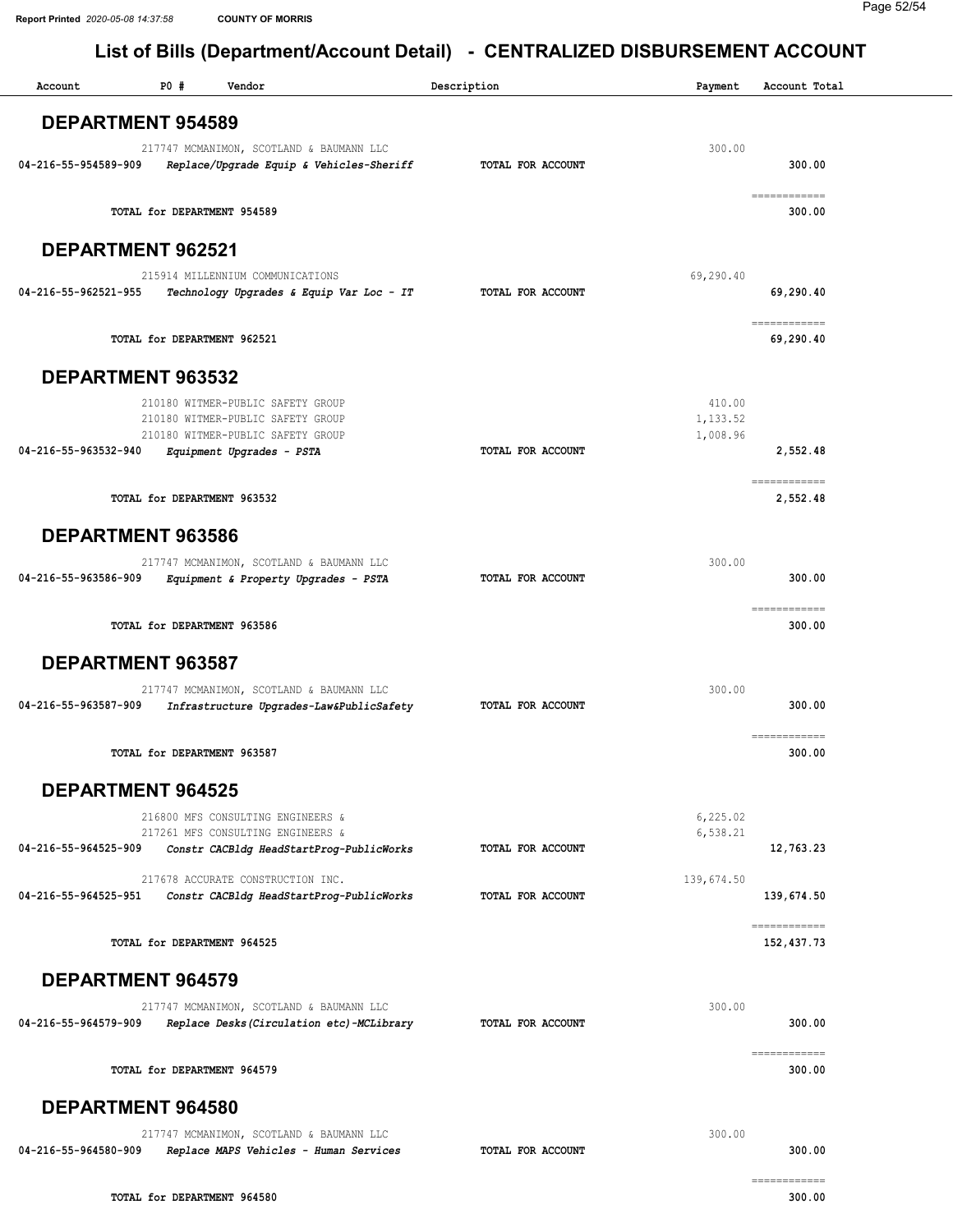| Account              | P0 #                        | Vendor                                                                                                                                   | Description       | Payment                        | Account Total                |
|----------------------|-----------------------------|------------------------------------------------------------------------------------------------------------------------------------------|-------------------|--------------------------------|------------------------------|
|                      | <b>DEPARTMENT 954589</b>    |                                                                                                                                          |                   |                                |                              |
| 04-216-55-954589-909 |                             | 217747 MCMANIMON, SCOTLAND & BAUMANN LLC<br>Replace/Upgrade Equip & Vehicles-Sheriff                                                     | TOTAL FOR ACCOUNT | 300.00                         | 300.00                       |
|                      | TOTAL for DEPARTMENT 954589 |                                                                                                                                          |                   |                                | ============<br>300.00       |
|                      | <b>DEPARTMENT 962521</b>    |                                                                                                                                          |                   |                                |                              |
| 04-216-55-962521-955 |                             | 215914 MILLENNIUM COMMUNICATIONS<br>Technology Upgrades & Equip Var Loc - IT                                                             | TOTAL FOR ACCOUNT | 69,290.40                      | 69,290.40                    |
|                      | TOTAL for DEPARTMENT 962521 |                                                                                                                                          |                   |                                | ============<br>69,290.40    |
|                      | DEPARTMENT 963532           |                                                                                                                                          |                   |                                |                              |
| 04-216-55-963532-940 |                             | 210180 WITMER-PUBLIC SAFETY GROUP<br>210180 WITMER-PUBLIC SAFETY GROUP<br>210180 WITMER-PUBLIC SAFETY GROUP<br>Equipment Upgrades - PSTA | TOTAL FOR ACCOUNT | 410.00<br>1,133.52<br>1,008.96 | 2,552.48                     |
|                      | TOTAL for DEPARTMENT 963532 |                                                                                                                                          |                   |                                | ============<br>2,552.48     |
|                      | DEPARTMENT 963586           |                                                                                                                                          |                   |                                |                              |
| 04-216-55-963586-909 |                             | 217747 MCMANIMON, SCOTLAND & BAUMANN LLC<br>Equipment & Property Upgrades - PSTA                                                         | TOTAL FOR ACCOUNT | 300.00                         | 300.00                       |
|                      | TOTAL for DEPARTMENT 963586 |                                                                                                                                          |                   |                                | ============<br>300.00       |
|                      | DEPARTMENT 963587           |                                                                                                                                          |                   |                                |                              |
| 04-216-55-963587-909 |                             | 217747 MCMANIMON, SCOTLAND & BAUMANN LLC<br>Infrastructure Upgrades-Law&PublicSafety                                                     | TOTAL FOR ACCOUNT | 300.00                         | 300.00                       |
|                      | TOTAL for DEPARTMENT 963587 |                                                                                                                                          |                   |                                | ============<br>300.00       |
|                      | <b>DEPARTMENT 964525</b>    |                                                                                                                                          |                   |                                |                              |
| 04-216-55-964525-909 |                             | 216800 MFS CONSULTING ENGINEERS &<br>217261 MFS CONSULTING ENGINEERS &<br>Constr CACBldg HeadStartProg-PublicWorks                       | TOTAL FOR ACCOUNT | 6,225.02<br>6,538.21           | 12,763.23                    |
| 04-216-55-964525-951 |                             | 217678 ACCURATE CONSTRUCTION INC.<br>Constr CACBldg HeadStartProg-PublicWorks                                                            | TOTAL FOR ACCOUNT | 139,674.50                     | 139,674.50                   |
|                      | TOTAL for DEPARTMENT 964525 |                                                                                                                                          |                   |                                | ------------<br>152, 437. 73 |
|                      | <b>DEPARTMENT 964579</b>    |                                                                                                                                          |                   |                                |                              |
|                      |                             | 217747 MCMANIMON, SCOTLAND & BAUMANN LLC                                                                                                 |                   | 300.00                         |                              |
| 04-216-55-964579-909 |                             | Replace Desks (Circulation etc) -MCLibrary                                                                                               | TOTAL FOR ACCOUNT |                                | 300.00                       |
|                      | TOTAL for DEPARTMENT 964579 |                                                                                                                                          |                   |                                | ============<br>300.00       |
|                      | DEPARTMENT 964580           |                                                                                                                                          |                   |                                |                              |
| 04-216-55-964580-909 |                             | 217747 MCMANIMON, SCOTLAND & BAUMANN LLC<br>Replace MAPS Vehicles - Human Services                                                       | TOTAL FOR ACCOUNT | 300.00                         | 300.00                       |
|                      | TOTAL for DEPARTMENT 964580 |                                                                                                                                          |                   |                                | ============<br>300.00       |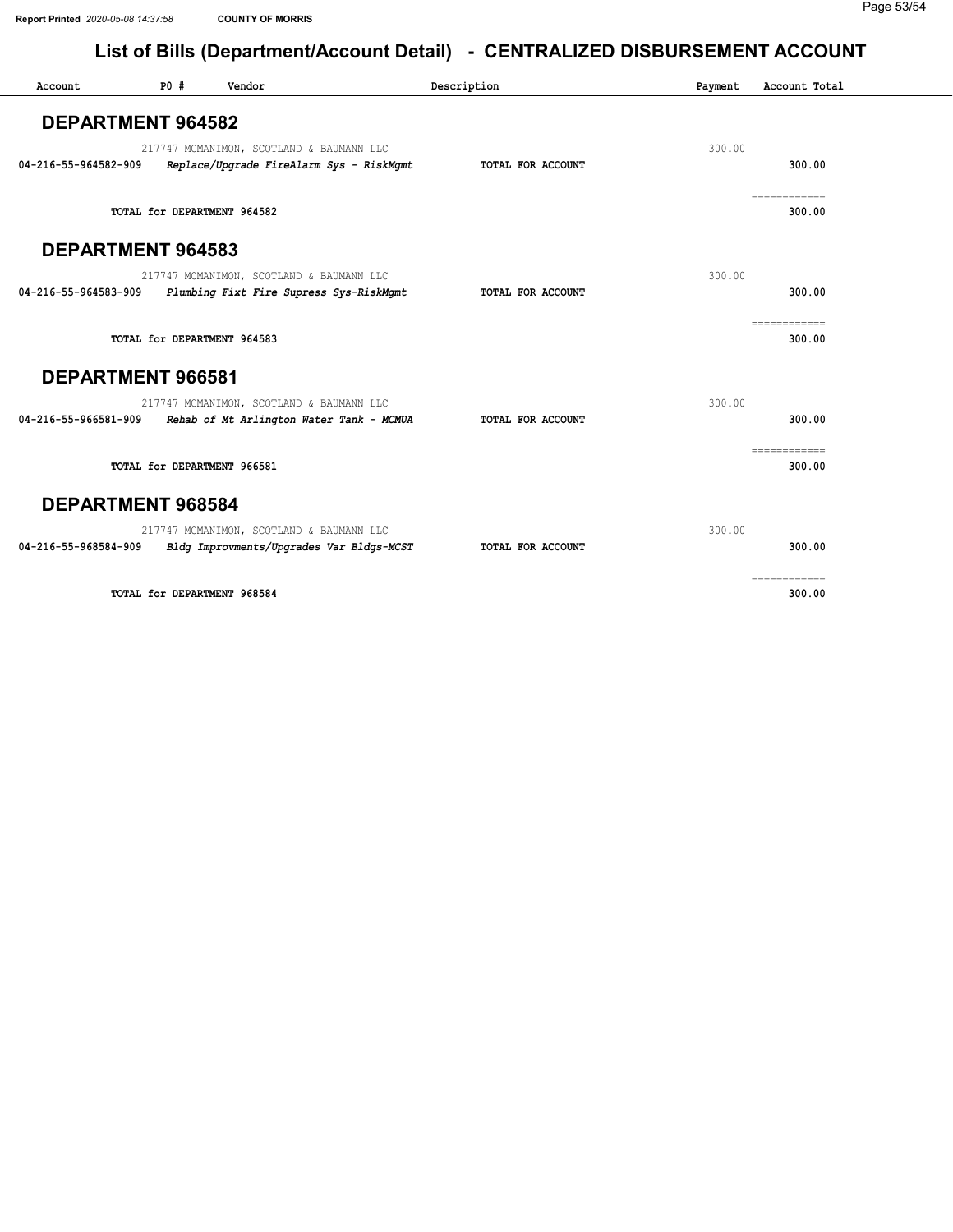| Account                  | P0# | Vendor                      |                                                                                      | Description       | Payment | Account Total          |
|--------------------------|-----|-----------------------------|--------------------------------------------------------------------------------------|-------------------|---------|------------------------|
| <b>DEPARTMENT 964582</b> |     |                             |                                                                                      |                   |         |                        |
| 04-216-55-964582-909     |     |                             | 217747 MCMANIMON, SCOTLAND & BAUMANN LLC<br>Replace/Upgrade FireAlarm Sys - RiskMgmt | TOTAL FOR ACCOUNT | 300.00  | 300.00                 |
|                          |     | TOTAL for DEPARTMENT 964582 |                                                                                      |                   |         | ============<br>300.00 |
| <b>DEPARTMENT 964583</b> |     |                             |                                                                                      |                   |         |                        |
| 04-216-55-964583-909     |     |                             | 217747 MCMANIMON, SCOTLAND & BAUMANN LLC<br>Plumbing Fixt Fire Supress Sys-RiskMgmt  | TOTAL FOR ACCOUNT | 300.00  | 300.00                 |
|                          |     | TOTAL for DEPARTMENT 964583 |                                                                                      |                   |         | ------------<br>300.00 |
| DEPARTMENT 966581        |     |                             |                                                                                      |                   |         |                        |
| 04-216-55-966581-909     |     |                             | 217747 MCMANIMON, SCOTLAND & BAUMANN LLC<br>Rehab of Mt Arlington Water Tank - MCMUA | TOTAL FOR ACCOUNT | 300.00  | 300.00                 |
|                          |     | TOTAL for DEPARTMENT 966581 |                                                                                      |                   |         | ============<br>300.00 |
| <b>DEPARTMENT 968584</b> |     |                             |                                                                                      |                   |         |                        |
| 04-216-55-968584-909     |     |                             | 217747 MCMANIMON, SCOTLAND & BAUMANN LLC<br>Bldg Improvments/Upgrades Var Bldgs-MCST | TOTAL FOR ACCOUNT | 300.00  | 300.00                 |
|                          |     | TOTAL for DEPARTMENT 968584 |                                                                                      |                   |         | ------------<br>300.00 |